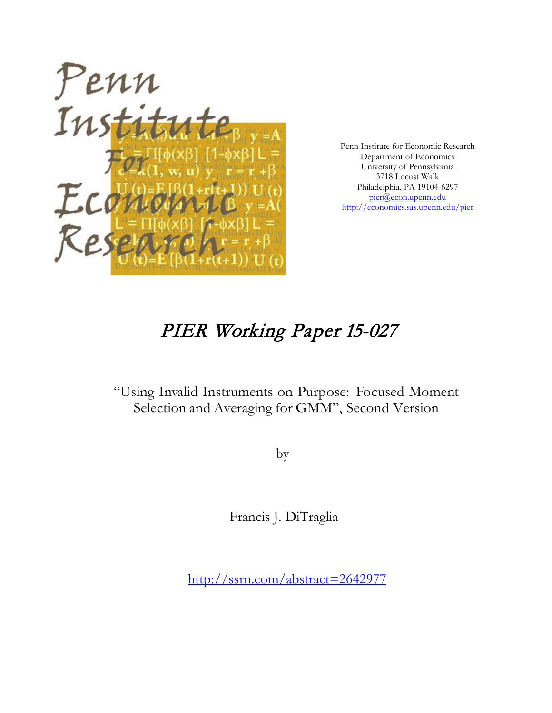

Penn Institute for Economic Research Department of Economics University of Pennsylvania 3718 Locust Walk Philadelphia, PA 19104-6297 [pier@econ.upenn.edu](mailto:pier@econ.upenn.edu) <http://economics.sas.upenn.edu/pier>

# PIER Working Paper 15-027

# "Using Invalid Instruments on Purpose: Focused Moment Selection and Averaging for GMM", Second Version

by

Francis J. DiTraglia

[http://ssrn.com/abstract=2](http://ssrn.com/abstract_id=)642977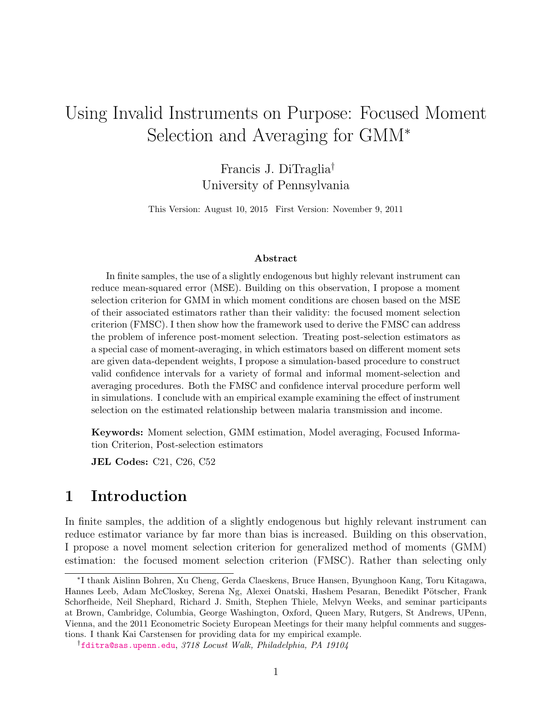# Using Invalid Instruments on Purpose: Focused Moment Selection and Averaging for GMM<sup>∗</sup>

Francis J. DiTraglia† University of Pennsylvania

This Version: August 10, 2015 First Version: November 9, 2011

#### Abstract

In finite samples, the use of a slightly endogenous but highly relevant instrument can reduce mean-squared error (MSE). Building on this observation, I propose a moment selection criterion for GMM in which moment conditions are chosen based on the MSE of their associated estimators rather than their validity: the focused moment selection criterion (FMSC). I then show how the framework used to derive the FMSC can address the problem of inference post-moment selection. Treating post-selection estimators as a special case of moment-averaging, in which estimators based on different moment sets are given data-dependent weights, I propose a simulation-based procedure to construct valid confidence intervals for a variety of formal and informal moment-selection and averaging procedures. Both the FMSC and confidence interval procedure perform well in simulations. I conclude with an empirical example examining the effect of instrument selection on the estimated relationship between malaria transmission and income.

Keywords: Moment selection, GMM estimation, Model averaging, Focused Information Criterion, Post-selection estimators

JEL Codes: C21, C26, C52

# 1 Introduction

In finite samples, the addition of a slightly endogenous but highly relevant instrument can reduce estimator variance by far more than bias is increased. Building on this observation, I propose a novel moment selection criterion for generalized method of moments (GMM) estimation: the focused moment selection criterion (FMSC). Rather than selecting only

<sup>∗</sup> I thank Aislinn Bohren, Xu Cheng, Gerda Claeskens, Bruce Hansen, Byunghoon Kang, Toru Kitagawa, Hannes Leeb, Adam McCloskey, Serena Ng, Alexei Onatski, Hashem Pesaran, Benedikt Pötscher, Frank Schorfheide, Neil Shephard, Richard J. Smith, Stephen Thiele, Melvyn Weeks, and seminar participants at Brown, Cambridge, Columbia, George Washington, Oxford, Queen Mary, Rutgers, St Andrews, UPenn, Vienna, and the 2011 Econometric Society European Meetings for their many helpful comments and suggestions. I thank Kai Carstensen for providing data for my empirical example.

<sup>†</sup>[fditra@sas.upenn.edu](mailto:fditra@sas.upenn.edu), 3718 Locust Walk, Philadelphia, PA 19104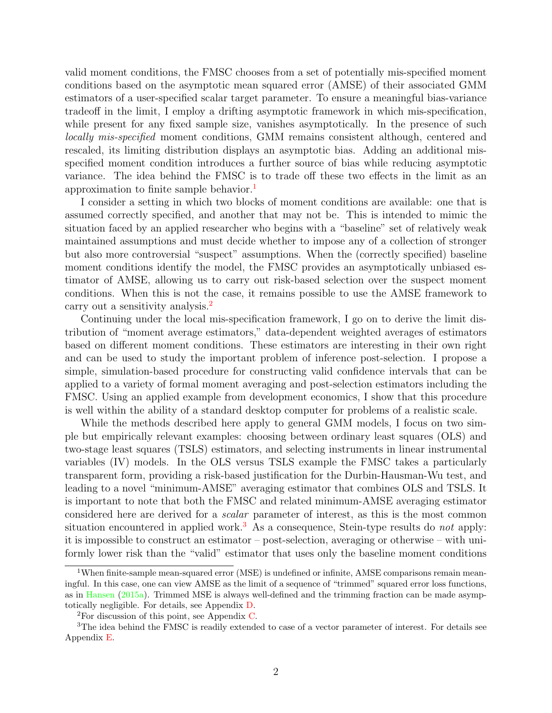valid moment conditions, the FMSC chooses from a set of potentially mis-specified moment conditions based on the asymptotic mean squared error (AMSE) of their associated GMM estimators of a user-specified scalar target parameter. To ensure a meaningful bias-variance tradeoff in the limit, I employ a drifting asymptotic framework in which mis-specification, while present for any fixed sample size, vanishes asymptotically. In the presence of such locally mis-specified moment conditions, GMM remains consistent although, centered and rescaled, its limiting distribution displays an asymptotic bias. Adding an additional misspecified moment condition introduces a further source of bias while reducing asymptotic variance. The idea behind the FMSC is to trade off these two effects in the limit as an approximation to finite sample behavior.[1](#page-2-0)

I consider a setting in which two blocks of moment conditions are available: one that is assumed correctly specified, and another that may not be. This is intended to mimic the situation faced by an applied researcher who begins with a "baseline" set of relatively weak maintained assumptions and must decide whether to impose any of a collection of stronger but also more controversial "suspect" assumptions. When the (correctly specified) baseline moment conditions identify the model, the FMSC provides an asymptotically unbiased estimator of AMSE, allowing us to carry out risk-based selection over the suspect moment conditions. When this is not the case, it remains possible to use the AMSE framework to carry out a sensitivity analysis.<sup>[2](#page-2-1)</sup>

Continuing under the local mis-specification framework, I go on to derive the limit distribution of "moment average estimators," data-dependent weighted averages of estimators based on different moment conditions. These estimators are interesting in their own right and can be used to study the important problem of inference post-selection. I propose a simple, simulation-based procedure for constructing valid confidence intervals that can be applied to a variety of formal moment averaging and post-selection estimators including the FMSC. Using an applied example from development economics, I show that this procedure is well within the ability of a standard desktop computer for problems of a realistic scale.

While the methods described here apply to general GMM models, I focus on two simple but empirically relevant examples: choosing between ordinary least squares (OLS) and two-stage least squares (TSLS) estimators, and selecting instruments in linear instrumental variables (IV) models. In the OLS versus TSLS example the FMSC takes a particularly transparent form, providing a risk-based justification for the Durbin-Hausman-Wu test, and leading to a novel "minimum-AMSE" averaging estimator that combines OLS and TSLS. It is important to note that both the FMSC and related minimum-AMSE averaging estimator considered here are derived for a scalar parameter of interest, as this is the most common situation encountered in applied work.<sup>[3](#page-2-2)</sup> As a consequence, Stein-type results do *not* apply: it is impossible to construct an estimator – post-selection, averaging or otherwise – with uniformly lower risk than the "valid" estimator that uses only the baseline moment conditions

<span id="page-2-0"></span><sup>&</sup>lt;sup>1</sup>When finite-sample mean-squared error (MSE) is undefined or infinite, AMSE comparisons remain meaningful. In this case, one can view AMSE as the limit of a sequence of "trimmed" squared error loss functions, as in [Hansen](#page-59-0) [\(2015a\)](#page-59-0). Trimmed MSE is always well-defined and the trimming fraction can be made asymptotically negligible. For details, see Appendix [D.](#page-53-0)

<span id="page-2-2"></span><span id="page-2-1"></span><sup>&</sup>lt;sup>2</sup>For discussion of this point, see Appendix [C.](#page-53-1)

<sup>3</sup>The idea behind the FMSC is readily extended to case of a vector parameter of interest. For details see Appendix [E.](#page-54-0)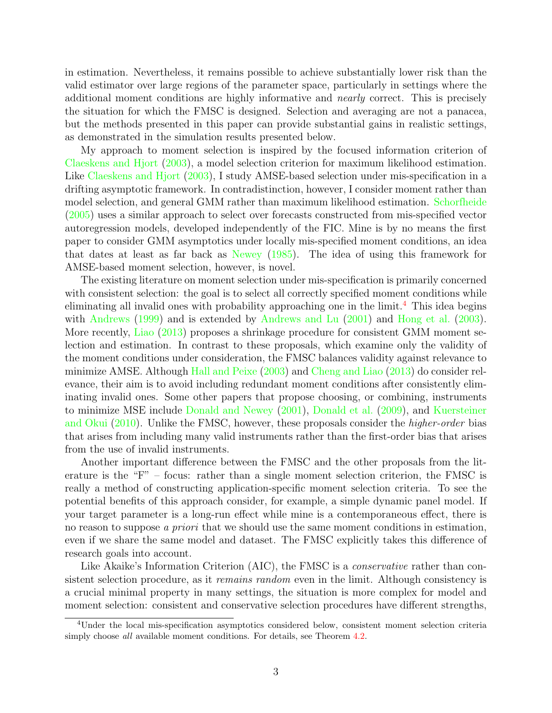in estimation. Nevertheless, it remains possible to achieve substantially lower risk than the valid estimator over large regions of the parameter space, particularly in settings where the additional moment conditions are highly informative and nearly correct. This is precisely the situation for which the FMSC is designed. Selection and averaging are not a panacea, but the methods presented in this paper can provide substantial gains in realistic settings, as demonstrated in the simulation results presented below.

My approach to moment selection is inspired by the focused information criterion of [Claeskens and Hjort](#page-58-0) [\(2003\)](#page-58-0), a model selection criterion for maximum likelihood estimation. Like [Claeskens and Hjort](#page-58-0) [\(2003\)](#page-58-0), I study AMSE-based selection under mis-specification in a drifting asymptotic framework. In contradistinction, however, I consider moment rather than model selection, and general GMM rather than maximum likelihood estimation. [Schorfheide](#page-61-0) [\(2005\)](#page-61-0) uses a similar approach to select over forecasts constructed from mis-specified vector autoregression models, developed independently of the FIC. Mine is by no means the first paper to consider GMM asymptotics under locally mis-specified moment conditions, an idea that dates at least as far back as [Newey](#page-61-1) [\(1985\)](#page-61-1). The idea of using this framework for AMSE-based moment selection, however, is novel.

The existing literature on moment selection under mis-specification is primarily concerned with consistent selection: the goal is to select all correctly specified moment conditions while eliminating all invalid ones with probability approaching one in the limit.[4](#page-3-0) This idea begins with [Andrews](#page-57-0) [\(1999\)](#page-57-0) and is extended by [Andrews and Lu](#page-58-1) [\(2001\)](#page-58-1) and [Hong et al.](#page-60-0) [\(2003\)](#page-60-0). More recently, [Liao](#page-60-1) [\(2013\)](#page-60-1) proposes a shrinkage procedure for consistent GMM moment selection and estimation. In contrast to these proposals, which examine only the validity of the moment conditions under consideration, the FMSC balances validity against relevance to minimize AMSE. Although [Hall and Peixe](#page-59-1) [\(2003\)](#page-59-1) and [Cheng and Liao](#page-58-2) [\(2013\)](#page-58-2) do consider relevance, their aim is to avoid including redundant moment conditions after consistently eliminating invalid ones. Some other papers that propose choosing, or combining, instruments to minimize MSE include [Donald and Newey](#page-59-2) [\(2001\)](#page-59-2), [Donald et al.](#page-59-3) [\(2009\)](#page-59-3), and [Kuersteiner](#page-60-2) [and Okui](#page-60-2) [\(2010\)](#page-60-2). Unlike the FMSC, however, these proposals consider the higher-order bias that arises from including many valid instruments rather than the first-order bias that arises from the use of invalid instruments.

Another important difference between the FMSC and the other proposals from the literature is the "F" – focus: rather than a single moment selection criterion, the FMSC is really a method of constructing application-specific moment selection criteria. To see the potential benefits of this approach consider, for example, a simple dynamic panel model. If your target parameter is a long-run effect while mine is a contemporaneous effect, there is no reason to suppose a priori that we should use the same moment conditions in estimation, even if we share the same model and dataset. The FMSC explicitly takes this difference of research goals into account.

Like Akaike's Information Criterion (AIC), the FMSC is a *conservative* rather than consistent selection procedure, as it *remains random* even in the limit. Although consistency is a crucial minimal property in many settings, the situation is more complex for model and moment selection: consistent and conservative selection procedures have different strengths,

<span id="page-3-0"></span><sup>4</sup>Under the local mis-specification asymptotics considered below, consistent moment selection criteria simply choose *all* available moment conditions. For details, see Theorem [4.2.](#page-17-0)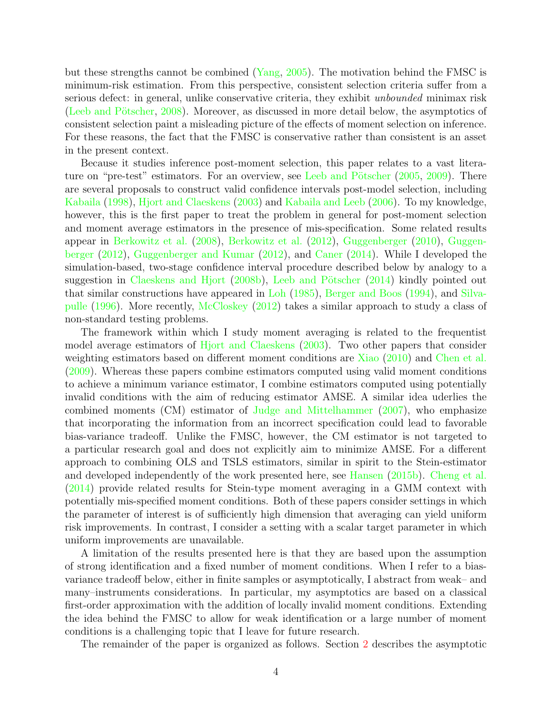but these strengths cannot be combined [\(Yang,](#page-61-2) [2005\)](#page-61-2). The motivation behind the FMSC is minimum-risk estimation. From this perspective, consistent selection criteria suffer from a serious defect: in general, unlike conservative criteria, they exhibit *unbounded* minimax risk (Leeb and Pötscher, [2008\)](#page-60-3). Moreover, as discussed in more detail below, the asymptotics of consistent selection paint a misleading picture of the effects of moment selection on inference. For these reasons, the fact that the FMSC is conservative rather than consistent is an asset in the present context.

Because it studies inference post-moment selection, this paper relates to a vast litera-ture on "pre-test" estimators. For an overview, see Leeb and Pötscher [\(2005,](#page-60-4) [2009\)](#page-60-5). There are several proposals to construct valid confidence intervals post-model selection, including [Kabaila](#page-60-6) [\(1998\)](#page-60-6), [Hjort and Claeskens](#page-59-4) [\(2003\)](#page-59-4) and [Kabaila and Leeb](#page-60-7) [\(2006\)](#page-60-7). To my knowledge, however, this is the first paper to treat the problem in general for post-moment selection and moment average estimators in the presence of mis-specification. Some related results appear in [Berkowitz et al.](#page-58-3) [\(2008\)](#page-58-3), [Berkowitz et al.](#page-58-4) [\(2012\)](#page-58-4), [Guggenberger](#page-59-5) [\(2010\)](#page-59-5), [Guggen](#page-59-6)[berger](#page-59-6) [\(2012\)](#page-59-6), [Guggenberger and Kumar](#page-59-7) [\(2012\)](#page-59-7), and [Caner](#page-58-5) [\(2014\)](#page-58-5). While I developed the simulation-based, two-stage confidence interval procedure described below by analogy to a suggestion in [Claeskens and Hjort](#page-58-6) [\(2008b\)](#page-58-6), Leeb and Pötscher [\(2014\)](#page-60-8) kindly pointed out that similar constructions have appeared in [Loh](#page-60-9) [\(1985\)](#page-60-9), [Berger and Boos](#page-58-7) [\(1994\)](#page-58-7), and [Silva](#page-61-3)[pulle](#page-61-3) [\(1996\)](#page-61-3). More recently, [McCloskey](#page-60-10) [\(2012\)](#page-60-10) takes a similar approach to study a class of non-standard testing problems.

The framework within which I study moment averaging is related to the frequentist model average estimators of [Hjort and Claeskens](#page-59-4) [\(2003\)](#page-59-4). Two other papers that consider weighting estimators based on different moment conditions are [Xiao](#page-61-4) [\(2010\)](#page-61-4) and [Chen et al.](#page-58-8) [\(2009\)](#page-58-8). Whereas these papers combine estimators computed using valid moment conditions to achieve a minimum variance estimator, I combine estimators computed using potentially invalid conditions with the aim of reducing estimator AMSE. A similar idea uderlies the combined moments (CM) estimator of [Judge and Mittelhammer](#page-60-11) [\(2007\)](#page-60-11), who emphasize that incorporating the information from an incorrect specification could lead to favorable bias-variance tradeoff. Unlike the FMSC, however, the CM estimator is not targeted to a particular research goal and does not explicitly aim to minimize AMSE. For a different approach to combining OLS and TSLS estimators, similar in spirit to the Stein-estimator and developed independently of the work presented here, see [Hansen](#page-59-8) [\(2015b\)](#page-59-8). [Cheng et al.](#page-58-9) [\(2014\)](#page-58-9) provide related results for Stein-type moment averaging in a GMM context with potentially mis-specified moment conditions. Both of these papers consider settings in which the parameter of interest is of sufficiently high dimension that averaging can yield uniform risk improvements. In contrast, I consider a setting with a scalar target parameter in which uniform improvements are unavailable.

A limitation of the results presented here is that they are based upon the assumption of strong identification and a fixed number of moment conditions. When I refer to a biasvariance tradeoff below, either in finite samples or asymptotically, I abstract from weak– and many–instruments considerations. In particular, my asymptotics are based on a classical first-order approximation with the addition of locally invalid moment conditions. Extending the idea behind the FMSC to allow for weak identification or a large number of moment conditions is a challenging topic that I leave for future research.

The remainder of the paper is organized as follows. Section [2](#page-5-0) describes the asymptotic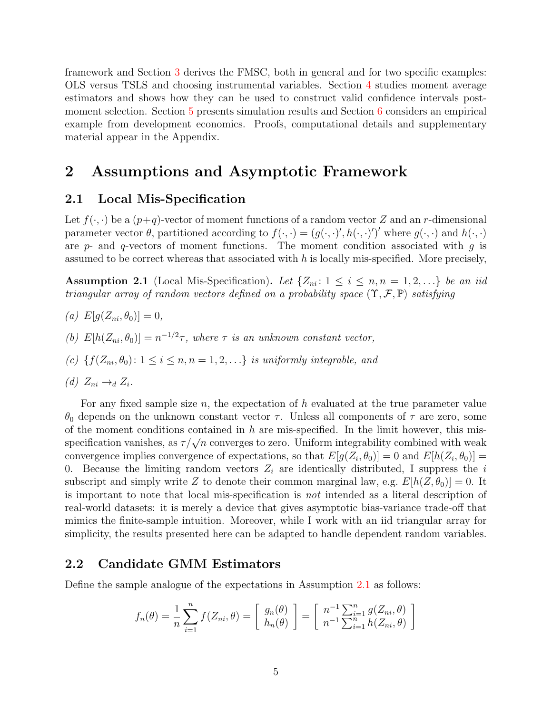framework and Section [3](#page-8-0) derives the FMSC, both in general and for two specific examples: OLS versus TSLS and choosing instrumental variables. Section [4](#page-15-0) studies moment average estimators and shows how they can be used to construct valid confidence intervals postmoment selection. Section [5](#page-31-0) presents simulation results and Section [6](#page-45-0) considers an empirical example from development economics. Proofs, computational details and supplementary material appear in the Appendix.

# <span id="page-5-0"></span>2 Assumptions and Asymptotic Framework

## 2.1 Local Mis-Specification

Let  $f(\cdot, \cdot)$  be a  $(p+q)$ -vector of moment functions of a random vector Z and an r-dimensional parameter vector  $\theta$ , partitioned according to  $f(\cdot, \cdot) = (g(\cdot, \cdot)', h(\cdot, \cdot)')'$  where  $g(\cdot, \cdot)$  and  $h(\cdot, \cdot)$ are  $p$ - and  $q$ -vectors of moment functions. The moment condition associated with  $q$  is assumed to be correct whereas that associated with  $h$  is locally mis-specified. More precisely,

<span id="page-5-1"></span>**Assumption 2.1** (Local Mis-Specification). Let  $\{Z_{ni}: 1 \le i \le n, n = 1, 2, ...\}$  be an iid triangular array of random vectors defined on a probability space  $(\Upsilon, \mathcal{F}, \mathbb{P})$  satisfying

- (a)  $E[g(Z_{ni}, \theta_0)] = 0,$
- (b)  $E[h(Z_{ni}, \theta_0)] = n^{-1/2}\tau$ , where  $\tau$  is an unknown constant vector,
- (c)  $\{f(Z_{ni}, \theta_0): 1 \leq i \leq n, n = 1, 2, \ldots\}$  is uniformly integrable, and

(d) 
$$
Z_{ni} \rightarrow_d Z_i
$$
.

For any fixed sample size n, the expectation of h evaluated at the true parameter value  $θ_0$  depends on the unknown constant vector  $τ$ . Unless all components of  $τ$  are zero, some of the moment conditions contained in  $h$  are mis-specified. In the limit however, this misof the moment conditions contained in *n* are mis-specified. In the filmt nowever, this mis-<br>specification vanishes, as  $\tau/\sqrt{n}$  converges to zero. Uniform integrability combined with weak convergence implies convergence of expectations, so that  $E[g(Z_i, \theta_0)] = 0$  and  $E[h(Z_i, \theta_0)] =$ 0. Because the limiting random vectors  $Z_i$  are identically distributed, I suppress the i subscript and simply write Z to denote their common marginal law, e.g.  $E[h(Z, \theta_0)] = 0$ . It is important to note that local mis-specification is not intended as a literal description of real-world datasets: it is merely a device that gives asymptotic bias-variance trade-off that mimics the finite-sample intuition. Moreover, while I work with an iid triangular array for simplicity, the results presented here can be adapted to handle dependent random variables.

## 2.2 Candidate GMM Estimators

Define the sample analogue of the expectations in Assumption [2.1](#page-5-1) as follows:

$$
f_n(\theta) = \frac{1}{n} \sum_{i=1}^n f(Z_{ni}, \theta) = \begin{bmatrix} g_n(\theta) \\ h_n(\theta) \end{bmatrix} = \begin{bmatrix} n^{-1} \sum_{i=1}^n g(Z_{ni}, \theta) \\ n^{-1} \sum_{i=1}^n h(Z_{ni}, \theta) \end{bmatrix}
$$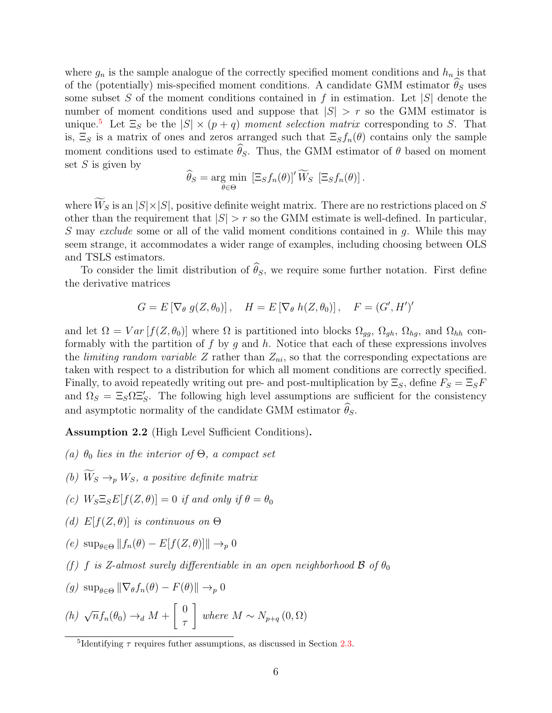where  $g_n$  is the sample analogue of the correctly specified moment conditions and  $h_n$  is that of the (potentially) mis-specified moment conditions. A candidate GMM estimator  $\theta_S$  uses some subset S of the moment conditions contained in f in estimation. Let  $|S|$  denote the number of moment conditions used and suppose that  $|S| > r$  so the GMM estimator is unique.<sup>[5](#page-6-0)</sup> Let  $\Xi_S$  be the  $|S| \times (p+q)$  moment selection matrix corresponding to S. That is,  $\Xi_S$  is a matrix of ones and zeros arranged such that  $\Xi_S f_n(\theta)$  contains only the sample moment conditions used to estimate  $\hat{\theta}_S$ . Thus, the GMM estimator of  $\theta$  based on moment set  $S$  is given by

$$
\widehat{\theta}_S = \underset{\theta \in \Theta}{\arg \min} \ \left[ \Xi_S f_n(\theta) \right]' \widetilde{W}_S \ \left[ \Xi_S f_n(\theta) \right].
$$

where  $\widetilde{W}_S$  is an  $|S| \times |S|$ , positive definite weight matrix. There are no restrictions placed on S other than the requirement that  $|S| > r$  so the GMM estimate is well-defined. In particular, S may exclude some or all of the valid moment conditions contained in g. While this may seem strange, it accommodates a wider range of examples, including choosing between OLS and TSLS estimators.

To consider the limit distribution of  $\hat{\theta}_s$ , we require some further notation. First define the derivative matrices

$$
G = E\left[\nabla_{\theta} g(Z, \theta_0)\right], \quad H = E\left[\nabla_{\theta} h(Z, \theta_0)\right], \quad F = (G', H')'
$$

and let  $\Omega = Var[f(Z, \theta_0)]$  where  $\Omega$  is partitioned into blocks  $\Omega_{gg}$ ,  $\Omega_{gh}$ ,  $\Omega_{hg}$ , and  $\Omega_{hh}$  conformably with the partition of  $f$  by  $g$  and  $h$ . Notice that each of these expressions involves the *limiting random variable Z* rather than  $Z_{ni}$ , so that the corresponding expectations are taken with respect to a distribution for which all moment conditions are correctly specified. Finally, to avoid repeatedly writing out pre- and post-multiplication by  $\Xi_s$ , define  $F_s = \Xi_s F$ and  $\Omega_S = \Xi_S \Omega \Xi_S'$ . The following high level assumptions are sufficient for the consistency and asymptotic normality of the candidate GMM estimator  $\widehat{\theta}_S$ .

<span id="page-6-1"></span>Assumption 2.2 (High Level Sufficient Conditions).

- (a)  $\theta_0$  lies in the interior of  $\Theta$ , a compact set
- (b)  $\widetilde{W}_S \rightarrow_p W_S$ , a positive definite matrix
- (c)  $W_S \Xi_S E[f(Z, \theta)] = 0$  if and only if  $\theta = \theta_0$
- (d)  $E[f(Z, \theta)]$  is continuous on  $\Theta$
- (e)  $\sup_{\theta \in \Theta} ||f_n(\theta) E[f(Z, \theta)]] \rightarrow_p 0$
- (f) f is Z-almost surely differentiable in an open neighborhood  $\mathcal B$  of  $\theta_0$
- $(g) \sup_{\theta \in \Theta} \|\nabla_{\theta}f_n(\theta) F(\theta)\| \to_n 0$

(h) 
$$
\sqrt{n} f_n(\theta_0) \rightarrow_d M + \begin{bmatrix} 0 \\ \tau \end{bmatrix}
$$
 where  $M \sim N_{p+q}(0, \Omega)$ 

<span id="page-6-0"></span><sup>&</sup>lt;sup>5</sup>Identifying  $\tau$  requires futher assumptions, as discussed in Section [2.3.](#page-7-0)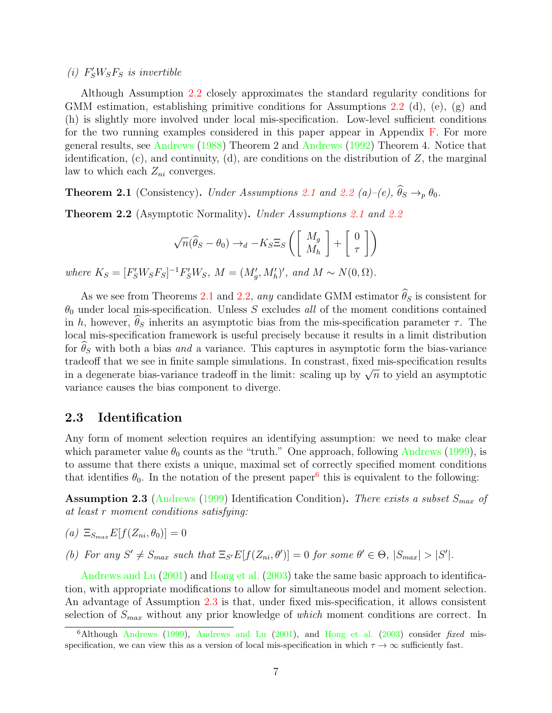(i)  $F'_{S}W_{S}F_{S}$  is invertible

Although Assumption [2.2](#page-6-1) closely approximates the standard regularity conditions for GMM estimation, establishing primitive conditions for Assumptions [2.2](#page-6-1) (d), (e), (g) and (h) is slightly more involved under local mis-specification. Low-level sufficient conditions for the two running examples considered in this paper appear in Appendix [F.](#page-54-1) For more general results, see [Andrews](#page-57-1) [\(1988\)](#page-57-1) Theorem 2 and [Andrews](#page-57-2) [\(1992\)](#page-57-2) Theorem 4. Notice that identification,  $(c)$ , and continuity,  $(d)$ , are conditions on the distribution of  $Z$ , the marginal law to which each  $Z_{ni}$  converges.

<span id="page-7-1"></span>**Theorem [2.1](#page-5-1)** (Consistency). Under Assumptions 2.1 and [2.2](#page-6-1) (a)–(e),  $\hat{\theta}_S \rightarrow_p \theta_0$ .

<span id="page-7-2"></span>Theorem 2.2 (Asymptotic Normality). Under Assumptions [2.1](#page-5-1) and [2.2](#page-6-1)

$$
\sqrt{n}(\widehat{\theta}_S - \theta_0) \rightarrow_d -K_S \Xi_S \left( \begin{bmatrix} M_g \\ M_h \end{bmatrix} + \begin{bmatrix} 0 \\ \tau \end{bmatrix} \right)
$$

where  $K_S = [F'_S W_S F_S]^{-1} F'_S W_S$ ,  $M = (M'_g, M'_h)'$ , and  $M \sim N(0, \Omega)$ .

As we see from Theorems [2.1](#page-7-1) and [2.2,](#page-7-2) any candidate GMM estimator  $\widehat{\theta}_S$  is consistent for  $\theta_0$  under local mis-specification. Unless S excludes all of the moment conditions contained in h, however,  $\hat{\theta}_S$  inherits an asymptotic bias from the mis-specification parameter  $\tau$ . The local mis-specification framework is useful precisely because it results in a limit distribution for  $\theta_S$  with both a bias and a variance. This captures in asymptotic form the bias-variance tradeoff that we see in finite sample simulations. In constrast, fixed mis-specification results in a degenerate bias-variance tradeoff in the limit: scaling up by  $\sqrt{n}$  to yield an asymptotic variance causes the bias component to diverge.

## <span id="page-7-0"></span>2.3 Identification

Any form of moment selection requires an identifying assumption: we need to make clear which parameter value  $\theta_0$  counts as the "truth." One approach, following [Andrews](#page-57-0) [\(1999\)](#page-57-0), is to assume that there exists a unique, maximal set of correctly specified moment conditions that identifies  $\theta_0$ . In the notation of the present paper<sup>[6](#page-7-3)</sup> this is equivalent to the following:

<span id="page-7-4"></span>**Assumption 2.3** [\(Andrews](#page-57-0) [\(1999\)](#page-57-0) Identification Condition). There exists a subset  $S_{max}$  of at least r moment conditions satisfying:

$$
(a) \ \Xi_{S_{max}} E[f(Z_{ni}, \theta_0)] = 0
$$

(b) For any  $S' \neq S_{max}$  such that  $\Xi_{S'}E[f(Z_{ni}, \theta')] = 0$  for some  $\theta' \in \Theta$ ,  $|S_{max}| > |S'|$ .

[Andrews and Lu](#page-58-1) [\(2001\)](#page-58-1) and [Hong et al.](#page-60-0) [\(2003\)](#page-60-0) take the same basic approach to identification, with appropriate modifications to allow for simultaneous model and moment selection. An advantage of Assumption [2.3](#page-7-4) is that, under fixed mis-specification, it allows consistent selection of  $S_{max}$  without any prior knowledge of which moment conditions are correct. In

<span id="page-7-3"></span> $6$ Although [Andrews](#page-57-0) [\(1999\)](#page-57-0), [Andrews and Lu](#page-58-1) [\(2001\)](#page-58-1), and [Hong et al.](#page-60-0) [\(2003\)](#page-60-0) consider fixed misspecification, we can view this as a version of local mis-specification in which  $\tau \to \infty$  sufficiently fast.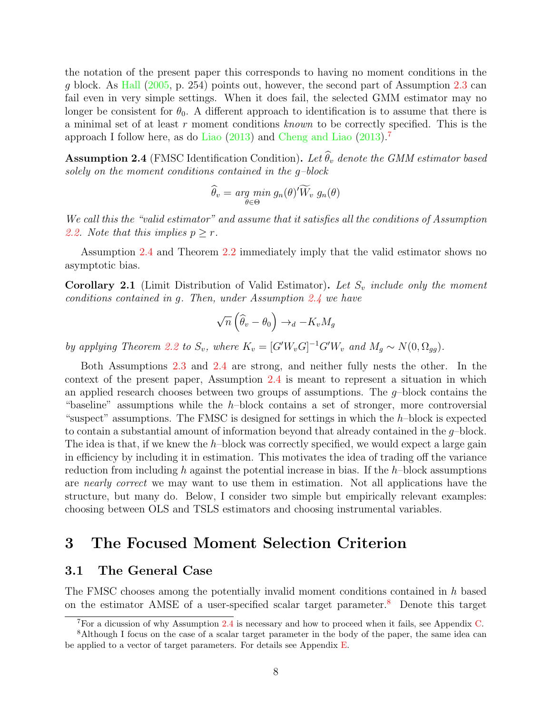the notation of the present paper this corresponds to having no moment conditions in the g block. As [Hall](#page-59-9) [\(2005,](#page-59-9) p. 254) points out, however, the second part of Assumption [2.3](#page-7-4) can fail even in very simple settings. When it does fail, the selected GMM estimator may no longer be consistent for  $\theta_0$ . A different approach to identification is to assume that there is a minimal set of at least r moment conditions known to be correctly specified. This is the approach I follow here, as do [Liao](#page-60-1) [\(2013\)](#page-60-1) and [Cheng and Liao](#page-58-2) [\(2013\)](#page-58-2).[7](#page-8-1)

<span id="page-8-2"></span>**Assumption 2.4** (FMSC Identification Condition). Let  $\widehat{\theta}_v$  denote the GMM estimator based solely on the moment conditions contained in the g–block

$$
\widehat{\theta}_v = \underset{\theta \in \Theta}{\arg \ min} \ g_n(\theta)' \widetilde{W}_v \ g_n(\theta)
$$

We call this the "valid estimator" and assume that it satisfies all the conditions of Assumption [2.2.](#page-6-1) Note that this implies  $p > r$ .

Assumption [2.4](#page-8-2) and Theorem [2.2](#page-7-2) immediately imply that the valid estimator shows no asymptotic bias.

<span id="page-8-4"></span>**Corollary 2.1** (Limit Distribution of Valid Estimator). Let  $S_v$  include only the moment conditions contained in g. Then, under Assumption [2.4](#page-8-2) we have

$$
\sqrt{n}\left(\widehat{\theta}_v - \theta_0\right) \to_d -K_v M_g
$$

by applying Theorem [2.2](#page-7-2) to  $S_v$ , where  $K_v = [G'W_vG]^{-1}G'W_v$  and  $M_g \sim N(0, \Omega_{gg})$ .

Both Assumptions [2.3](#page-7-4) and [2.4](#page-8-2) are strong, and neither fully nests the other. In the context of the present paper, Assumption [2.4](#page-8-2) is meant to represent a situation in which an applied research chooses between two groups of assumptions. The  $g$ -block contains the "baseline" assumptions while the  $h$ -block contains a set of stronger, more controversial "suspect" assumptions. The FMSC is designed for settings in which the  $h$ -block is expected to contain a substantial amount of information beyond that already contained in the  $q$ -block. The idea is that, if we knew the  $h$ -block was correctly specified, we would expect a large gain in efficiency by including it in estimation. This motivates the idea of trading off the variance reduction from including h against the potential increase in bias. If the  $h$ -block assumptions are nearly correct we may want to use them in estimation. Not all applications have the structure, but many do. Below, I consider two simple but empirically relevant examples: choosing between OLS and TSLS estimators and choosing instrumental variables.

# <span id="page-8-0"></span>3 The Focused Moment Selection Criterion

## 3.1 The General Case

The FMSC chooses among the potentially invalid moment conditions contained in h based on the estimator AMSE of a user-specified scalar target parameter.<sup>[8](#page-8-3)</sup> Denote this target

<span id="page-8-3"></span><span id="page-8-1"></span><sup>&</sup>lt;sup>7</sup>For a dicussion of why Assumption [2.4](#page-8-2) is necessary and how to proceed when it fails, see Appendix [C.](#page-53-1)

<sup>8</sup>Although I focus on the case of a scalar target parameter in the body of the paper, the same idea can be applied to a vector of target parameters. For details see Appendix [E.](#page-54-0)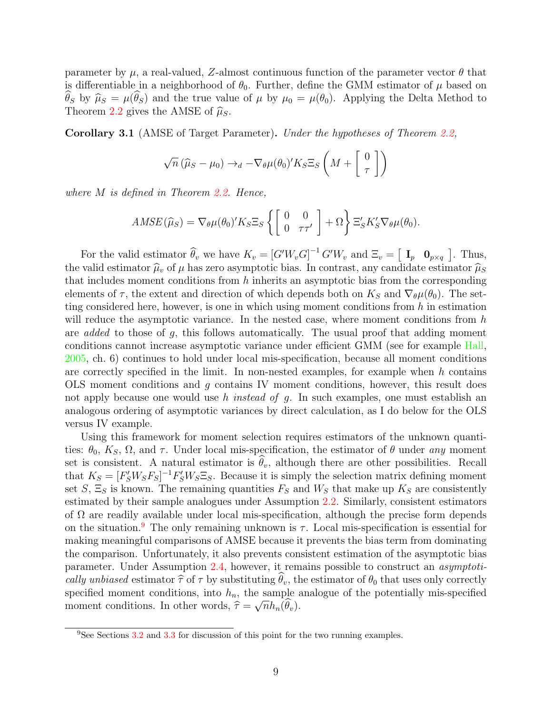parameter by  $\mu$ , a real-valued, Z-almost continuous function of the parameter vector  $\theta$  that is differentiable in a neighborhood of  $\theta_0$ . Further, define the GMM estimator of  $\mu$  based on  $\hat{\theta}_S$  by  $\hat{\mu}_S = \mu(\hat{\theta}_S)$  and the true value of  $\mu$  by  $\mu_0 = \mu(\theta_0)$ . Applying the Delta Method to Theorem [2.2](#page-7-2) gives the AMSE of  $\hat{\mu}_S$ .

<span id="page-9-1"></span>Corollary 3.1 (AMSE of Target Parameter). Under the hypotheses of Theorem [2.2,](#page-7-2)

$$
\sqrt{n} \left( \widehat{\mu}_S - \mu_0 \right) \to_d -\nabla_{\theta} \mu(\theta_0)' K_S \Xi_S \left( M + \begin{bmatrix} 0 \\ \tau \end{bmatrix} \right)
$$

where M is defined in Theorem [2.2.](#page-7-2) Hence,

$$
AMSE(\widehat{\mu}_S) = \nabla_{\theta} \mu(\theta_0)' K_S \Xi_S \left\{ \begin{bmatrix} 0 & 0 \\ 0 & \tau \tau' \end{bmatrix} + \Omega \right\} \Xi'_S K'_S \nabla_{\theta} \mu(\theta_0).
$$

For the valid estimator  $\widehat{\theta}_v$  we have  $K_v = [G'W_v G]^{-1} G'W_v$  and  $\Xi_v = [\begin{bmatrix} \mathbf{I}_p & \mathbf{0}_{p \times q} \end{bmatrix}]$ . Thus, the valid estimator  $\hat{\mu}_v$  of  $\mu$  has zero asymptotic bias. In contrast, any candidate estimator  $\hat{\mu}_S$ that includes moment conditions from  $h$  inherits an asymptotic bias from the corresponding elements of  $\tau$ , the extent and direction of which depends both on  $K_S$  and  $\nabla_{\theta} \mu(\theta_0)$ . The setting considered here, however, is one in which using moment conditions from  $h$  in estimation will reduce the asymptotic variance. In the nested case, where moment conditions from  $h$ are added to those of g, this follows automatically. The usual proof that adding moment conditions cannot increase asymptotic variance under efficient GMM (see for example [Hall,](#page-59-9) [2005,](#page-59-9) ch. 6) continues to hold under local mis-specification, because all moment conditions are correctly specified in the limit. In non-nested examples, for example when  $h$  contains OLS moment conditions and g contains IV moment conditions, however, this result does not apply because one would use h *instead of g*. In such examples, one must establish an analogous ordering of asymptotic variances by direct calculation, as I do below for the OLS versus IV example.

Using this framework for moment selection requires estimators of the unknown quantities:  $\theta_0$ ,  $K_S$ ,  $\Omega$ , and  $\tau$ . Under local mis-specification, the estimator of  $\theta$  under any moment set is consistent. A natural estimator is  $\hat{\theta}_v$ , although there are other possibilities. Recall that  $K_S = [F'_S W_S F_S]^{-1} F'_S W_S \Xi_S$ . Because it is simply the selection matrix defining moment set  $S$ ,  $\Xi_S$  is known. The remaining quantities  $F_S$  and  $W_S$  that make up  $K_S$  are consistently estimated by their sample analogues under Assumption [2.2.](#page-6-1) Similarly, consistent estimators of  $\Omega$  are readily available under local mis-specification, although the precise form depends on the situation.<sup>[9](#page-9-0)</sup> The only remaining unknown is  $\tau$ . Local mis-specification is essential for making meaningful comparisons of AMSE because it prevents the bias term from dominating the comparison. Unfortunately, it also prevents consistent estimation of the asymptotic bias parameter. Under Assumption [2.4,](#page-8-2) however, it remains possible to construct an asymptotically unbiased estimator  $\hat{\tau}$  of  $\tau$  by substituting  $\hat{\theta}_v$ , the estimator of  $\theta_0$  that uses only correctly specified moment conditions, into  $h_n$ , the sample analogue of the potentially mis-specified moment conditions. In other words,  $\hat{\tau} = \sqrt{n}h_n(\theta_v)$ .

<span id="page-9-0"></span><sup>9</sup>See Sections [3.2](#page-11-0) and [3.3](#page-13-0) for discussion of this point for the two running examples.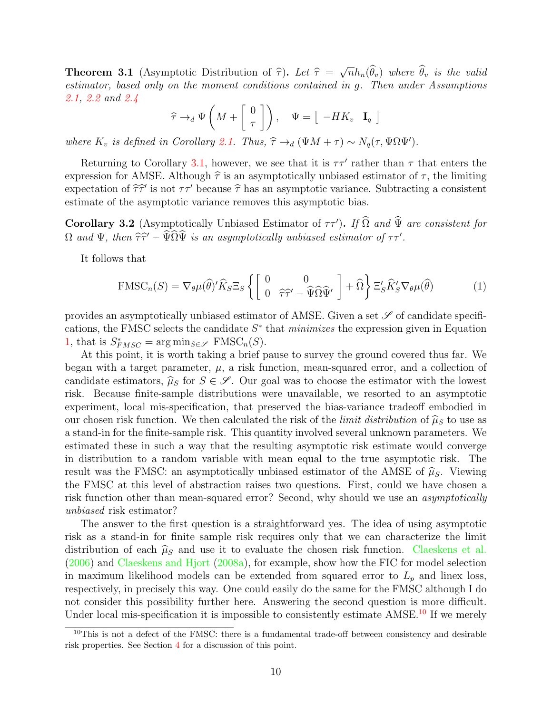<span id="page-10-3"></span>**Theorem 3.1** (Asymptotic Distribution of  $\hat{\tau}$ ). Let  $\hat{\tau} =$ <br>estimator, based only on the moment conditions contained √  $\overline{n}h_n(\theta_v)$  where  $\theta_v$  is the valid estimator, based only on the moment conditions contained in g. Then under Assumptions [2.1,](#page-5-1) [2.2](#page-6-1) and [2.4](#page-8-2)

$$
\widehat{\tau} \to_d \Psi \left( M + \begin{bmatrix} 0 \\ \tau \end{bmatrix} \right), \quad \Psi = \begin{bmatrix} -HK_v & \mathbf{I}_q \end{bmatrix}
$$

where  $K_v$  is defined in Corollary [2.1.](#page-8-4) Thus,  $\hat{\tau} \rightarrow_d (\Psi M + \tau) \sim N_q(\tau, \Psi \Omega \Psi')$ .

Returning to Corollary 3.[1,](#page-9-1) however, we see that it is  $\tau\tau'$  rather than  $\tau$  that enters the expression for AMSE. Although  $\hat{\tau}$  is an asymptotically unbiased estimator of  $\tau$ , the limiting expectation of  $\hat{\tau}\hat{\tau}'$  is not  $\tau\tau'$  because  $\hat{\tau}$  has an asymptotic variance. Subtracting a consistent estimate of the asymptotic variance removes this asymptotic bias estimate of the asymptotic variance removes this asymptotic bias.

<span id="page-10-2"></span>**Corollary 3.2** (Asymptotically Unbiased Estimator of  $\tau \tau'$ ). If  $\hat{\Omega}$  and  $\hat{\Psi}$  are consistent for  $\Omega$  and  $\Psi$ , then  $\hat{\tau}\hat{\tau}' - \hat{\Psi}\hat{\Omega}\hat{\Psi}$  is an asymptotically unbiased estimator of  $\tau\tau'$ .

It follows that

<span id="page-10-0"></span>
$$
\text{FMSC}_n(S) = \nabla_{\theta} \mu(\widehat{\theta})' \widehat{K}_S \Xi_S \left\{ \begin{bmatrix} 0 & 0 \\ 0 & \widehat{\tau}\widehat{\tau}' - \widehat{\Psi}\widehat{\Omega}\widehat{\Psi}' \end{bmatrix} + \widehat{\Omega} \right\} \Xi'_S \widehat{K}'_S \nabla_{\theta} \mu(\widehat{\theta}) \tag{1}
$$

provides an asymptotically unbiased estimator of AMSE. Given a set  $\mathscr S$  of candidate specifications, the FMSC selects the candidate  $S^*$  that *minimizes* the expression given in Equation [1,](#page-10-0) that is  $S^*_{FMSC} = \arg \min_{S \in \mathcal{S}} \text{FMSC}_n(S)$ .

At this point, it is worth taking a brief pause to survey the ground covered thus far. We began with a target parameter,  $\mu$ , a risk function, mean-squared error, and a collection of candidate estimators,  $\hat{\mu}_S$  for  $S \in \mathscr{S}$ . Our goal was to choose the estimator with the lowest risk. Because finite-sample distributions were unavailable, we resorted to an asymptotic experiment, local mis-specification, that preserved the bias-variance tradeoff embodied in our chosen risk function. We then calculated the risk of the *limit distribution* of  $\hat{\mu}_S$  to use as a stand-in for the finite-sample risk. This quantity involved several unknown parameters. We estimated these in such a way that the resulting asymptotic risk estimate would converge in distribution to a random variable with mean equal to the true asymptotic risk. The result was the FMSC: an asymptotically unbiased estimator of the AMSE of  $\hat{\mu}_S$ . Viewing the FMSC at this level of abstraction raises two questions. First, could we have chosen a risk function other than mean-squared error? Second, why should we use an *asymptotically* unbiased risk estimator?

The answer to the first question is a straightforward yes. The idea of using asymptotic risk as a stand-in for finite sample risk requires only that we can characterize the limit distribution of each  $\hat{\mu}_S$  and use it to evaluate the chosen risk function. [Claeskens et al.](#page-58-10) [\(2006\)](#page-58-10) and [Claeskens and Hjort](#page-58-11) [\(2008a\)](#page-58-11), for example, show how the FIC for model selection in maximum likelihood models can be extended from squared error to  $L_p$  and linex loss, respectively, in precisely this way. One could easily do the same for the FMSC although I do not consider this possibility further here. Answering the second question is more difficult. Under local mis-specification it is impossible to consistently estimate AMSE.<sup>[10](#page-10-1)</sup> If we merely

<span id="page-10-1"></span> $10$ This is not a defect of the FMSC: there is a fundamental trade-off between consistency and desirable risk properties. See Section [4](#page-15-0) for a discussion of this point.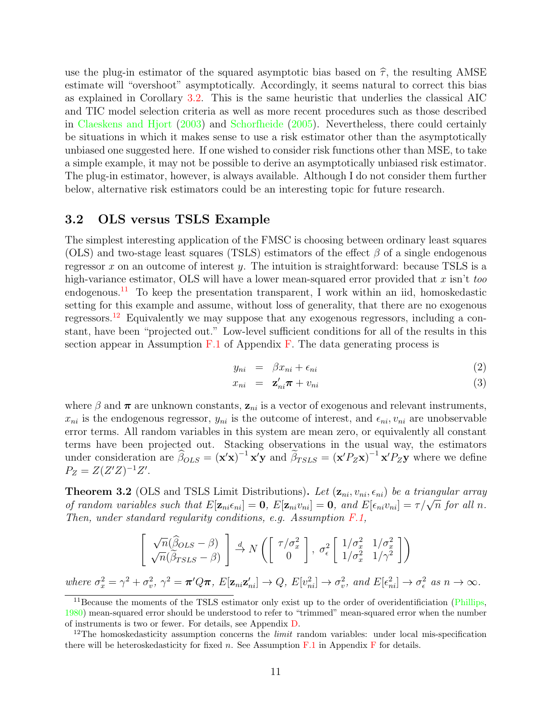use the plug-in estimator of the squared asymptotic bias based on  $\hat{\tau}$ , the resulting AMSE estimate will "overshoot" asymptotically. Accordingly, it seems natural to correct this bias as explained in Corollary [3.2.](#page-10-2) This is the same heuristic that underlies the classical AIC and TIC model selection criteria as well as more recent procedures such as those described in [Claeskens and Hjort](#page-58-0) [\(2003\)](#page-58-0) and [Schorfheide](#page-61-0) [\(2005\)](#page-61-0). Nevertheless, there could certainly be situations in which it makes sense to use a risk estimator other than the asymptotically unbiased one suggested here. If one wished to consider risk functions other than MSE, to take a simple example, it may not be possible to derive an asymptotically unbiased risk estimator. The plug-in estimator, however, is always available. Although I do not consider them further below, alternative risk estimators could be an interesting topic for future research.

## <span id="page-11-0"></span>3.2 OLS versus TSLS Example

The simplest interesting application of the FMSC is choosing between ordinary least squares (OLS) and two-stage least squares (TSLS) estimators of the effect  $\beta$  of a single endogenous regressor  $x$  on an outcome of interest  $y$ . The intuition is straightforward: because TSLS is a high-variance estimator, OLS will have a lower mean-squared error provided that  $x$  isn't too endogenous.<sup>[11](#page-11-1)</sup> To keep the presentation transparent, I work within an iid, homoskedastic setting for this example and assume, without loss of generality, that there are no exogenous regressors.[12](#page-11-2) Equivalently we may suppose that any exogenous regressors, including a constant, have been "projected out." Low-level sufficient conditions for all of the results in this section appear in Assumption  $F.1$  of Appendix [F.](#page-54-1) The data generating process is

$$
y_{ni} = \beta x_{ni} + \epsilon_{ni} \tag{2}
$$

$$
x_{ni} = \mathbf{z}_{ni}'\boldsymbol{\pi} + v_{ni} \tag{3}
$$

where  $\beta$  and  $\pi$  are unknown constants,  $z_{ni}$  is a vector of exogenous and relevant instruments,  $x_{ni}$  is the endogenous regressor,  $y_{ni}$  is the outcome of interest, and  $\epsilon_{ni}$ ,  $v_{ni}$  are unobservable error terms. All random variables in this system are mean zero, or equivalently all constant terms have been projected out. Stacking observations in the usual way, the estimators under consideration are  $\hat{\beta}_{OLS} = (\mathbf{x}'\mathbf{x})^{-1}\mathbf{x}'\mathbf{y}$  and  $\tilde{\beta}_{TSLS} = (\mathbf{x}'P_Z\mathbf{x})^{-1}\mathbf{x}'P_Z\mathbf{y}$  where we define  $P_Z = Z(Z'Z)^{-1}Z'.$ 

<span id="page-11-3"></span>**Theorem 3.2** (OLS and TSLS Limit Distributions). Let  $(\mathbf{z}_{ni}, v_{ni}, \epsilon_{ni})$  be a triangular array **Theorem 3.2** (OLS and 15LS Linni Distributions). Let  $(\mathbf{z}_{ni}, v_{ni}, \epsilon_{ni})$  be a triangular array of random variables such that  $E[\mathbf{z}_{ni}\epsilon_{ni}] = \mathbf{0}$ ,  $E[\mathbf{z}_{ni}v_{ni}] = \mathbf{0}$ , and  $E[\epsilon_{ni}v_{ni}] = \tau/\sqrt{n}$  for all n. Then, under standard regularity conditions, e.g. Assumption  $F.1$ ,

$$
\begin{bmatrix}\n\sqrt{n}(\widehat{\beta}_{OLS} - \beta) \\
\sqrt{n}(\widehat{\beta}_{TSLS} - \beta)\n\end{bmatrix} \stackrel{d}{\rightarrow} N\left(\begin{bmatrix}\n\tau/\sigma_x^2 \\
0\n\end{bmatrix}, \sigma_\epsilon^2 \begin{bmatrix}\n1/\sigma_x^2 & 1/\sigma_x^2 \\
1/\sigma_x^2 & 1/\gamma^2\n\end{bmatrix}\right)
$$
\n
$$
\sigma_z^2 + \sigma_z^2 \sim \sigma_z^2 - \sigma_z^2/\sigma_\epsilon \quad \text{Fig. g'}, \quad \forall \Omega, \quad \text{Fig. g'}, \quad \text{Fig. g'}, \quad \text{Fig. g'}, \quad \text{Fig. g'}, \quad \text{Fig. g'}, \quad \text{Fig. g'}, \quad \text{Fig. g'}, \quad \text{Fig. g'}, \quad \text{Fig. g'}, \quad \text{Fig. g'}, \quad \text{Fig. g'}, \quad \text{Fig. g'}, \quad \text{Fig. g'}, \quad \text{Fig. g'}, \quad \text{Fig. g'}, \quad \text{Fig. g'}, \quad \text{Fig. g'}, \quad \text{Fig. g'}, \quad \text{Fig. g'}, \quad \text{Fig. g'}, \quad \text{Fig. g'}, \quad \text{Fig. g'}, \quad \text{Fig. g'}, \quad \text{Fig. g'}, \quad \text{Fig. g'}, \quad \text{Fig. g'}, \quad \text{Fig. g'}, \quad \text{Fig. g'}, \quad \text{Fig. g'}, \quad \text{Fig. g'}, \quad \text{Fig. g'}, \quad \text{Fig. g'}, \quad \text{Fig. g'}, \quad \text{Fig. g'}, \quad \text{Fig. g'}, \quad \text{Fig. g'}, \quad \text{Fig. g'}, \quad \text{Fig. g'}, \quad \text{Fig. g'}, \quad \text{Fig. g'}, \quad \text{Fig. g'}, \quad \text{Fig. g'}, \quad \text{Fig. g'}, \quad \text{Fig. g'}, \quad \text{Fig. g'}, \quad \text{Fig. g'}, \quad \text{Fig. g'}, \quad \text{Fig. g'}, \quad \text{Fig. g'}, \quad \text{Fig. g'}, \quad \text{Fig. g'}, \quad \text{Fig. g'}, \quad \text{Fig. g'}, \quad \text{Fig. g'}, \quad \text{Fig. g'}, \quad \text{Fig. g'}, \quad \text{Fig. g'}, \quad \text{Fig. g'}, \quad \text{Fig. g'}, \quad \text{Fig. g'}, \quad \text{Fig. g'}, \quad \text{Fig. g'}, \quad \text{Fig. g'}, \quad \text{Fig. g
$$

where  $\sigma_x^2 = \gamma^2 + \sigma_v^2$ ,  $\gamma^2 = \pi' Q \pi$ ,  $E[\mathbf{z}_{ni} \mathbf{z}_{ni}'] \to Q$ ,  $E[v_{ni}^2] \to \sigma_v^2$ , and  $E[\epsilon_{ni}^2] \to \sigma_{\epsilon}^2$  as  $n \to \infty$ .

<span id="page-11-1"></span><sup>&</sup>lt;sup>11</sup>Because the moments of the TSLS estimator only exist up to the order of overidentificiation [\(Phillips,](#page-61-5) [1980\)](#page-61-5) mean-squared error should be understood to refer to "trimmed" mean-squared error when the number of instruments is two or fewer. For details, see Appendix [D.](#page-53-0)

<span id="page-11-2"></span><sup>&</sup>lt;sup>12</sup>The homoskedasticity assumption concerns the *limit* random variables: under local mis-specification there will be heteroskedasticity for fixed n. See Assumption  $F.1$  in Appendix [F](#page-54-1) for details.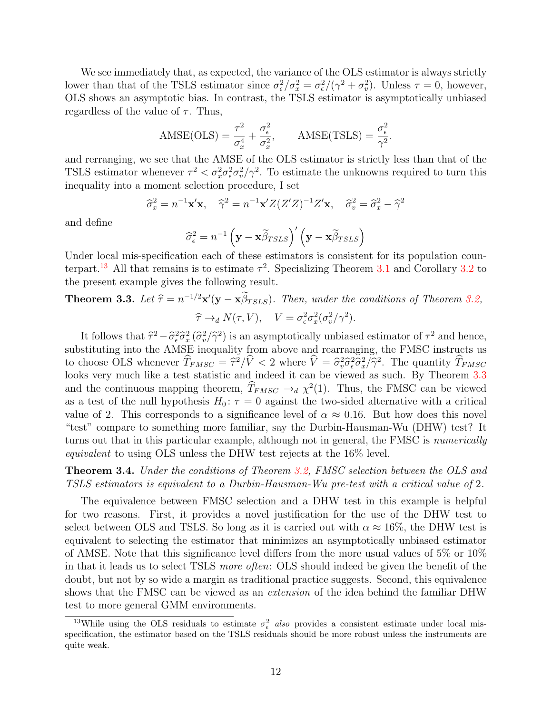We see immediately that, as expected, the variance of the OLS estimator is always strictly lower than that of the TSLS estimator since  $\sigma_{\epsilon}^2/\sigma_x^2 = \sigma_{\epsilon}^2/(\gamma^2 + \sigma_v^2)$ . Unless  $\tau = 0$ , however, OLS shows an asymptotic bias. In contrast, the TSLS estimator is asymptotically unbiased regardless of the value of  $\tau$ . Thus,

$$
AMSE(OLS) = \frac{\tau^2}{\sigma_x^4} + \frac{\sigma_\epsilon^2}{\sigma_x^2}, \quad AMSE(TSLS) = \frac{\sigma_\epsilon^2}{\gamma^2}.
$$

and rerranging, we see that the AMSE of the OLS estimator is strictly less than that of the TSLS estimator whenever  $\tau^2 < \sigma_x^2 \sigma_v^2 \sigma_v^2/\gamma^2$ . To estimate the unknowns required to turn this inequality into a moment selection procedure, I set

$$
\hat{\sigma}_x^2 = n^{-1} \mathbf{x}' \mathbf{x}, \quad \hat{\gamma}^2 = n^{-1} \mathbf{x}' Z (Z' Z)^{-1} Z' \mathbf{x}, \quad \hat{\sigma}_v^2 = \hat{\sigma}_x^2 - \hat{\gamma}^2
$$

and define

$$
\widehat{\sigma}_{\epsilon}^{2} = n^{-1} \left( \mathbf{y} - \mathbf{x} \widetilde{\beta}_{TSLS} \right)' \left( \mathbf{y} - \mathbf{x} \widetilde{\beta}_{TSLS} \right)
$$

Under local mis-specification each of these estimators is consistent for its population coun-terpart.<sup>[13](#page-12-0)</sup> All that remains is to estimate  $\tau^2$ . Specializing Theorem [3.1](#page-10-3) and Corollary [3.2](#page-10-2) to the present example gives the following result.

# <span id="page-12-1"></span>**Theorem 3.3.** Let  $\hat{\tau} = n^{-1/2} \mathbf{x}'(\mathbf{y} - \mathbf{x} \hat{\beta}_{TSLS})$ . Then, under the conditions of Theorem [3.2,](#page-11-3)  $\hat{\tau} \rightarrow_d N(\tau, V), \quad V = \sigma_{\epsilon}^2 \sigma_x^2 (\sigma_v^2 / \gamma^2).$

It follows that  $\hat{\tau}^2 - \hat{\sigma}_{\epsilon}^2 \hat{\sigma}_{x}^2 (\hat{\sigma}_{v}^2/\hat{\gamma}^2)$  is an asymptotically unbiased estimator of  $\tau^2$  and hence,<br>stituting into the AMSE inequality from above and rearranging, the EMSC instructs us substituting into the AMSE inequality from above and rearranging, the FMSC instructs us to choose OLS whenever  $\hat{T}_{FMSC} = \hat{\tau}^2/\hat{V} < 2$  where  $\hat{V} = \hat{\sigma}_v^2 \hat{\sigma}_\epsilon^2 \hat{\sigma}_x^2/\hat{\gamma}^2$ . The quantity  $\hat{T}_{FMSC}$ looks very much like a test statistic and indeed it can be viewed as such. By Theorem [3.3](#page-12-1) and the continuous mapping theorem,  $\hat{T}_{FMSC} \rightarrow_d \chi^2(1)$ . Thus, the FMSC can be viewed as a test of the null hypothesis  $H_0$ :  $\tau = 0$  against the two-sided alternative with a critical value of 2. This corresponds to a significance level of  $\alpha \approx 0.16$ . But how does this novel "test" compare to something more familiar, say the Durbin-Hausman-Wu (DHW) test? It turns out that in this particular example, although not in general, the FMSC is *numerically* equivalent to using OLS unless the DHW test rejects at the 16% level.

<span id="page-12-2"></span>Theorem 3.4. Under the conditions of Theorem [3.2,](#page-11-3) FMSC selection between the OLS and TSLS estimators is equivalent to a Durbin-Hausman-Wu pre-test with a critical value of 2.

The equivalence between FMSC selection and a DHW test in this example is helpful for two reasons. First, it provides a novel justification for the use of the DHW test to select between OLS and TSLS. So long as it is carried out with  $\alpha \approx 16\%$ , the DHW test is equivalent to selecting the estimator that minimizes an asymptotically unbiased estimator of AMSE. Note that this significance level differs from the more usual values of 5% or 10% in that it leads us to select TSLS more often: OLS should indeed be given the benefit of the doubt, but not by so wide a margin as traditional practice suggests. Second, this equivalence shows that the FMSC can be viewed as an extension of the idea behind the familiar DHW test to more general GMM environments.

<span id="page-12-0"></span><sup>&</sup>lt;sup>13</sup>While using the OLS residuals to estimate  $\sigma_{\epsilon}^2$  also provides a consistent estimate under local misspecification, the estimator based on the TSLS residuals should be more robust unless the instruments are quite weak.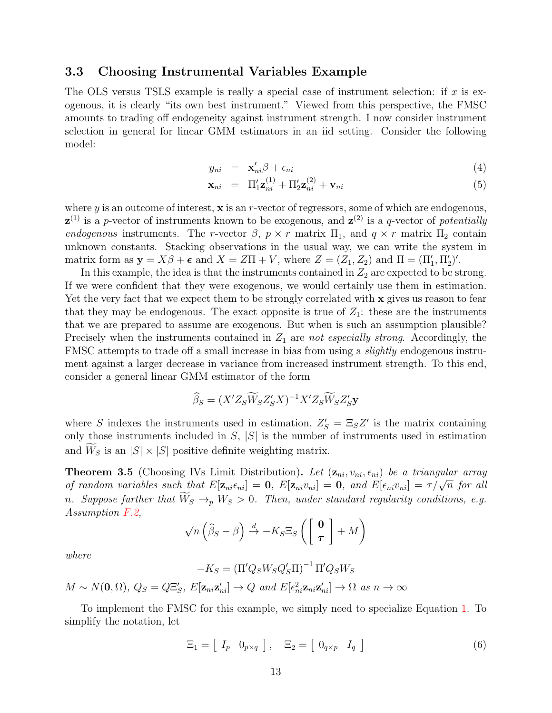## <span id="page-13-0"></span>3.3 Choosing Instrumental Variables Example

The OLS versus TSLS example is really a special case of instrument selection: if  $x$  is exogenous, it is clearly "its own best instrument." Viewed from this perspective, the FMSC amounts to trading off endogeneity against instrument strength. I now consider instrument selection in general for linear GMM estimators in an iid setting. Consider the following model:

$$
y_{ni} = \mathbf{x}'_{ni} \beta + \epsilon_{ni} \tag{4}
$$

$$
\mathbf{x}_{ni} = \Pi'_1 \mathbf{z}_{ni}^{(1)} + \Pi'_2 \mathbf{z}_{ni}^{(2)} + \mathbf{v}_{ni}
$$
\n
$$
(5)
$$

where  $y$  is an outcome of interest,  $x$  is an  $r$ -vector of regressors, some of which are endogenous,  $\mathbf{z}^{(1)}$  is a p-vector of instruments known to be exogenous, and  $\mathbf{z}^{(2)}$  is a q-vector of potentially endogenous instruments. The r-vector  $\beta$ ,  $p \times r$  matrix  $\Pi_1$ , and  $q \times r$  matrix  $\Pi_2$  contain unknown constants. Stacking observations in the usual way, we can write the system in matrix form as  $\mathbf{y} = X\beta + \boldsymbol{\epsilon}$  and  $X = Z\Pi + V$ , where  $Z = (Z_1, Z_2)$  and  $\Pi = (\Pi'_1, \Pi'_2)'$ .

In this example, the idea is that the instruments contained in  $Z_2$  are expected to be strong. If we were confident that they were exogenous, we would certainly use them in estimation. Yet the very fact that we expect them to be strongly correlated with x gives us reason to fear that they may be endogenous. The exact opposite is true of  $Z_1$ : these are the instruments that we are prepared to assume are exogenous. But when is such an assumption plausible? Precisely when the instruments contained in  $Z_1$  are not especially strong. Accordingly, the FMSC attempts to trade off a small increase in bias from using a slightly endogenous instrument against a larger decrease in variance from increased instrument strength. To this end, consider a general linear GMM estimator of the form

$$
\widehat{\beta}_S = (X'Z_S\widetilde{W}_SZ'_SX)^{-1}X'Z_S\widetilde{W}_SZ'_S\mathbf{y}
$$

where S indexes the instruments used in estimation,  $Z'_{S} = \Xi_{S}Z'$  is the matrix containing only those instruments included in  $S$ ,  $|S|$  is the number of instruments used in estimation and  $W_S$  is an  $|S| \times |S|$  positive definite weighting matrix.

<span id="page-13-1"></span>**Theorem 3.5** (Choosing IVs Limit Distribution). Let  $(\mathbf{z}_{ni}, v_{ni}, \epsilon_{ni})$  be a triangular array **Theorem 3.3** (Choosing IVS Limit Distribution). Let  $(\mathbf{z}_{ni}, v_{ni}, \epsilon_{ni})$  be a triangular array of random variables such that  $E[\mathbf{z}_{ni}\epsilon_{ni}] = \mathbf{0}$ ,  $E[\mathbf{z}_{ni}v_{ni}] = \mathbf{0}$ , and  $E[\epsilon_{ni}v_{ni}] = \tau/\sqrt{n}$  for all n. Suppose further that  $\tilde{W}_S \rightarrow_p W_S > 0$ . Then, under standard regularity conditions, e.g. Assumption [F.2,](#page-55-0)

$$
\sqrt{n}\left(\widehat{\beta}_S-\beta\right) \stackrel{d}{\rightarrow} -K_S \Xi_S \left(\left[\begin{array}{c}\mathbf{0}\\ \boldsymbol{\tau}\end{array}\right]+M\right)
$$

where

$$
-K_S = \left(\Pi'Q_S W_S Q'_S \Pi\right)^{-1} \Pi' Q_S W_S
$$

$$
M \sim N(\mathbf{0}, \Omega), \ Q_S = Q\Xi'_S, \ E[\mathbf{z}_{ni}\mathbf{z}'_{ni}] \to Q \ and \ E[\epsilon_{ni}^2 \mathbf{z}_{ni}\mathbf{z}'_{ni}] \to \Omega \ as \ n \to \infty
$$

To implement the FMSC for this example, we simply need to specialize Equation [1.](#page-10-0) To simplify the notation, let

<span id="page-13-2"></span>
$$
\Xi_1 = \left[ \begin{array}{cc} I_p & 0_{p \times q} \end{array} \right], \quad \Xi_2 = \left[ \begin{array}{cc} 0_{q \times p} & I_q \end{array} \right] \tag{6}
$$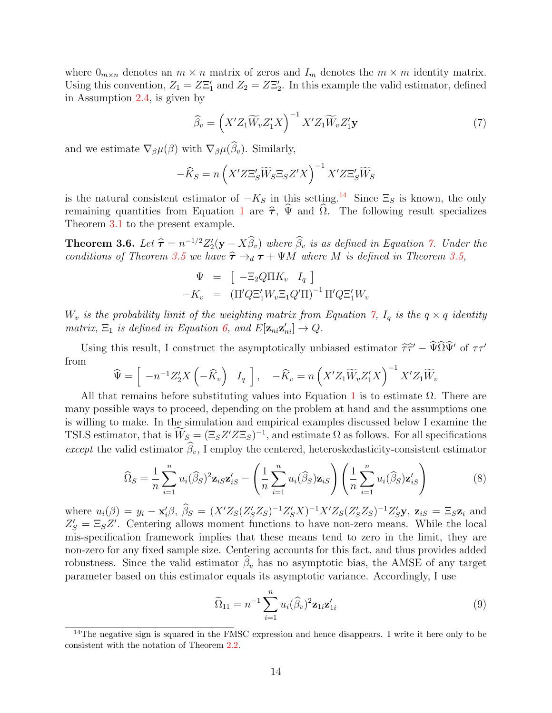where  $0_{m \times n}$  denotes an  $m \times n$  matrix of zeros and  $I_m$  denotes the  $m \times m$  identity matrix. Using this convention,  $Z_1 = Z\Xi'_1$  and  $Z_2 = Z\Xi'_2$ . In this example the valid estimator, defined in Assumption [2.4,](#page-8-2) is given by

<span id="page-14-1"></span>
$$
\widehat{\beta}_v = \left( X' Z_1 \widetilde{W}_v Z_1' X \right)^{-1} X' Z_1 \widetilde{W}_v Z_1' \mathbf{y} \tag{7}
$$

and we estimate  $\nabla_{\beta}\mu(\beta)$  with  $\nabla_{\beta}\mu(\widehat{\beta}_v)$ . Similarly,

$$
-\widehat{K}_S = n\left(X'Z\Xi'_S\widetilde{W}_S\Xi_S Z'X\right)^{-1}X'Z\Xi'_S\widetilde{W}_S
$$

is the natural consistent estimator of  $-K_S$  in this setting.<sup>[14](#page-14-0)</sup> Since  $\Xi_S$  is known, the only remaining quantities from Equation [1](#page-10-0) are  $\hat{\tau}$ ,  $\hat{\Psi}$  and  $\hat{\Omega}$ . The following result specializes Theorem [3.1](#page-10-3) to the present example.

**Theorem 3.6.** Let  $\hat{\tau} = n^{-1/2} Z_2'(\mathbf{y} - X\hat{\beta}_v)$  where  $\hat{\beta}_v$  is as defined in Equation [7.](#page-14-1) Under the conditions of Theorem 2.5 we have  $\hat{\tau}$  to  $\tau$  where M is defined in Theorem 2.5 conditions of Theorem [3.5](#page-13-1) we have  $\hat{\tau} \rightarrow_d \tau + \Psi M$  where M is defined in Theorem [3.5,](#page-13-1)

$$
\Psi = \left[ -\Xi_2 Q \Pi K_v \quad I_q \right] \n-K_v = \left( \Pi' Q \Xi'_1 W_v \Xi_1 Q' \Pi \right)^{-1} \Pi' Q \Xi'_1 W_v
$$

 $W_v$  is the probability limit of the weighting matrix from Equation [7,](#page-14-1)  $I_q$  is the  $q \times q$  identity matrix,  $\Xi_1$  is defined in Equation [6,](#page-13-2) and  $E[\mathbf{z}_{ni} \mathbf{z}_{ni}'] \rightarrow Q$ .

Using this result, I construct the asymptotically unbiased estimator  $\hat{\tau}\hat{\tau}' - \hat{\Psi}\Omega\hat{\Psi}'$  of  $\tau\tau'$ from

$$
\widehat{\Psi} = \left[ \begin{array}{cc} -n^{-1}Z_2'X \left( -\widehat{K}_v \right) & I_q \end{array} \right], \quad -\widehat{K}_v = n \left( X'Z_1\widetilde{W}_vZ_1'X \right)^{-1} X'Z_1\widetilde{W}_v
$$

All that remains before substituting values into Equation [1](#page-10-0) is to estimate  $\Omega$ . There are many possible ways to proceed, depending on the problem at hand and the assumptions one is willing to make. In the simulation and empirical examples discussed below I examine the TSLS estimator, that is  $\overline{W}_S = (\Xi_S Z' Z \Xi_S)^{-1}$ , and estimate  $\Omega$  as follows. For all specifications except the valid estimator  $\widehat{\beta}_v$ , I employ the centered, heteroskedasticity-consistent estimator

$$
\widehat{\Omega}_S = \frac{1}{n} \sum_{i=1}^n u_i(\widehat{\beta}_S)^2 \mathbf{z}_{iS} \mathbf{z}'_{iS} - \left(\frac{1}{n} \sum_{i=1}^n u_i(\widehat{\beta}_S) \mathbf{z}_{iS}\right) \left(\frac{1}{n} \sum_{i=1}^n u_i(\widehat{\beta}_S) \mathbf{z}'_{iS}\right)
$$
(8)

where  $u_i(\beta) = y_i - \mathbf{x}_i' \beta$ ,  $\widehat{\beta}_S = (X'Z_S(Z_S'Z_S)^{-1}Z'_S X)^{-1}X'Z_S(Z'_S Z_S)^{-1}Z'_S \mathbf{y}$ ,  $\mathbf{z}_{iS} = \Xi_S \mathbf{z}_i$  and  $Z'_S = \Xi_S Z'$ . Centering allows moment functions to have non-zero means. While the local mis-specification framework implies that these means tend to zero in the limit, they are non-zero for any fixed sample size. Centering accounts for this fact, and thus provides added robustness. Since the valid estimator  $\beta_v$  has no asymptotic bias, the AMSE of any target parameter based on this estimator equals its asymptotic variance. Accordingly, I use

$$
\widetilde{\Omega}_{11} = n^{-1} \sum_{i=1}^{n} u_i(\widehat{\beta}_v)^2 \mathbf{z}_{1i} \mathbf{z}'_{1i}
$$
\n(9)

<span id="page-14-0"></span><sup>&</sup>lt;sup>14</sup>The negative sign is squared in the FMSC expression and hence disappears. I write it here only to be consistent with the notation of Theorem [2.2.](#page-7-2)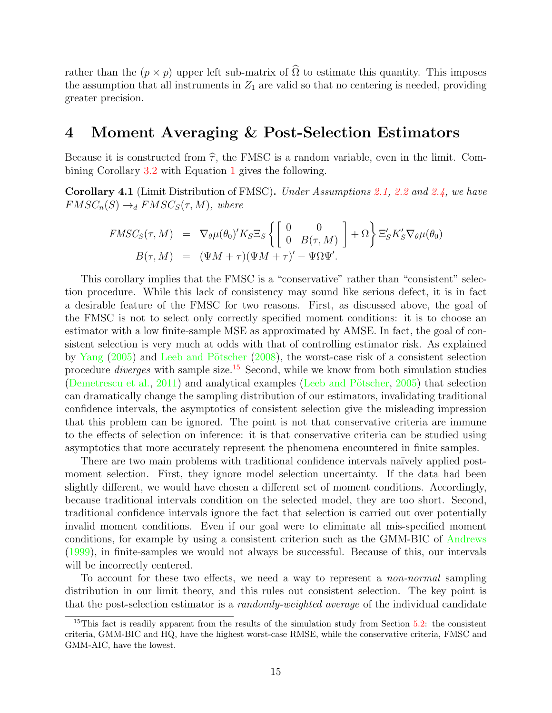rather than the  $(p \times p)$  upper left sub-matrix of  $\widehat{\Omega}$  to estimate this quantity. This imposes the assumption that all instruments in  $Z_1$  are valid so that no centering is needed, providing greater precision.

## <span id="page-15-0"></span>4 Moment Averaging & Post-Selection Estimators

Because it is constructed from  $\hat{\tau}$ , the FMSC is a random variable, even in the limit. Combining Corollary [3.2](#page-10-2) with Equation [1](#page-10-0) gives the following.

<span id="page-15-2"></span>Corollary 4.1 (Limit Distribution of FMSC). Under Assumptions [2.1,](#page-5-1) [2.2](#page-6-1) and [2.4,](#page-8-2) we have  $FMSC_n(S) \rightarrow_d FMSC_S(\tau, M)$ , where

$$
FMSC_S(\tau, M) = \nabla_{\theta}\mu(\theta_0)'K_S \Xi_S \left\{ \begin{bmatrix} 0 & 0 \\ 0 & B(\tau, M) \end{bmatrix} + \Omega \right\} \Xi'_S K'_S \nabla_{\theta}\mu(\theta_0)
$$
  

$$
B(\tau, M) = (\Psi M + \tau)(\Psi M + \tau)' - \Psi \Omega \Psi'.
$$

This corollary implies that the FMSC is a "conservative" rather than "consistent" selection procedure. While this lack of consistency may sound like serious defect, it is in fact a desirable feature of the FMSC for two reasons. First, as discussed above, the goal of the FMSC is not to select only correctly specified moment conditions: it is to choose an estimator with a low finite-sample MSE as approximated by AMSE. In fact, the goal of consistent selection is very much at odds with that of controlling estimator risk. As explained by [Yang](#page-61-2)  $(2005)$  and Leeb and Pötscher  $(2008)$ , the worst-case risk of a consistent selection procedure diverges with sample size.[15](#page-15-1) Second, while we know from both simulation studies [\(Demetrescu et al.,](#page-59-10) [2011\)](#page-59-10) and analytical examples (Leeb and Pötscher,  $2005$ ) that selection can dramatically change the sampling distribution of our estimators, invalidating traditional confidence intervals, the asymptotics of consistent selection give the misleading impression that this problem can be ignored. The point is not that conservative criteria are immune to the effects of selection on inference: it is that conservative criteria can be studied using asymptotics that more accurately represent the phenomena encountered in finite samples.

There are two main problems with traditional confidence intervals naïvely applied postmoment selection. First, they ignore model selection uncertainty. If the data had been slightly different, we would have chosen a different set of moment conditions. Accordingly, because traditional intervals condition on the selected model, they are too short. Second, traditional confidence intervals ignore the fact that selection is carried out over potentially invalid moment conditions. Even if our goal were to eliminate all mis-specified moment conditions, for example by using a consistent criterion such as the GMM-BIC of [Andrews](#page-57-0) [\(1999\)](#page-57-0), in finite-samples we would not always be successful. Because of this, our intervals will be incorrectly centered.

To account for these two effects, we need a way to represent a non-normal sampling distribution in our limit theory, and this rules out consistent selection. The key point is that the post-selection estimator is a randomly-weighted average of the individual candidate

<span id="page-15-1"></span><sup>15</sup>This fact is readily apparent from the results of the simulation study from Section [5.2:](#page-32-0) the consistent criteria, GMM-BIC and HQ, have the highest worst-case RMSE, while the conservative criteria, FMSC and GMM-AIC, have the lowest.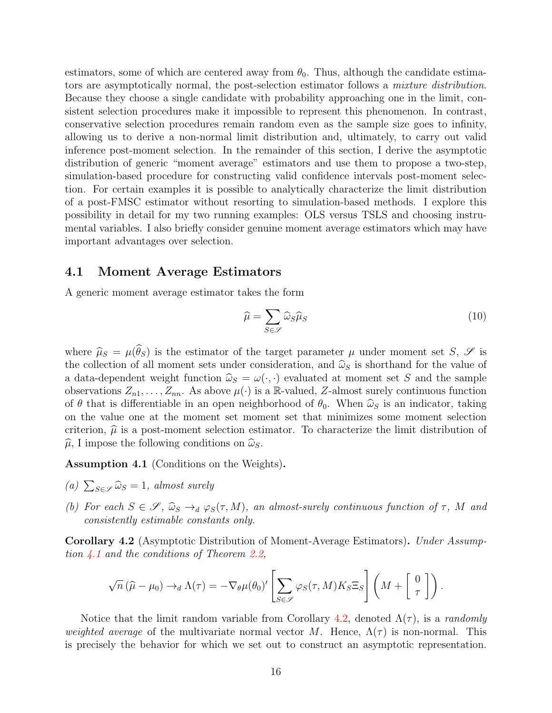estimators, some of which are centered away from  $\theta_0$ . Thus, although the candidate estimators are asymptotically normal, the post-selection estimator follows a mixture distribution. Because they choose a single candidate with probability approaching one in the limit, consistent selection procedures make it impossible to represent this phenomenon. In contrast, conservative selection procedures remain random even as the sample size goes to infinity, allowing us to derive a non-normal limit distribution and, ultimately, to carry out valid inference post-moment selection. In the remainder of this section, I derive the asymptotic distribution of generic "moment average" estimators and use them to propose a two-step, simulation-based procedure for constructing valid confidence intervals post-moment selection. For certain examples it is possible to analytically characterize the limit distribution of a post-FMSC estimator without resorting to simulation-based methods. I explore this possibility in detail for my two running examples: OLS versus TSLS and choosing instrumental variables. I also briefly consider genuine moment average estimators which may have important advantages over selection.

## 4.1 Moment Average Estimators

A generic moment average estimator takes the form

<span id="page-16-2"></span>
$$
\widehat{\mu} = \sum_{S \in \mathscr{S}} \widehat{\omega}_S \widehat{\mu}_S \tag{10}
$$

where  $\hat{\mu}_S = \mu(\hat{\theta}_S)$  is the estimator of the target parameter  $\mu$  under moment set S,  $\mathscr{S}$  is the collection of all moment sets under consideration, and  $\hat{\omega}_S$  is shorthand for the value of a data-dependent weight function  $\hat{\omega}_S = \omega(\cdot, \cdot)$  evaluated at moment set S and the sample observations  $Z_{n1}, \ldots, Z_{nn}$ . As above  $\mu(\cdot)$  is a R-valued, Z-almost surely continuous function of  $\theta$  that is differentiable in an open neighborhood of  $\theta_0$ . When  $\hat{\omega}_s$  is an indicator, taking on the value one at the moment set moment set that minimizes some moment selection criterion,  $\hat{\mu}$  is a post-moment selection estimator. To characterize the limit distribution of  $\widehat{\mu}$ , I impose the following conditions on  $\widehat{\omega}_s$ .

<span id="page-16-0"></span>Assumption 4.1 (Conditions on the Weights).

- (a)  $\sum_{S \in \mathscr{S}} \widehat{\omega}_S = 1$ , almost surely
- (b) For each  $S \in \mathscr{S}$ ,  $\widehat{\omega}_S \rightarrow_d \varphi_S(\tau, M)$ , an almost-surely continuous function of  $\tau$ , M and consistently estimable constants only.

<span id="page-16-1"></span>Corollary 4.2 (Asymptotic Distribution of Moment-Average Estimators). Under Assumption  $\angle 4.1$  $\angle 4.1$  and the conditions of Theorem [2.2,](#page-7-2)

$$
\sqrt{n}(\widehat{\mu}-\mu_0) \to_d \Lambda(\tau) = -\nabla_{\theta}\mu(\theta_0)' \left[\sum_{S \in \mathscr{S}} \varphi_S(\tau, M) K_S \Xi_S \right] \left(M + \begin{bmatrix} 0 \\ \tau \end{bmatrix}\right).
$$

Notice that the limit random variable from Corollary [4.2,](#page-16-1) denoted  $\Lambda(\tau)$ , is a *randomly* weighted average of the multivariate normal vector M. Hence,  $\Lambda(\tau)$  is non-normal. This is precisely the behavior for which we set out to construct an asymptotic representation.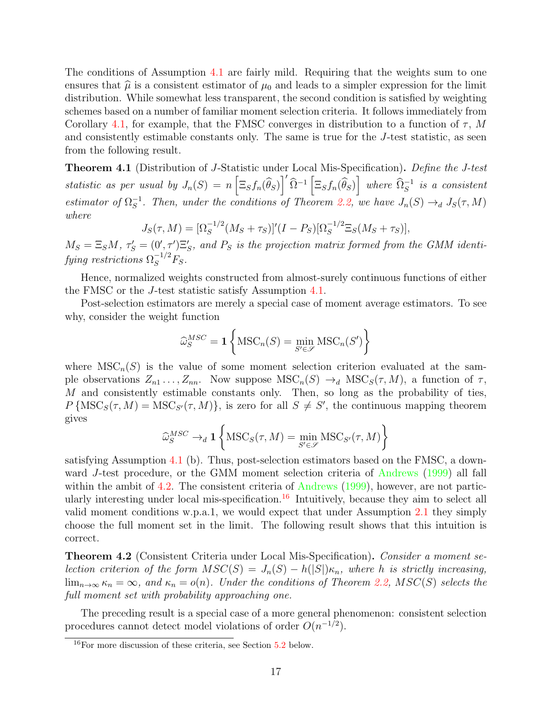The conditions of Assumption [4.1](#page-16-0) are fairly mild. Requiring that the weights sum to one ensures that  $\hat{\mu}$  is a consistent estimator of  $\mu_0$  and leads to a simpler expression for the limit distribution. While somewhat less transparent, the second condition is satisfied by weighting schemes based on a number of familiar moment selection criteria. It follows immediately from Corollary [4.1,](#page-15-2) for example, that the FMSC converges in distribution to a function of  $\tau$ , M and consistently estimable constants only. The same is true for the J-test statistic, as seen from the following result.

<span id="page-17-2"></span>Theorem 4.1 (Distribution of J-Statistic under Local Mis-Specification). Define the J-test statistic as per usual by  $J_n(S) = n \left[ \Xi_S f_n(\widehat{\theta}_S) \right]' \widehat{\Omega}^{-1} \left[ \Xi_S f_n(\widehat{\theta}_S) \right]$  where  $\widehat{\Omega}_S^{-1}$  is a consistent estimator of  $\Omega_S^{-1}$  $S^{-1}$ . Then, under the conditions of Theorem [2.2,](#page-7-2) we have  $J_n(S) \to_d J_S(\tau, M)$ where

$$
J_S(\tau, M) = [\Omega_S^{-1/2}(M_S + \tau_S)]'(I - P_S)[\Omega_S^{-1/2} \Xi_S(M_S + \tau_S)],
$$

 $M_S = \Xi_S M$ ,  $\tau_S' = (0', \tau') \Xi_S'$ , and  $P_S$  is the projection matrix formed from the GMM identifying restrictions  $\Omega_S^{-1/2}F_S$ .

Hence, normalized weights constructed from almost-surely continuous functions of either the FMSC or the J-test statistic satisfy Assumption [4.1.](#page-16-0)

Post-selection estimators are merely a special case of moment average estimators. To see why, consider the weight function

$$
\widehat{\omega}_{S}^{MSC} = \mathbf{1} \left\{ \text{MSC}_n(S) = \min_{S' \in \mathcal{S}} \text{MSC}_n(S') \right\}
$$

where  $MSC_n(S)$  is the value of some moment selection criterion evaluated at the sample observations  $Z_{n_1} \ldots, Z_{nn}$ . Now suppose  $\text{MSC}_n(S) \to_d \text{MSC}_S(\tau, M)$ , a function of  $\tau$ , M and consistently estimable constants only. Then, so long as the probability of ties,  $P\left\{\text{MSC}_S(\tau, M) = \text{MSC}_{S'}(\tau, M)\right\}$ , is zero for all  $S \neq S'$ , the continuous mapping theorem gives

$$
\widehat{\omega}_{S}^{MSC} \to_d \mathbf{1} \left\{ \text{MSC}_S(\tau, M) = \min_{S' \in \mathcal{S}} \text{MSC}_{S'}(\tau, M) \right\}
$$

satisfying Assumption [4.1](#page-16-0) (b). Thus, post-selection estimators based on the FMSC, a downward J-test procedure, or the GMM moment selection criteria of [Andrews](#page-57-0) [\(1999\)](#page-57-0) all fall within the ambit of [4.2.](#page-16-1) The consistent criteria of [Andrews](#page-57-0) [\(1999\)](#page-57-0), however, are not partic-ularly interesting under local mis-specification.<sup>[16](#page-17-1)</sup> Intuitively, because they aim to select all valid moment conditions w.p.a.1, we would expect that under Assumption [2.1](#page-5-1) they simply choose the full moment set in the limit. The following result shows that this intuition is correct.

<span id="page-17-0"></span>**Theorem 4.2** (Consistent Criteria under Local Mis-Specification). Consider a moment selection criterion of the form  $MSC(S) = J_n(S) - h(|S|)\kappa_n$ , where h is strictly increasing,  $\lim_{n\to\infty} \kappa_n = \infty$ , and  $\kappa_n = o(n)$ . Under the conditions of Theorem [2.2,](#page-7-2) MSC(S) selects the full moment set with probability approaching one.

The preceding result is a special case of a more general phenomenon: consistent selection procedures cannot detect model violations of order  $O(n^{-1/2})$ .

<span id="page-17-1"></span> $16$ For more discussion of these criteria, see Section [5.2](#page-32-0) below.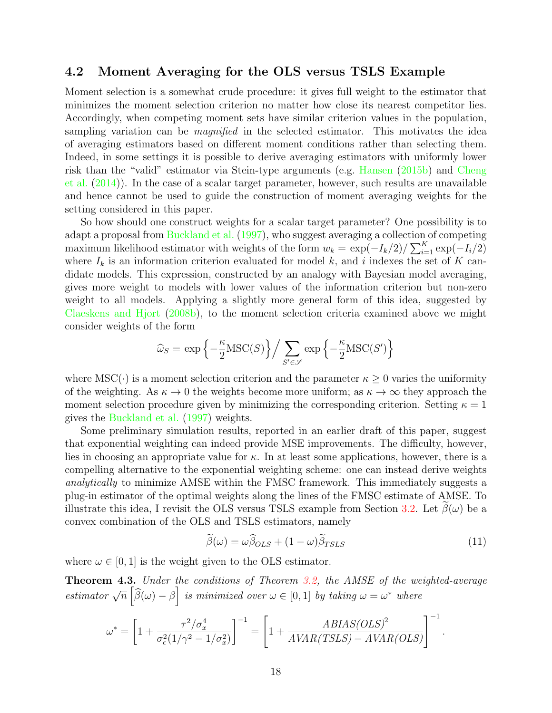## <span id="page-18-1"></span>4.2 Moment Averaging for the OLS versus TSLS Example

Moment selection is a somewhat crude procedure: it gives full weight to the estimator that minimizes the moment selection criterion no matter how close its nearest competitor lies. Accordingly, when competing moment sets have similar criterion values in the population, sampling variation can be *magnified* in the selected estimator. This motivates the idea of averaging estimators based on different moment conditions rather than selecting them. Indeed, in some settings it is possible to derive averaging estimators with uniformly lower risk than the "valid" estimator via Stein-type arguments (e.g. [Hansen](#page-59-8) [\(2015b\)](#page-59-8) and [Cheng](#page-58-9) [et al.](#page-58-9) [\(2014\)](#page-58-9)). In the case of a scalar target parameter, however, such results are unavailable and hence cannot be used to guide the construction of moment averaging weights for the setting considered in this paper.

So how should one construct weights for a scalar target parameter? One possibility is to adapt a proposal from [Buckland et al.](#page-58-12) [\(1997\)](#page-58-12), who suggest averaging a collection of competing maximum likelihood estimator with weights of the form  $w_k = \exp(-I_k/2)/\sum_{i=1}^K \exp(-I_i/2)$ where  $I_k$  is an information criterion evaluated for model k, and i indexes the set of K candidate models. This expression, constructed by an analogy with Bayesian model averaging, gives more weight to models with lower values of the information criterion but non-zero weight to all models. Applying a slightly more general form of this idea, suggested by [Claeskens and Hjort](#page-58-6) [\(2008b\)](#page-58-6), to the moment selection criteria examined above we might consider weights of the form

$$
\widehat{\omega}_S = \exp\left\{-\frac{\kappa}{2}\text{MSC}(S)\right\} / \sum_{S' \in \mathscr{S}} \exp\left\{-\frac{\kappa}{2}\text{MSC}(S')\right\}
$$

where  $\text{MSC}(\cdot)$  is a moment selection criterion and the parameter  $\kappa \geq 0$  varies the uniformity of the weighting. As  $\kappa \to 0$  the weights become more uniform; as  $\kappa \to \infty$  they approach the moment selection procedure given by minimizing the corresponding criterion. Setting  $\kappa = 1$ gives the [Buckland et al.](#page-58-12) [\(1997\)](#page-58-12) weights.

Some preliminary simulation results, reported in an earlier draft of this paper, suggest that exponential weighting can indeed provide MSE improvements. The difficulty, however, lies in choosing an appropriate value for  $\kappa$ . In at least some applications, however, there is a compelling alternative to the exponential weighting scheme: one can instead derive weights analytically to minimize AMSE within the FMSC framework. This immediately suggests a plug-in estimator of the optimal weights along the lines of the FMSC estimate of AMSE. To illustrate this idea, I revisit the OLS versus TSLS example from Section [3.2.](#page-11-0) Let  $\beta(\omega)$  be a convex combination of the OLS and TSLS estimators, namely

$$
\tilde{\beta}(\omega) = \omega \hat{\beta}_{OLS} + (1 - \omega)\tilde{\beta}_{TSLS}
$$
\n(11)

where  $\omega \in [0, 1]$  is the weight given to the OLS estimator.

<span id="page-18-0"></span>Theorem 4.3. Under the conditions of Theorem [3.2,](#page-11-3) the AMSE of the weighted-average estimator  $\sqrt{n}$   $\left[\widehat{\beta}(\omega) - \beta\right]$  is minimized over  $\omega \in [0, 1]$  by taking  $\omega = \omega^*$  where

$$
\omega^* = \left[1 + \frac{\tau^2/\sigma_x^4}{\sigma_\epsilon^2 (1/\gamma^2 - 1/\sigma_x^2)}\right]^{-1} = \left[1 + \frac{ABIAS(OLS)^2}{AVAR(TSLS) - AVAR(OLS)}\right]^{-1}.
$$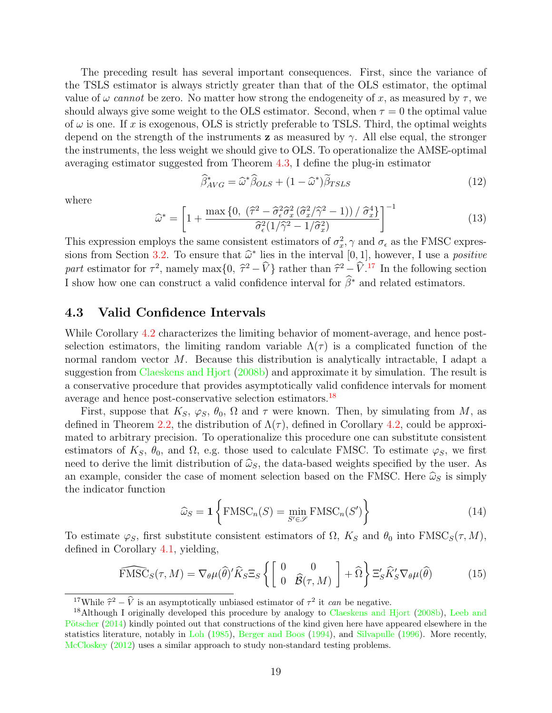The preceding result has several important consequences. First, since the variance of the TSLS estimator is always strictly greater than that of the OLS estimator, the optimal value of  $\omega$  cannot be zero. No matter how strong the endogeneity of x, as measured by  $\tau$ , we should always give some weight to the OLS estimator. Second, when  $\tau = 0$  the optimal value of  $\omega$  is one. If x is exogenous, OLS is strictly preferable to TSLS. Third, the optimal weights depend on the strength of the instruments **z** as measured by  $\gamma$ . All else equal, the stronger the instruments, the less weight we should give to OLS. To operationalize the AMSE-optimal averaging estimator suggested from Theorem [4.3,](#page-18-0) I define the plug-in estimator

<span id="page-19-3"></span>
$$
\widehat{\beta}_{AVG}^* = \widehat{\omega}^* \widehat{\beta}_{OLS} + (1 - \widehat{\omega}^*) \widetilde{\beta}_{TSLS}
$$
\n(12)

where

<span id="page-19-4"></span>
$$
\widehat{\omega}^* = \left[1 + \frac{\max\left\{0, \left(\widehat{\tau}^2 - \widehat{\sigma}_{\epsilon}^2 \widehat{\sigma}_x^2 (\widehat{\sigma}_x^2 / \widehat{\gamma}^2 - 1)/\widehat{\sigma}_x^4\right\}}{\widehat{\sigma}_{\epsilon}^2 (1/\widehat{\gamma}^2 - 1/\widehat{\sigma}_x^2)}\right]^{-1} \tag{13}
$$

This expression employs the same consistent estimators of  $\sigma_x^2$ ,  $\gamma$  and  $\sigma_{\epsilon}$  as the FMSC expres-sions from Section [3.2.](#page-11-0) To ensure that  $\hat{\omega}^*$  lies in the interval  $[0, 1]$ , however, I use a *positive* part estimator for  $\tau^2$ , namely max $\{0, \hat{\tau}^2 - \hat{V}\}$  rather than  $\hat{\tau}^2 - \hat{V}$ .<sup>[17](#page-19-0)</sup> In the following section , namely max $\{0, \hat{\tau}\}$ I show how one can construct a valid confidence interval for  $\hat{\beta}^*$  and related estimators.

## 4.3 Valid Confidence Intervals

While Corollary [4.2](#page-16-1) characterizes the limiting behavior of moment-average, and hence postselection estimators, the limiting random variable  $\Lambda(\tau)$  is a complicated function of the normal random vector  $M$ . Because this distribution is analytically intractable, I adapt a suggestion from [Claeskens and Hjort](#page-58-6) [\(2008b\)](#page-58-6) and approximate it by simulation. The result is a conservative procedure that provides asymptotically valid confidence intervals for moment average and hence post-conservative selection estimators.[18](#page-19-1)

First, suppose that  $K_S$ ,  $\varphi_S$ ,  $\theta_0$ ,  $\Omega$  and  $\tau$  were known. Then, by simulating from M, as defined in Theorem [2.2,](#page-7-2) the distribution of  $\Lambda(\tau)$ , defined in Corollary [4.2,](#page-16-1) could be approximated to arbitrary precision. To operationalize this procedure one can substitute consistent estimators of  $K_S$ ,  $\theta_0$ , and  $\Omega$ , e.g. those used to calculate FMSC. To estimate  $\varphi_S$ , we first need to derive the limit distribution of  $\hat{\omega}_s$ , the data-based weights specified by the user. As an example, consider the case of moment selection based on the FMSC. Here  $\hat{\omega}_S$  is simply the indicator function

<span id="page-19-2"></span>
$$
\widehat{\omega}_S = \mathbf{1} \left\{ \text{FMSC}_n(S) = \min_{S' \in \mathcal{S}} \text{FMSC}_n(S') \right\} \tag{14}
$$

To estimate  $\varphi_S$ , first substitute consistent estimators of  $\Omega$ ,  $K_S$  and  $\theta_0$  into  $\text{FMSC}_S(\tau, M)$ , defined in Corollary [4.1,](#page-15-2) yielding,

$$
\widehat{\text{FMSC}}_S(\tau, M) = \nabla_{\theta} \mu(\widehat{\theta})' \widehat{K}_S \Xi_S \left\{ \begin{bmatrix} 0 & 0 \\ 0 & \widehat{\mathcal{B}}(\tau, M) \end{bmatrix} + \widehat{\Omega} \right\} \Xi'_S \widehat{K}'_S \nabla_{\theta} \mu(\widehat{\theta}) \tag{15}
$$

<span id="page-19-1"></span><span id="page-19-0"></span><sup>&</sup>lt;sup>17</sup>While  $\hat{\tau}^2 - \hat{V}$  is an asymptotically unbiased estimator of  $\tau^2$  it can be negative.

<sup>&</sup>lt;sup>18</sup>Although I originally developed this procedure by analogy to [Claeskens and Hjort](#page-58-6) [\(2008b\)](#page-58-6), [Leeb and](#page-60-8) Pötscher  $(2014)$  kindly pointed out that constructions of the kind given here have appeared elsewhere in the statistics literature, notably in [Loh](#page-60-9) [\(1985\)](#page-60-9), [Berger and Boos](#page-58-7) [\(1994\)](#page-58-7), and [Silvapulle](#page-61-3) [\(1996\)](#page-61-3). More recently, [McCloskey](#page-60-10) [\(2012\)](#page-60-10) uses a similar approach to study non-standard testing problems.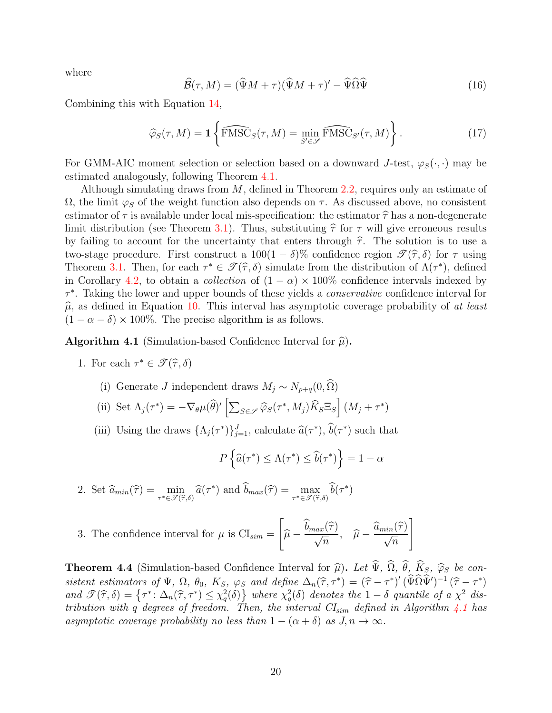where

$$
\widehat{\mathcal{B}}(\tau, M) = (\widehat{\Psi}M + \tau)(\widehat{\Psi}M + \tau)' - \widehat{\Psi}\widehat{\Omega}\widehat{\Psi}
$$
\n(16)

Combining this with Equation [14,](#page-19-2)

$$
\widehat{\varphi}_S(\tau, M) = \mathbf{1} \left\{ \widehat{\text{FMSC}}_S(\tau, M) = \min_{S' \in \mathscr{S}} \widehat{\text{FMSC}}_{S'}(\tau, M) \right\}.
$$
 (17)

For GMM-AIC moment selection or selection based on a downward J-test,  $\varphi_S(\cdot, \cdot)$  may be estimated analogously, following Theorem [4.1.](#page-17-2)

Although simulating draws from  $M$ , defined in Theorem [2.2,](#page-7-2) requires only an estimate of  $\Omega$ , the limit  $\varphi_S$  of the weight function also depends on  $\tau$ . As discussed above, no consistent estimator of  $\tau$  is available under local mis-specification: the estimator  $\hat{\tau}$  has a non-degenerate limit distribution (see Theorem [3.1\)](#page-10-3). Thus, substituting  $\hat{\tau}$  for  $\tau$  will give erroneous results by failing to account for the uncertainty that enters through  $\hat{\tau}$ . The solution is to use a two-stage procedure. First construct a  $100(1 - \delta)\%$  confidence region  $\mathscr{T}(\hat{\tau}, \delta)$  for  $\tau$  using Theorem [3.1.](#page-10-3) Then, for each  $\tau^* \in \mathcal{T}(\hat{\tau}, \delta)$  simulate from the distribution of  $\Lambda(\tau^*)$ , defined<br>in Corollary 4.2, to obtain a collection of  $(1-\alpha) \times 100\%$  confidence intervals indexed by in Corollary [4.2,](#page-16-1) to obtain a *collection* of  $(1 - \alpha) \times 100\%$  confidence intervals indexed by  $\tau^*$ . Taking the lower and upper bounds of these yields a *conservative* confidence interval for  $\hat{\mu}$ , as defined in Equation [10.](#page-16-2) This interval has asymptotic coverage probability of at least  $(1 - \alpha - \delta) \times 100\%$ . The precise algorithm is as follows.

<span id="page-20-0"></span>**Algorithm 4.1** (Simulation-based Confidence Interval for  $\widehat{\mu}$ ).

- 1. For each  $\tau^* \in \mathscr{T}(\hat{\tau}, \delta)$ 
	- (i) Generate J independent draws  $M_j \sim N_{p+q}(0, \widehat{\Omega})$
	- (ii) Set  $\Lambda_j(\tau^*) = -\nabla_\theta \mu(\widehat{\theta})' \left[ \sum_{S \in \mathscr{S}} \widehat{\varphi}_S(\tau^*, M_j) \widehat{K}_S \Xi_S \right] (M_j + \tau^*)$
	- (iii) Using the draws  $\{\Lambda_j(\tau^*)\}_{j=1}^J$ , calculate  $\hat{a}(\tau^*)$ ,  $\hat{b}(\tau^*)$  such that

$$
P\left\{\widehat{a}(\tau^*) \le \Lambda(\tau^*) \le \widehat{b}(\tau^*)\right\} = 1 - \alpha
$$

2. Set  $\hat{a}_{min}(\hat{\tau}) = \min_{\tau^* \in \mathcal{F}(\hat{\tau},\delta)} \hat{a}(\tau^*)$  and  $\hat{b}_{max}(\hat{\tau}) = \max_{\tau^* \in \mathcal{F}(\hat{\tau},\delta)} \hat{b}(\tau^*)$ 

3. The confidence interval for 
$$
\mu
$$
 is  $CI_{sim} = \left[\widehat{\mu} - \frac{\widehat{b}_{max}(\widehat{\tau})}{\sqrt{n}}, \widehat{\mu} - \frac{\widehat{a}_{min}(\widehat{\tau})}{\sqrt{n}}\right]$ 

<span id="page-20-1"></span>**Theorem 4.4** (Simulation-based Confidence Interval for  $\hat{\mu}$ ). Let  $\hat{\Psi}$ ,  $\hat{\Omega}$ ,  $\hat{\theta}$ ,  $\hat{K}_S$ ,  $\hat{\varphi}_S$  be consistent estimators of  $\Psi$ ,  $\Omega$ ,  $\theta_0$ ,  $K_S$ ,  $\varphi_S$  and define  $\Delta_n(\hat{\tau}, \tau^*) = (\hat{\tau} - \tau^*)' (\hat{\Psi} \hat{\Omega} \hat{\Psi}')^{-1} (\hat{\tau} - \tau^*)$ <br>and  $\mathcal{I}(\hat{\tau}, \delta) = \int \tau^* \cdot \Delta_n(\hat{\tau}, \tau^*) \leq \chi^2(\delta) \cdot \int \psi \, \text{d}x \, \chi^2(\delta) \, d\sigma$  and the 1  $\delta$  quant and  $\mathcal{T}(\hat{\tau},\delta) = \{\tau^*: \Delta_n(\hat{\tau},\tau^*) \leq \chi_q^2(\delta)\}\$  where  $\chi_q^2(\delta)$  denotes the  $1-\delta$  quantile of a  $\chi^2$  dis-<br>tribution with a degree of freedom. Then the interval  $CI$  defined in Algorithm 1.1 has tribution with q degrees of freedom. Then, the interval  $CI_{sim}$  defined in Algorithm [4.1](#page-20-0) has asymptotic coverage probability no less than  $1 - (\alpha + \delta)$  as  $J, n \to \infty$ .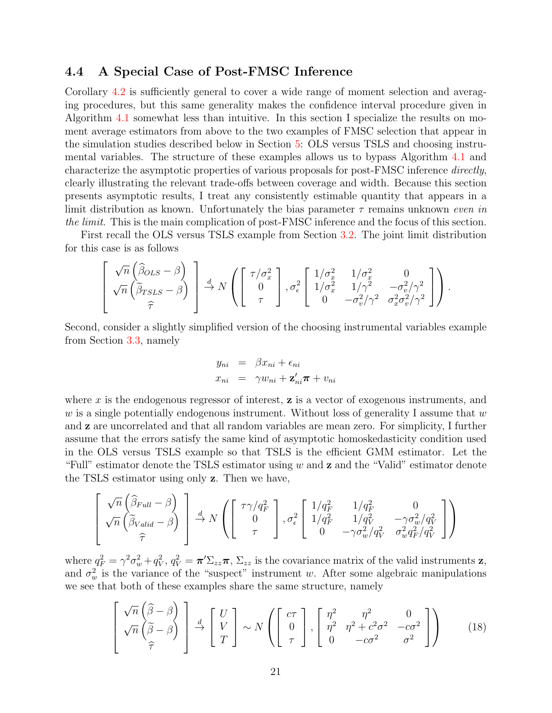## <span id="page-21-1"></span>4.4 A Special Case of Post-FMSC Inference

Corollary [4.2](#page-16-1) is sufficiently general to cover a wide range of moment selection and averaging procedures, but this same generality makes the confidence interval procedure given in Algorithm [4.1](#page-20-0) somewhat less than intuitive. In this section I specialize the results on moment average estimators from above to the two examples of FMSC selection that appear in the simulation studies described below in Section [5:](#page-31-0) OLS versus TSLS and choosing instrumental variables. The structure of these examples allows us to bypass Algorithm [4.1](#page-20-0) and characterize the asymptotic properties of various proposals for post-FMSC inference directly, clearly illustrating the relevant trade-offs between coverage and width. Because this section presents asymptotic results, I treat any consistently estimable quantity that appears in a limit distribution as known. Unfortunately the bias parameter  $\tau$  remains unknown even in the limit. This is the main complication of post-FMSC inference and the focus of this section.

First recall the OLS versus TSLS example from Section [3.2.](#page-11-0) The joint limit distribution for this case is as follows

$$
\left[\begin{array}{c} \sqrt{n}\left(\widehat{\beta}_{OLS}-\beta\right) \\ \sqrt{n}\left(\widehat{\beta}_{TSLS}-\beta\right) \\ \widehat{\tau} \end{array}\right] \xrightarrow{d} N \left(\left[\begin{array}{c} \tau/\sigma_x^2 \\ 0 \\ \tau \end{array}\right], \sigma_{\epsilon}^2 \left[\begin{array}{cc} 1/\sigma_x^2 & 1/\sigma_x^2 & 0 \\ 1/\sigma_x^2 & 1/\gamma^2 & -\sigma_v^2/\gamma^2 \\ 0 & -\sigma_v^2/\gamma^2 & \sigma_x^2\sigma_v^2/\gamma^2 \end{array}\right]\right).
$$

Second, consider a slightly simplified version of the choosing instrumental variables example from Section [3.3,](#page-13-0) namely

$$
y_{ni} = \beta x_{ni} + \epsilon_{ni}
$$
  

$$
x_{ni} = \gamma w_{ni} + \mathbf{z}'_{ni} \boldsymbol{\pi} + v_{ni}
$$

where  $x$  is the endogenous regressor of interest,  $z$  is a vector of exogenous instruments, and w is a single potentially endogenous instrument. Without loss of generality I assume that  $w$ and z are uncorrelated and that all random variables are mean zero. For simplicity, I further assume that the errors satisfy the same kind of asymptotic homoskedasticity condition used in the OLS versus TSLS example so that TSLS is the efficient GMM estimator. Let the "Full" estimator denote the TSLS estimator using  $w$  and  $z$  and the "Valid" estimator denote the TSLS estimator using only z. Then we have,

$$
\begin{bmatrix}\n\sqrt{n}\left(\widehat{\beta}_{Full} - \beta\right) \\
\sqrt{n}\left(\widehat{\beta}_{Valid} - \beta\right)\n\end{bmatrix}\n\stackrel{d}{\rightarrow} N\left(\begin{bmatrix}\n\tau\gamma/q_F^2 \\
0 \\
\tau\n\end{bmatrix}, \sigma_\epsilon^2\n\begin{bmatrix}\n1/q_F^2 & 1/q_F^2 & 0 \\
1/q_F^2 & 1/q_V^2 & -\gamma\sigma_w^2/q_V^2 \\
0 & -\gamma\sigma_w^2/q_V^2 & \sigma_w^2 q_F^2/q_V^2\n\end{bmatrix}\right)
$$

 $\overline{a}$ 

where  $q_F^2 = \gamma^2 \sigma_w^2 + q_V^2$ ,  $q_V^2 = \pi' \Sigma_{zz} \pi$ ,  $\Sigma_{zz}$  is the covariance matrix of the valid instruments z, and  $\sigma_w^2$  is the variance of the "suspect" instrument w. After some algebraic manipulations we see that both of these examples share the same structure, namely

<span id="page-21-0"></span>
$$
\left[\begin{array}{c}\n\sqrt{n}\left(\widehat{\beta}-\beta\right) \\
\sqrt{n}\left(\widehat{\beta}-\beta\right) \\
\widehat{\tau}\n\end{array}\right] \stackrel{d}{\rightarrow} \left[\begin{array}{c} U \\ V \\ T \end{array}\right] \sim N\left(\left[\begin{array}{c} c\tau \\ 0 \\ \tau \end{array}\right], \left[\begin{array}{cc} \eta^2 & \eta^2 & 0 \\ \eta^2 & \eta^2 + c^2\sigma^2 & -c\sigma^2 \\ 0 & -c\sigma^2 & \sigma^2 \end{array}\right]\right) \tag{18}
$$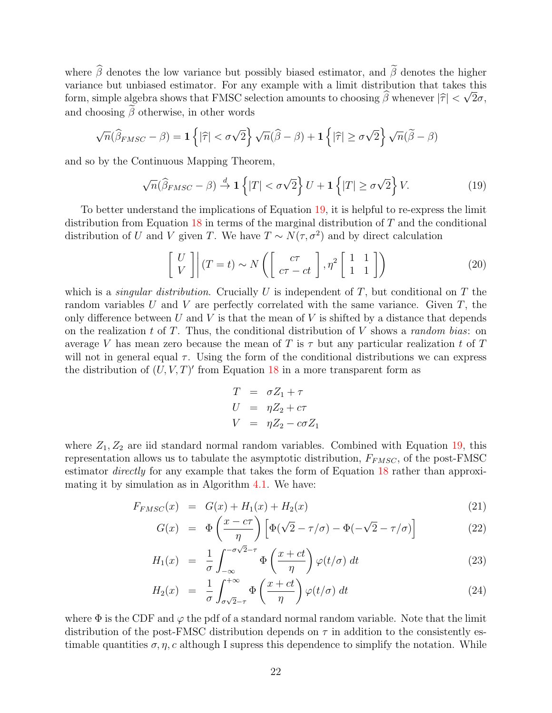where  $\hat{\beta}$  denotes the low variance but possibly biased estimator, and  $\tilde{\beta}$  denotes the higher variance but unbiased estimator. For any example with a limit distribution that takes this form, simple algebra shows that FMSC selection amounts to choosing  $\beta$  whenever  $|\hat{\tau}| < \sqrt{2\sigma}$ , and choosing  $\tilde{\beta}$  otherwise, in other words

$$
\sqrt{n}(\widehat{\beta}_{FMSC} - \beta) = \mathbf{1}\left\{|\widehat{\tau}| < \sigma\sqrt{2}\right\}\sqrt{n}(\widehat{\beta} - \beta) + \mathbf{1}\left\{|\widehat{\tau}| \geq \sigma\sqrt{2}\right\}\sqrt{n}(\widetilde{\beta} - \beta)
$$

and so by the Continuous Mapping Theorem,

<span id="page-22-0"></span>
$$
\sqrt{n}(\widehat{\beta}_{FMSC} - \beta) \stackrel{d}{\to} \mathbf{1}\left\{|T| < \sigma\sqrt{2}\right\}U + \mathbf{1}\left\{|T| \geq \sigma\sqrt{2}\right\}V. \tag{19}
$$

To better understand the implications of Equation [19,](#page-22-0) it is helpful to re-express the limit distribution from Equation [18](#page-21-0) in terms of the marginal distribution of T and the conditional distribution of U and V given T. We have  $T \sim N(\tau, \sigma^2)$  and by direct calculation

$$
\begin{bmatrix} U \\ V \end{bmatrix} (T = t) \sim N \left( \begin{bmatrix} c\tau \\ c\tau - ct \end{bmatrix}, \eta^2 \begin{bmatrix} 1 & 1 \\ 1 & 1 \end{bmatrix} \right)
$$
 (20)

which is a *singular distribution*. Crucially U is independent of T, but conditional on T the random variables U and V are perfectly correlated with the same variance. Given  $T$ , the only difference between U and V is that the mean of V is shifted by a distance that depends on the realization t of T. Thus, the conditional distribution of  $V$  shows a random bias: on average V has mean zero because the mean of T is  $\tau$  but any particular realization t of T will not in general equal  $\tau$ . Using the form of the conditional distributions we can express the distribution of  $(U, V, T)'$  from Equation [18](#page-21-0) in a more transparent form as

$$
T = \sigma Z_1 + \tau
$$
  
\n
$$
U = \eta Z_2 + c\tau
$$
  
\n
$$
V = \eta Z_2 - c\sigma Z_1
$$

where  $Z_1, Z_2$  are iid standard normal random variables. Combined with Equation [19,](#page-22-0) this representation allows us to tabulate the asymptotic distribution,  $F_{FMSC}$ , of the post-FMSC estimator directly for any example that takes the form of Equation [18](#page-21-0) rather than approximating it by simulation as in Algorithm [4.1.](#page-20-0) We have:

<span id="page-22-1"></span>
$$
F_{FMSC}(x) = G(x) + H_1(x) + H_2(x)
$$
\n(21)

$$
G(x) = \Phi\left(\frac{x - c\tau}{\eta}\right) \left[ \Phi(\sqrt{2} - \tau/\sigma) - \Phi(-\sqrt{2} - \tau/\sigma) \right]
$$
 (22)

$$
H_1(x) = \frac{1}{\sigma} \int_{-\infty}^{-\sigma\sqrt{2}-\tau} \Phi\left(\frac{x+ct}{\eta}\right) \varphi(t/\sigma) dt \qquad (23)
$$

$$
H_2(x) = \frac{1}{\sigma} \int_{\sigma\sqrt{2}-\tau}^{+\infty} \Phi\left(\frac{x+ct}{\eta}\right) \varphi(t/\sigma) dt \qquad (24)
$$

where  $\Phi$  is the CDF and  $\varphi$  the pdf of a standard normal random variable. Note that the limit distribution of the post-FMSC distribution depends on  $\tau$  in addition to the consistently estimable quantities  $\sigma, \eta, c$  although I supress this dependence to simplify the notation. While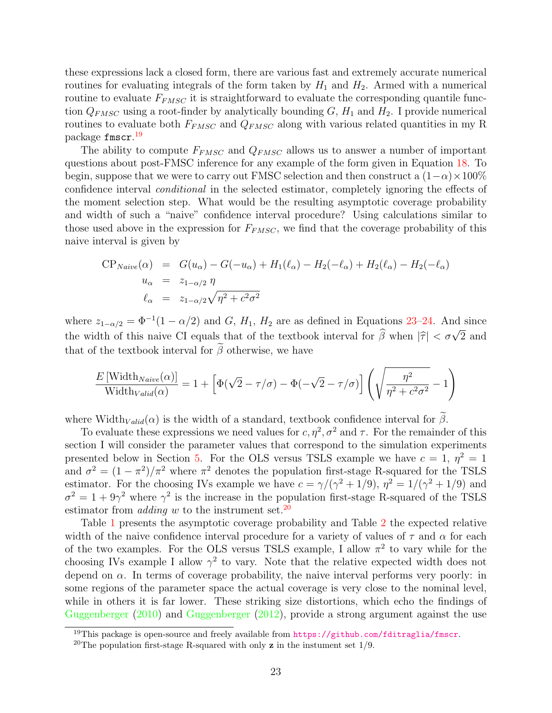these expressions lack a closed form, there are various fast and extremely accurate numerical routines for evaluating integrals of the form taken by  $H_1$  and  $H_2$ . Armed with a numerical routine to evaluate  $F_{FMSC}$  it is straightforward to evaluate the corresponding quantile function  $Q_{FMSC}$  using a root-finder by analytically bounding  $G, H_1$  and  $H_2$ . I provide numerical routines to evaluate both  $F_{FMSC}$  and  $Q_{FMSC}$  along with various related quantities in my R package fmscr. [19](#page-23-0)

The ability to compute  $F_{FMSC}$  and  $Q_{FMSC}$  allows us to answer a number of important questions about post-FMSC inference for any example of the form given in Equation [18.](#page-21-0) To begin, suppose that we were to carry out FMSC selection and then construct a  $(1-\alpha) \times 100\%$ confidence interval conditional in the selected estimator, completely ignoring the effects of the moment selection step. What would be the resulting asymptotic coverage probability and width of such a "naive" confidence interval procedure? Using calculations similar to those used above in the expression for  $F_{FMSC}$ , we find that the coverage probability of this naive interval is given by

$$
CP_{Naive}(\alpha) = G(u_{\alpha}) - G(-u_{\alpha}) + H_1(\ell_{\alpha}) - H_2(-\ell_{\alpha}) + H_2(\ell_{\alpha}) - H_2(-\ell_{\alpha})
$$
  
\n
$$
u_{\alpha} = z_{1-\alpha/2} \eta
$$
  
\n
$$
\ell_{\alpha} = z_{1-\alpha/2} \sqrt{\eta^2 + c^2 \sigma^2}
$$

where  $z_{1-\alpha/2} = \Phi^{-1}(1-\alpha/2)$  and G,  $H_1$ ,  $H_2$  are as defined in Equations [23–24.](#page-22-1) And since the width of this naive CI equals that of the textbook interval for  $\hat{\beta}$  when  $|\hat{\tau}| < \sigma \sqrt{\frac{1}{n}}$ 2 and that of the textbook interval for  $\tilde{\beta}$  otherwise, we have

$$
\frac{E\left[\text{Width}_{\text{Naive}}(\alpha)\right]}{\text{Width}_{\text{Valid}}(\alpha)} = 1 + \left[\Phi(\sqrt{2} - \tau/\sigma) - \Phi(-\sqrt{2} - \tau/\sigma)\right] \left(\sqrt{\frac{\eta^2}{\eta^2 + c^2 \sigma^2}} - 1\right)
$$

where Width $_{Valid}(\alpha)$  is the width of a standard, textbook confidence interval for  $\tilde{\beta}$ .

To evaluate these expressions we need values for  $c, \eta^2, \sigma^2$  and  $\tau$ . For the remainder of this section I will consider the parameter values that correspond to the simulation experiments presented below in Section [5.](#page-31-0) For the OLS versus TSLS example we have  $c = 1, \eta^2 = 1$ and  $\sigma^2 = (1 - \pi^2)/\pi^2$  where  $\pi^2$  denotes the population first-stage R-squared for the TSLS estimator. For the choosing IVs example we have  $c = \gamma/(\gamma^2 + 1/9)$ ,  $\eta^2 = 1/(\gamma^2 + 1/9)$  and  $\sigma^2 = 1 + 9\gamma^2$  where  $\gamma^2$  is the increase in the population first-stage R-squared of the TSLS estimator from *adding* w to the instrument set.<sup>[20](#page-23-1)</sup>

Table [1](#page-24-0) presents the asymptotic coverage probability and Table [2](#page-25-0) the expected relative width of the naive confidence interval procedure for a variety of values of  $\tau$  and  $\alpha$  for each of the two examples. For the OLS versus TSLS example, I allow  $\pi^2$  to vary while for the choosing IVs example I allow  $\gamma^2$  to vary. Note that the relative expected width does not depend on  $\alpha$ . In terms of coverage probability, the naive interval performs very poorly: in some regions of the parameter space the actual coverage is very close to the nominal level, while in others it is far lower. These striking size distortions, which echo the findings of [Guggenberger](#page-59-5) [\(2010\)](#page-59-5) and [Guggenberger](#page-59-6) [\(2012\)](#page-59-6), provide a strong argument against the use

<span id="page-23-0"></span><sup>&</sup>lt;sup>19</sup>This package is open-source and freely available from <https://github.com/fditraglia/fmscr>.

<span id="page-23-1"></span><sup>&</sup>lt;sup>20</sup>The population first-stage R-squared with only **z** in the instument set  $1/9$ .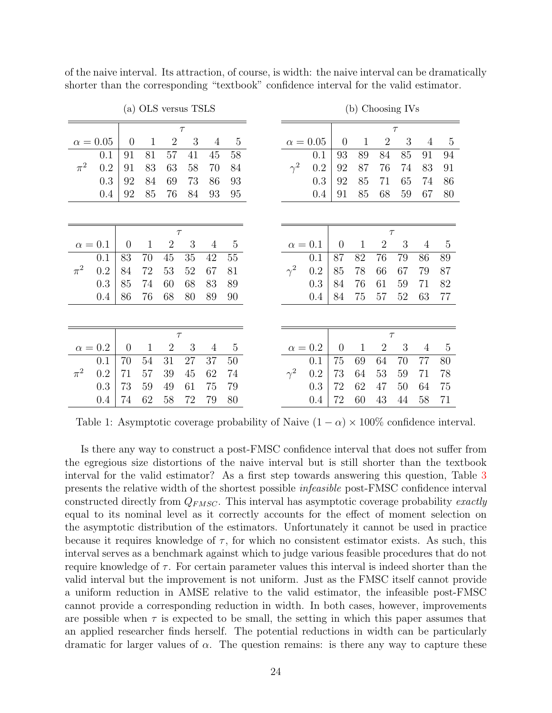<span id="page-24-0"></span>

|         |               |                |              |                | (a) OLS versus TSLS |                |                |            |                 |                |              | (b) Choosing IVs |        |                |                |
|---------|---------------|----------------|--------------|----------------|---------------------|----------------|----------------|------------|-----------------|----------------|--------------|------------------|--------|----------------|----------------|
|         |               |                |              |                | $\tau$              |                |                |            |                 |                |              |                  | $\tau$ |                |                |
|         | $\alpha=0.05$ | $\overline{0}$ | $\mathbf{1}$ | $\overline{2}$ | 3                   | $\overline{4}$ | $\overline{5}$ |            | $\alpha = 0.05$ | $\overline{0}$ | 1            | $\overline{2}$   | 3      | $\overline{4}$ | $\overline{5}$ |
|         | 0.1           | 91             | 81           | 57             | 41                  | 45             | 58             |            | 0.1             | 93             | 89           | 84               | 85     | 91             | 94             |
| $\pi^2$ | 0.2           | 91             | 83           | 63             | 58                  | 70             | 84             | $\gamma^2$ | 0.2             | 92             | 87           | 76               | 74     | 83             | 91             |
|         | 0.3           | 92             | 84           | 69             | 73                  | 86             | 93             |            | 0.3             | 92             | 85           | 71               | 65     | 74             | 86             |
|         | 0.4           | 92             | 85           | 76             | 84                  | 93             | 95             |            | 0.4             | 91             | 85           | 68               | 59     | 67             | 80             |
|         |               |                |              |                |                     |                |                |            |                 |                |              |                  |        |                |                |
|         |               |                |              | $\tau$         |                     |                |                |            |                 |                |              | $\tau$           |        |                |                |
|         | $\alpha=0.1$  | $\theta$       | $\mathbf{1}$ | $\overline{2}$ | 3                   | $\overline{4}$ | $\bf 5$        |            | $\alpha = 0.1$  | $\overline{0}$ | $\mathbf{1}$ | $\overline{2}$   | 3      | 4              | $\overline{5}$ |
|         | 0.1           | 83             | 70           | 45             | 35                  | 42             | 55             |            | 0.1             | 87             | 82           | 76               | 79     | 86             | 89             |
| $\pi^2$ | 0.2           | 84             | 72           | 53             | 52                  | 67             | 81             | $\gamma^2$ | 0.2             | 85             | 78           | 66               | 67     | 79             | 87             |
|         | 0.3           | 85             | 74           | 60             | 68                  | 83             | 89             |            | 0.3             | 84             | 76           | 61               | $59\,$ | 71             | 82             |
|         | 0.4           | 86             | 76           | 68             | 80                  | 89             | 90             |            | 0.4             | 84             | 75           | 57               | 52     | 63             | 77             |
|         |               |                |              |                |                     |                |                |            |                 |                |              |                  |        |                |                |
|         |               |                |              | $\tau$         |                     |                |                |            |                 |                |              | $\tau$           |        |                |                |
|         | $\alpha=0.2$  | $\overline{0}$ | $\mathbf{1}$ | $\overline{2}$ | 3                   | $\overline{4}$ | $\mathbf 5$    |            | $\alpha = 0.2$  | $\theta$       | $\mathbf{1}$ | $\overline{2}$   | 3      | 4              | $\overline{5}$ |
|         | 0.1           | 70             | 54           | 31             | 27                  | 37             | $50\,$         |            | 0.1             | 75             | 69           | 64               | 70     | 77             | 80             |
| $\pi^2$ | 0.2           | 71             | 57           | 39             | 45                  | 62             | 74             | $\gamma^2$ | 0.2             | 73             | 64           | 53               | 59     | 71             | 78             |
|         | 0.3           | 73             | 59           | 49             | 61                  | 75             | 79             |            | 0.3             | 72             | 62           | 47               | 50     | 64             | 75             |
|         | 0.4           | 74             | 62           | 58             | 72                  | 79             | 80             |            | 0.4             | 72             | 60           | 43               | 44     | 58             | 71             |

of the naive interval. Its attraction, of course, is width: the naive interval can be dramatically shorter than the corresponding "textbook" confidence interval for the valid estimator.

Table 1: Asymptotic coverage probability of Naive  $(1 - \alpha) \times 100\%$  confidence interval.

Is there any way to construct a post-FMSC confidence interval that does not suffer from the egregious size distortions of the naive interval but is still shorter than the textbook interval for the valid estimator? As a first step towards answering this question, Table [3](#page-26-0) presents the relative width of the shortest possible infeasible post-FMSC confidence interval constructed directly from  $Q_{FMSC}$ . This interval has asymptotic coverage probability exactly equal to its nominal level as it correctly accounts for the effect of moment selection on the asymptotic distribution of the estimators. Unfortunately it cannot be used in practice because it requires knowledge of  $\tau$ , for which no consistent estimator exists. As such, this interval serves as a benchmark against which to judge various feasible procedures that do not require knowledge of  $\tau$ . For certain parameter values this interval is indeed shorter than the valid interval but the improvement is not uniform. Just as the FMSC itself cannot provide a uniform reduction in AMSE relative to the valid estimator, the infeasible post-FMSC cannot provide a corresponding reduction in width. In both cases, however, improvements are possible when  $\tau$  is expected to be small, the setting in which this paper assumes that an applied researcher finds herself. The potential reductions in width can be particularly dramatic for larger values of  $\alpha$ . The question remains: is there any way to capture these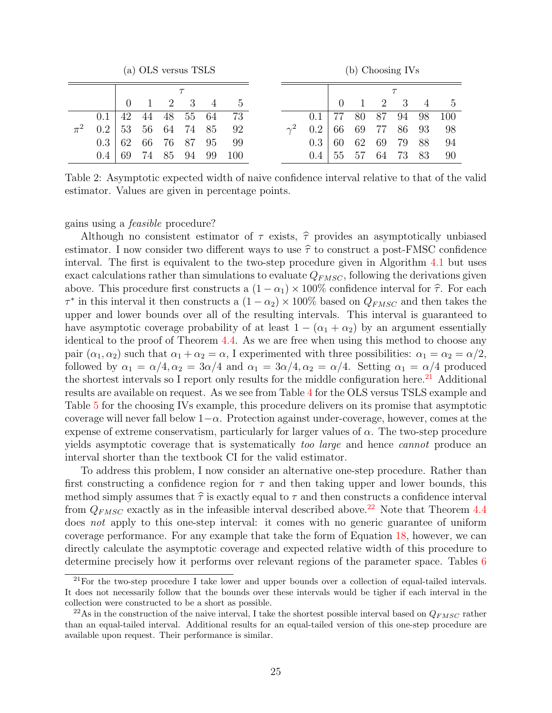<span id="page-25-0"></span>

|         |     |    | (a) OLS versus TSLS |    |    |    |         |          |       |    |    | (b) Choosing IVs            |    |    |               |
|---------|-----|----|---------------------|----|----|----|---------|----------|-------|----|----|-----------------------------|----|----|---------------|
|         |     |    |                     |    |    |    |         |          |       |    |    |                             |    |    |               |
|         |     |    |                     | 2  | 3  | 4  | $\cdot$ |          |       |    |    | $\mathcal{D}_{\mathcal{L}}$ | 3  |    | $\mathcal{D}$ |
|         | 0.1 | 42 | 44                  | 48 | 55 | 64 | 73      |          | (0.1) |    | 80 | 87                          | 94 | 98 | 100           |
| $\pi^2$ | 0.2 | 53 | 56                  | 64 | 74 | 85 | 92      | $\sim^2$ | 0.2   | 66 | 69 | 77                          | 86 | 93 | 98            |
|         | 0.3 | 62 | 66                  | 76 | 87 | 95 | 99      |          | 0.3   | 60 | 62 | 69                          | 79 | 88 | 94            |
|         | 0.4 | 69 | 74                  | 85 | 94 | 99 | 100     |          | 0.4   | 55 |    | 64                          | 73 | 83 | 90            |

Table 2: Asymptotic expected width of naive confidence interval relative to that of the valid estimator. Values are given in percentage points.

#### gains using a feasible procedure?

Although no consistent estimator of  $\tau$  exists,  $\hat{\tau}$  provides an asymptotically unbiased estimator. I now consider two different ways to use  $\hat{\tau}$  to construct a post-FMSC confidence interval. The first is equivalent to the two-step procedure given in Algorithm [4.1](#page-20-0) but uses exact calculations rather than simulations to evaluate  $Q_{FMSC}$ , following the derivations given above. This procedure first constructs a  $(1 - \alpha_1) \times 100\%$  confidence interval for  $\hat{\tau}$ . For each  $\tau^*$  in this interval it then constructs a  $(1 - \alpha_2) \times 100\%$  based on  $Q_{FMSC}$  and then takes the upper and lower bounds over all of the resulting intervals. This interval is guaranteed to have asymptotic coverage probability of at least  $1 - (\alpha_1 + \alpha_2)$  by an argument essentially identical to the proof of Theorem [4.4.](#page-20-1) As we are free when using this method to choose any pair  $(\alpha_1, \alpha_2)$  such that  $\alpha_1 + \alpha_2 = \alpha$ , I experimented with three possibilities:  $\alpha_1 = \alpha_2 = \alpha/2$ , followed by  $\alpha_1 = \alpha/4, \alpha_2 = 3\alpha/4$  and  $\alpha_1 = 3\alpha/4, \alpha_2 = \alpha/4$ . Setting  $\alpha_1 = \alpha/4$  produced the shortest intervals so I report only results for the middle configuration here.<sup>[21](#page-25-1)</sup> Additional results are available on request. As we see from Table [4](#page-27-0) for the OLS versus TSLS example and Table [5](#page-28-0) for the choosing IVs example, this procedure delivers on its promise that asymptotic coverage will never fall below  $1-\alpha$ . Protection against under-coverage, however, comes at the expense of extreme conservatism, particularly for larger values of  $\alpha$ . The two-step procedure yields asymptotic coverage that is systematically too large and hence cannot produce an interval shorter than the textbook CI for the valid estimator.

To address this problem, I now consider an alternative one-step procedure. Rather than first constructing a confidence region for  $\tau$  and then taking upper and lower bounds, this method simply assumes that  $\hat{\tau}$  is exactly equal to  $\tau$  and then constructs a confidence interval from  $Q_{FMSC}$  exactly as in the infeasible interval described above.<sup>[22](#page-25-2)</sup> Note that Theorem [4.4](#page-20-1) does not apply to this one-step interval: it comes with no generic guarantee of uniform coverage performance. For any example that take the form of Equation [18,](#page-21-0) however, we can directly calculate the asymptotic coverage and expected relative width of this procedure to determine precisely how it performs over relevant regions of the parameter space. Tables [6](#page-29-0)

<span id="page-25-1"></span><sup>21</sup>For the two-step procedure I take lower and upper bounds over a collection of equal-tailed intervals. It does not necessarily follow that the bounds over these intervals would be tigher if each interval in the collection were constructed to be a short as possible.

<span id="page-25-2"></span><sup>&</sup>lt;sup>22</sup>As in the construction of the naive interval, I take the shortest possible interval based on  $Q_{FMSC}$  rather than an equal-tailed interval. Additional results for an equal-tailed version of this one-step procedure are available upon request. Their performance is similar.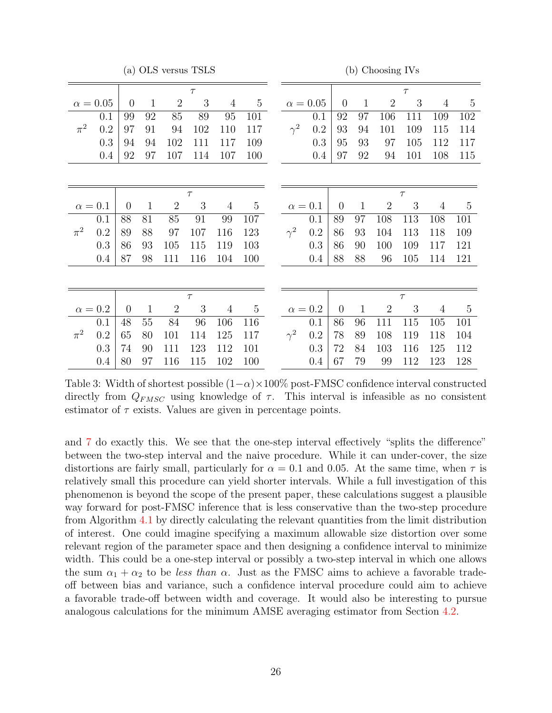(a) OLS versus TSLS

(b) Choosing IVs

<span id="page-26-0"></span>

|         |                 |                |              |                | $\tau$ |                |                |                |                 |                  |              |                | $\tau$ |                |                |
|---------|-----------------|----------------|--------------|----------------|--------|----------------|----------------|----------------|-----------------|------------------|--------------|----------------|--------|----------------|----------------|
|         | $\alpha = 0.05$ | $\overline{0}$ | $\mathbf{1}$ | $\mathbf{2}$   | 3      | $\overline{4}$ | $\overline{5}$ |                | $\alpha = 0.05$ | $\boldsymbol{0}$ | $\mathbf{1}$ | $\overline{2}$ | 3      | $\overline{4}$ | $\overline{5}$ |
|         | 0.1             | 99             | 92           | 85             | 89     | 95             | 101            |                | 0.1             | 92               | 97           | 106            | 111    | 109            | 102            |
| $\pi^2$ | 0.2             | 97             | 91           | 94             | 102    | 110            | 117            | $\gamma^2$     | 0.2             | 93               | 94           | 101            | 109    | 115            | 114            |
|         | 0.3             | 94             | 94           | 102            | 111    | 117            | 109            |                | 0.3             | 95               | 93           | 97             | 105    | 112            | 117            |
|         | 0.4             | 92             | 97           | 107            | 114    | 107            | 100            |                | 0.4             | 97               | 92           | 94             | 101    | 108            | 115            |
|         |                 |                |              |                |        |                |                |                |                 |                  |              |                |        |                |                |
|         |                 |                |              |                |        |                |                |                |                 |                  |              |                |        |                |                |
|         |                 |                |              |                | $\tau$ |                |                |                |                 |                  |              |                | $\tau$ |                |                |
|         | $\alpha=0.1$    | $\overline{0}$ | $\mathbf{1}$ | $\overline{2}$ | 3      | $\overline{4}$ | $\mathbf 5$    | $\alpha = 0.1$ |                 | $\overline{0}$   | $\mathbf{1}$ | $\overline{2}$ | 3      | 4              | $\overline{5}$ |
|         | 0.1             | 88             | 81           | 85             | 91     | 99             | 107            |                | 0.1             | 89               | 97           | 108            | 113    | 108            | 101            |
| $\pi^2$ | 0.2             | 89             | 88           | 97             | 107    | 116            | 123            | $\gamma^2$     | $\rm 0.2$       | 86               | 93           | 104            | 113    | 118            | 109            |
|         | 0.3             | 86             | 93           | 105            | 115    | 119            | 103            |                | 0.3             | 86               | 90           | 100            | 109    | 117            | 121            |
|         | 0.4             | 87             | 98           | 111            | 116    | 104            | 100            |                | 0.4             | 88               | 88           | 96             | 105    | 114            | 121            |
|         |                 |                |              |                |        |                |                |                |                 |                  |              |                |        |                |                |
|         |                 |                |              |                | $\tau$ |                |                |                |                 |                  |              |                | $\tau$ |                |                |
|         | $\alpha = 0.2$  | $\overline{0}$ | $\mathbf{1}$ | $\overline{2}$ | 3      | $\overline{4}$ | $\bf 5$        | $\alpha = 0.2$ |                 | $\boldsymbol{0}$ | $\mathbf{1}$ | $\mathbf{2}$   | 3      | 4              | $\overline{5}$ |
|         | 0.1             | 48             | 55           | 84             | 96     | 106            | 116            |                | 0.1             | 86               | 96           | 111            | 115    | 105            | 101            |
| $\pi^2$ | 0.2             | 65             | 80           | 101            | 114    | 125            | 117            | $\gamma^2$     | 0.2             | 78               | 89           | 108            | 119    | 118            | 104            |
|         | 0.3             | 74             | 90           | 111            | 123    | 112            | 101            |                | 0.3             | 72               | 84           | 103            | 116    | 125            | 112            |
|         | $0.4\,$         | 80             | 97           | 116            | 115    | 102            | 100            |                | $0.4\,$         | 67               | 79           | 99             | 112    | 123            | 128            |

Table 3: Width of shortest possible  $(1-\alpha) \times 100\%$  post-FMSC confidence interval constructed directly from  $Q_{FMSC}$  using knowledge of  $\tau$ . This interval is infeasible as no consistent estimator of  $\tau$  exists. Values are given in percentage points.

and [7](#page-30-0) do exactly this. We see that the one-step interval effectively "splits the difference" between the two-step interval and the naive procedure. While it can under-cover, the size distortions are fairly small, particularly for  $\alpha = 0.1$  and 0.05. At the same time, when  $\tau$  is relatively small this procedure can yield shorter intervals. While a full investigation of this phenomenon is beyond the scope of the present paper, these calculations suggest a plausible way forward for post-FMSC inference that is less conservative than the two-step procedure from Algorithm [4.1](#page-20-0) by directly calculating the relevant quantities from the limit distribution of interest. One could imagine specifying a maximum allowable size distortion over some relevant region of the parameter space and then designing a confidence interval to minimize width. This could be a one-step interval or possibly a two-step interval in which one allows the sum  $\alpha_1 + \alpha_2$  to be less than  $\alpha$ . Just as the FMSC aims to achieve a favorable tradeoff between bias and variance, such a confidence interval procedure could aim to achieve a favorable trade-off between width and coverage. It would also be interesting to pursue analogous calculations for the minimum AMSE averaging estimator from Section [4.2.](#page-18-1)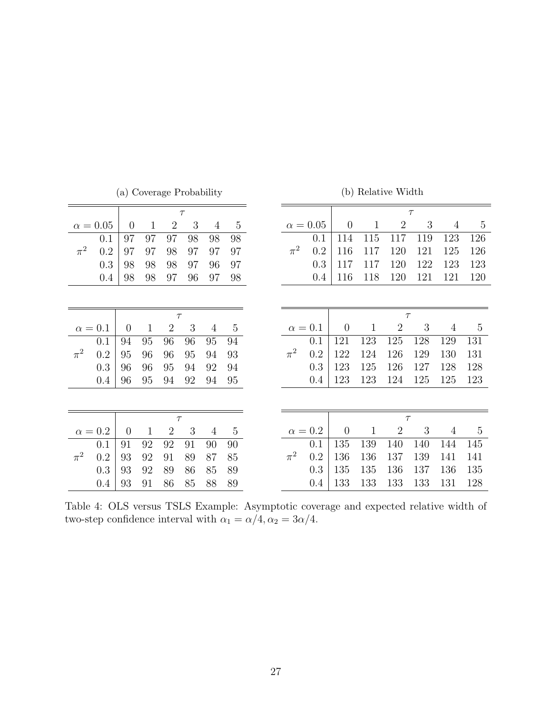<span id="page-27-0"></span>

|                 | $\tau$         |              |                |    |                |                |         |                |                |              | $\tau$         |        |                |                |
|-----------------|----------------|--------------|----------------|----|----------------|----------------|---------|----------------|----------------|--------------|----------------|--------|----------------|----------------|
| $\alpha = 0.05$ | $\overline{0}$ | $\mathbf{1}$ | $\overline{2}$ | 3  | $\overline{4}$ | $\overline{5}$ |         | $\alpha=0.05$  | $\overline{0}$ | $\mathbf{1}$ | $\overline{2}$ | 3      | $\overline{4}$ | $\mathbf 5$    |
| 0.1             | 97             | 97           | 97             | 98 | 98             | 98             |         | 0.1            | 114            | 115          | 117            | 119    | 123            | 126            |
| $\pi^2$<br>0.2  | 97             | 97           | 98             | 97 | 97             | 97             | $\pi^2$ | 0.2            | 116            | 117          | 120            | 121    | 125            | 126            |
| 0.3             | 98             | 98           | 98             | 97 | 96             | 97             |         | 0.3            | 117            | 117          | 120            | 122    | 123            | 123            |
| 0.4             | 98             | 98           | 97             | 96 | 97             | 98             |         | 0.4            | 116            | 118          | 120            | 121    | 121            | 120            |
|                 |                |              |                |    |                |                |         |                |                |              |                |        |                |                |
|                 |                |              |                |    |                |                |         |                |                |              |                |        |                |                |
|                 |                |              | $\tau$         |    |                |                |         |                |                |              |                | $\tau$ |                |                |
| $\alpha=0.1$    | $\theta$       | $\mathbf{1}$ | $\overline{2}$ | 3  | $\overline{4}$ | $\overline{5}$ |         | $\alpha=0.1$   | $\overline{0}$ | $\mathbf{1}$ | $\overline{2}$ | 3      | $\overline{4}$ | $5\,$          |
| 0.1             | 94             | 95           | 96             | 96 | 95             | 94             |         | 0.1            | 121            | 123          | 125            | 128    | 129            | 131            |
| $\pi^2$<br>0.2  | 95             | 96           | 96             | 95 | 94             | 93             | $\pi^2$ | 0.2            | 122            | 124          | 126            | 129    | 130            | 131            |
| 0.3             | 96             | 96           | 95             | 94 | 92             | 94             |         | 0.3            | 123            | 125          | 126            | 127    | 128            | 128            |
| 0.4             | 96             | 95           | 94             | 92 | 94             | 95             |         | 0.4            | 123            | 123          | 124            | 125    | 125            | 123            |
|                 |                |              |                |    |                |                |         |                |                |              |                |        |                |                |
|                 |                |              |                |    |                |                |         |                |                |              |                |        |                |                |
|                 |                |              | $\tau$         |    |                |                |         |                |                |              | $\tau$         |        |                |                |
| $\alpha = 0.2$  | $\overline{0}$ | $\mathbf{1}$ | $\overline{2}$ | 3  | $\overline{4}$ | $\overline{5}$ |         | $\alpha = 0.2$ | $\theta$       | $\mathbf{1}$ | $\overline{2}$ | 3      | $\overline{4}$ | $\overline{5}$ |
| 0.1             | 91             | 92           | 92             | 91 | 90             | 90             |         | 0.1            | 135            | 139          | 140            | 140    | 144            | 145            |
| $\pi^2$<br>0.2  | 93             | 92           | 91             | 89 | 87             | 85             | $\pi^2$ | 0.2            | 136            | 136          | 137            | 139    | 141            | 141            |
| 0.3             | 93             | 92           | 89             | 86 | 85             | 89             |         | 0.3            | 135            | 135          | 136            | 137    | 136            | 135            |
|                 |                |              |                |    |                |                |         |                |                |              |                |        |                |                |

(a) Coverage Probability

(b) Relative Width

Table 4: OLS versus TSLS Example: Asymptotic coverage and expected relative width of two-step confidence interval with  $\alpha_1 = \alpha/4, \alpha_2 = 3\alpha/4.$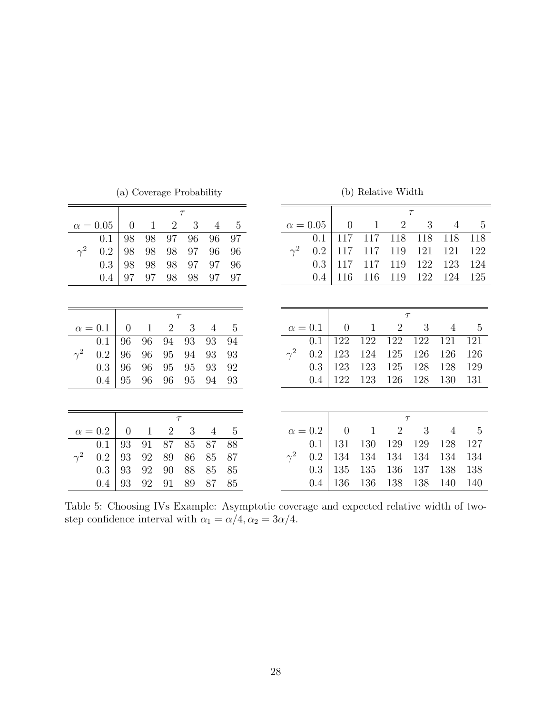<span id="page-28-0"></span>

|                |                 |                |              |                | $\tau$ |                |                |            |                 |                |              |                | $\tau$ |                |                |
|----------------|-----------------|----------------|--------------|----------------|--------|----------------|----------------|------------|-----------------|----------------|--------------|----------------|--------|----------------|----------------|
|                | $\alpha = 0.05$ | $\overline{0}$ | $\mathbf{1}$ | $\overline{2}$ | 3      | $\overline{4}$ | $\overline{5}$ |            | $\alpha = 0.05$ | $\overline{0}$ | $\mathbf{1}$ | $\overline{2}$ | 3      | $\overline{4}$ | $\bf 5$        |
|                | 0.1             | 98             | 98           | 97             | 96     | 96             | 97             |            | 0.1             | 117            | 117          | 118            | 118    | 118            | 118            |
| $\gamma^2$     | 0.2             | 98             | 98           | 98             | 97     | 96             | 96             | $\gamma^2$ | 0.2             | 117            | 117          | 119            | 121    | 121            | 122            |
|                | 0.3             | 98             | 98           | 98             | 97     | 97             | 96             |            | 0.3             | 117            | 117          | 119            | 122    | 123            | 124            |
|                | 0.4             | 97             | 97           | 98             | 98     | 97             | 97             |            | 0.4             | 116            | 116          | 119            | 122    | 124            | 125            |
|                |                 |                |              |                |        |                |                |            |                 |                |              |                |        |                |                |
|                |                 |                |              |                |        |                |                |            |                 |                |              |                |        |                |                |
|                |                 |                |              | $\tau$         |        |                |                |            |                 |                |              | $\tau$         |        |                |                |
| $\alpha=0.1$   |                 | $\overline{0}$ | $\mathbf{1}$ | $\overline{2}$ | 3      | $\overline{4}$ | $\overline{5}$ |            | $\alpha = 0.1$  | $\overline{0}$ | $\mathbf{1}$ | $\overline{2}$ | 3      | $\overline{4}$ | $\overline{5}$ |
|                | 0.1             | 96             | 96           | 94             | 93     | 93             | 94             |            | 0.1             | 122            | 122          | 122            | 122    | 121            | 121            |
| $\gamma^2$     | 0.2             | 96             | 96           | 95             | 94     | 93             | 93             | $\gamma^2$ | 0.2             | 123            | 124          | 125            | 126    | 126            | 126            |
|                | 0.3             | 96             | 96           | 95             | 95     | 93             | 92             |            | $0.3\,$         | 123            | 123          | 125            | 128    | 128            | 129            |
|                | 0.4             | 95             | 96           | 96             | 95     | 94             | 93             |            | 0.4             | 122            | 123          | 126            | 128    | 130            | 131            |
|                |                 |                |              |                |        |                |                |            |                 |                |              |                |        |                |                |
|                |                 |                |              |                |        |                |                |            |                 |                |              |                |        |                |                |
|                |                 |                |              | $\tau$         |        |                |                |            |                 |                |              | $\tau$         |        |                |                |
| $\alpha = 0.2$ |                 | $\overline{0}$ | $\mathbf{1}$ | $\overline{2}$ | 3      | $\overline{4}$ | $\overline{5}$ |            | $\alpha = 0.2$  | $\theta$       | $\mathbf{1}$ | $\overline{2}$ | 3      | $\overline{4}$ | $\overline{5}$ |
|                | 0.1             | 93             | 91           | 87             | 85     | 87             | 88             |            | 0.1             | 131            | 130          | 129            | 129    | 128            | 127            |
| $\gamma^2$     | 0.2             | 93             | 92           | 89             | 86     | 85             | 87             | $\gamma^2$ | 0.2             | 134            | 134          | 134            | 134    | 134            | 134            |
|                | 0.3             | 93             | 92           | 90             | 88     | 85             | 85             |            | 0.3             | 135            | 135          | 136            | 137    | 138            | 138            |
|                | 0.4             | 93             | 92           | 91             | 89     | 87             | 85             |            | 0.4             | 136            | 136          | 138            | 138    | 140            | 140            |

(a) Coverage Probability

(b) Relative Width

Table 5: Choosing IVs Example: Asymptotic coverage and expected relative width of twostep confidence interval with  $\alpha_1 = \alpha/4, \alpha_2 = 3\alpha/4.$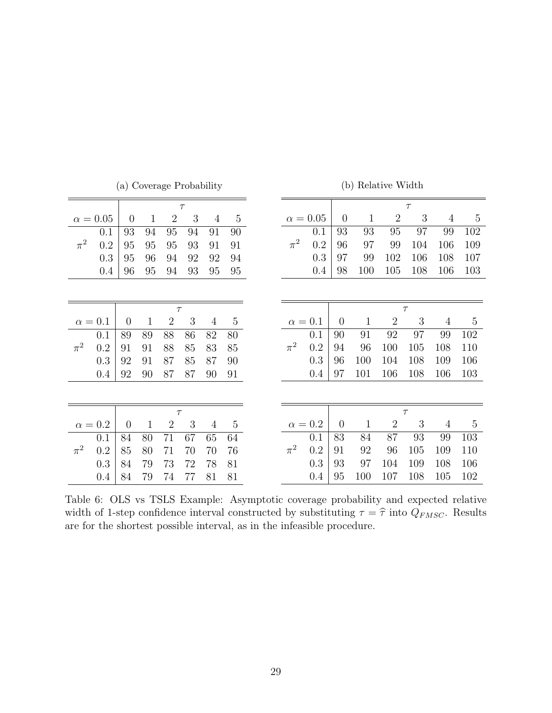<span id="page-29-0"></span>

|         |                 |                |              |                | $\tau$ |                |                |         |                 |                |              |                | $\tau$ |                |                |
|---------|-----------------|----------------|--------------|----------------|--------|----------------|----------------|---------|-----------------|----------------|--------------|----------------|--------|----------------|----------------|
|         | $\alpha = 0.05$ | $\overline{0}$ | $\mathbf{1}$ | $\overline{2}$ | 3      | $\overline{4}$ | $\mathbf 5$    |         | $\alpha = 0.05$ | $\overline{0}$ | $\mathbf{1}$ | $\overline{2}$ | 3      | $\overline{4}$ | $\overline{5}$ |
|         | 0.1             | 93             | 94           | 95             | 94     | 91             | 90             |         | 0.1             | 93             | 93           | 95             | 97     | 99             | 102            |
| $\pi^2$ | 0.2             | 95             | 95           | 95             | 93     | 91             | 91             | $\pi^2$ | 0.2             | 96             | 97           | 99             | 104    | 106            | 109            |
|         | 0.3             | 95             | 96           | 94             | 92     | 92             | 94             |         | 0.3             | 97             | 99           | 102            | 106    | 108            | 107            |
|         | 0.4             | 96             | 95           | 94             | 93     | 95             | 95             |         | 0.4             | 98             | 100          | 105            | 108    | 106            | 103            |
|         |                 |                |              |                |        |                |                |         |                 |                |              |                |        |                |                |
|         |                 |                |              |                |        |                |                |         |                 |                |              |                |        |                |                |
|         |                 |                |              | $\tau$         |        |                |                |         |                 |                |              |                | $\tau$ |                |                |
|         | $\alpha = 0.1$  | $\overline{0}$ | $\mathbf{1}$ | $\overline{2}$ | 3      | 4              | $\overline{5}$ |         | $\alpha=0.1$    | $\overline{0}$ | $\mathbf{1}$ | $\overline{2}$ | 3      | $\overline{4}$ | $\bf 5$        |
|         | 0.1             | 89             | 89           | 88             | 86     | 82             | 80             |         | 0.1             | 90             | 91           | 92             | 97     | 99             | 102            |
| $\pi^2$ | 0.2             | 91             | 91           | 88             | 85     | 83             | 85             | $\pi^2$ | 0.2             | 94             | 96           | 100            | 105    | 108            | 110            |
|         | $0.3\,$         | 92             | 91           | 87             | 85     | 87             | 90             |         | 0.3             | 96             | 100          | 104            | 108    | 109            | 106            |
|         | 0.4             | 92             | 90           | 87             | 87     | 90             | 91             |         | 0.4             | 97             | 101          | 106            | 108    | 106            | 103            |
|         |                 |                |              |                |        |                |                |         |                 |                |              |                |        |                |                |
|         |                 |                |              |                |        |                |                |         |                 |                |              |                |        |                |                |
|         |                 |                |              | $\tau$         |        |                |                |         |                 |                |              |                | $\tau$ |                |                |
|         | $\alpha=0.2$    | $\overline{0}$ | $\mathbf{1}$ | $\overline{2}$ | 3      | $\overline{4}$ | $\mathbf 5$    |         | $\alpha=0.2$    | $\theta$       | $\mathbf{1}$ | $\overline{2}$ | 3      | $\overline{4}$ | $\bf 5$        |
|         | 0.1             | 84             | 80           | 71             | 67     | 65             | 64             |         | 0.1             | 83             | 84           | 87             | 93     | 99             | 103            |
| $\pi^2$ | 0.2             | 85             | 80           | 71             | 70     | 70             | 76             | $\pi^2$ | 0.2             | 91             | 92           | 96             | 105    | 109            | 110            |
|         | 0.3             | 84             | 79           | 73             | 72     | 78             | 81             |         | 0.3             | 93             | 97           | 104            | 109    | 108            | 106            |
|         | 0.4             | 84             | 79           | 74             | 77     | 81             | 81             |         | 0.4             | 95             | 100          | 107            | 108    | 105            | 102            |

(a) Coverage Probability

(b) Relative Width

Table 6: OLS vs TSLS Example: Asymptotic coverage probability and expected relative width of 1-step confidence interval constructed by substituting  $\tau = \hat{\tau}$  into  $Q_{FMSC}$ . Results are for the shortest possible interval, as in the infeasible procedure.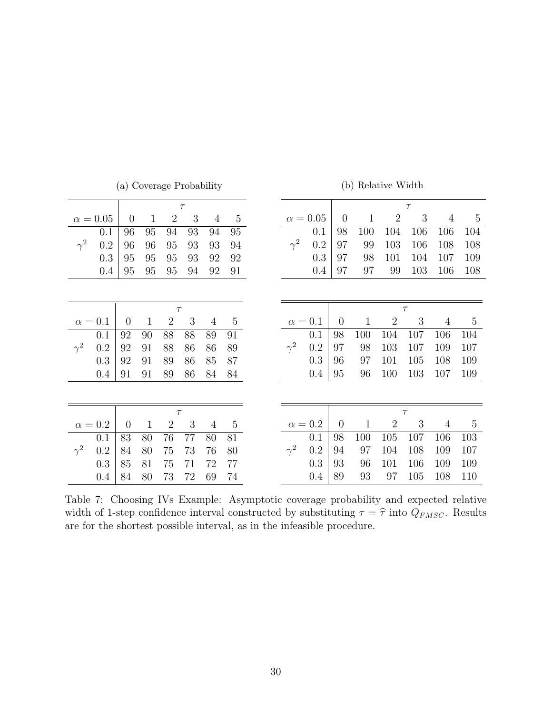<span id="page-30-0"></span>

|            |                 |                |              |                | $\tau$ |                |                |            |                 |                  |             |                  | $\tau$ |                |     |
|------------|-----------------|----------------|--------------|----------------|--------|----------------|----------------|------------|-----------------|------------------|-------------|------------------|--------|----------------|-----|
|            | $\alpha = 0.05$ | $\overline{0}$ | $\mathbf{1}$ | $\overline{2}$ | 3      | $\overline{4}$ | $\mathbf 5$    |            | $\alpha = 0.05$ | $\boldsymbol{0}$ | $\mathbf 1$ | $\overline{2}$   | 3      | $\overline{4}$ |     |
|            | 0.1             | 96             | 95           | 94             | 93     | 94             | 95             |            | 0.1             | 98               | 100         | 104              | 106    | 106            |     |
| $\gamma^2$ | 0.2             | 96             | 96           | 95             | 93     | 93             | 94             | $\gamma^2$ | 0.2             | 97               | 99          | 103              | 106    | 108            |     |
|            | 0.3             | 95             | 95           | 95             | 93     | 92             | 92             |            | 0.3             | 97               | 98          | 101              | 104    | 107            |     |
|            | 0.4             | 95             | 95           | 95             | 94     | 92             | 91             |            | 0.4             | 97               | 97          | 99               | 103    | 106            |     |
|            |                 |                |              |                |        |                |                |            |                 |                  |             |                  |        |                |     |
|            |                 |                |              | $\tau$         |        |                |                |            |                 |                  |             |                  | $\tau$ |                |     |
|            | $\alpha = 0.1$  | $\theta$       | $\mathbf{1}$ | $\overline{2}$ | 3      | $\overline{4}$ | $\overline{5}$ |            | $\alpha = 0.1$  | $\theta$         | $\mathbf 1$ | $\overline{2}$   | 3      | $\overline{4}$ |     |
|            | 0.1             | 92             | 90           | 88             | 88     | 89             | 91             |            | 0.1             | 98               | 100         | 104              | 107    | 106            | 104 |
| $\gamma^2$ | $0.2\,$         | 92             | 91           | 88             | 86     | 86             | 89             | $\gamma^2$ | 0.2             | 97               | 98          | 103              | 107    | 109            | 107 |
|            | 0.3             | 92             | 91           | 89             | 86     | 85             | 87             |            | 0.3             | 96               | 97          | 101              | 105    | 108            | 109 |
|            | 0.4             | 91             | 91           | 89             | 86     | 84             | 84             |            | 0.4             | 95               | 96          | 100              | 103    | 107            | 109 |
|            |                 |                |              |                |        |                |                |            |                 |                  |             |                  |        |                |     |
|            |                 |                |              | $\tau$         |        |                |                |            |                 |                  |             |                  | $\tau$ |                |     |
|            | $\alpha = 0.2$  | $\overline{0}$ | $\mathbf{1}$ | $\overline{2}$ | 3      | $\overline{4}$ | $5\,$          |            | $\alpha = 0.2$  | $\overline{0}$   | $\mathbf 1$ | $\boldsymbol{2}$ | 3      | $\overline{4}$ |     |
|            | 0.1             | 83             | 80           | 76             | 77     | 80             | 81             |            | 0.1             | 98               | 100         | 105              | 107    | 106            | 103 |
| $\gamma^2$ | 0.2             | 84             | 80           | 75             | 73     | 76             | 80             | $\gamma^2$ | 0.2             | 94               | 97          | 104              | 108    | 109            | 107 |
|            | 0.3             | 85             | 81           | 75             | 71     | 72             | 77             |            | 0.3             | 93               | 96          | 101              | 106    | 109            | 109 |
|            | $0.4\,$         | 84             | 80           | 73             | 72     | 69             | 74             |            | 0.4             | 89               | 93          | 97               | 105    | 108            | 110 |

(a) Coverage Probability

(b) Relative Width

Table 7: Choosing IVs Example: Asymptotic coverage probability and expected relative width of 1-step confidence interval constructed by substituting  $\tau = \hat{\tau}$  into  $Q_{FMSC}$ . Results are for the shortest possible interval, as in the infeasible procedure.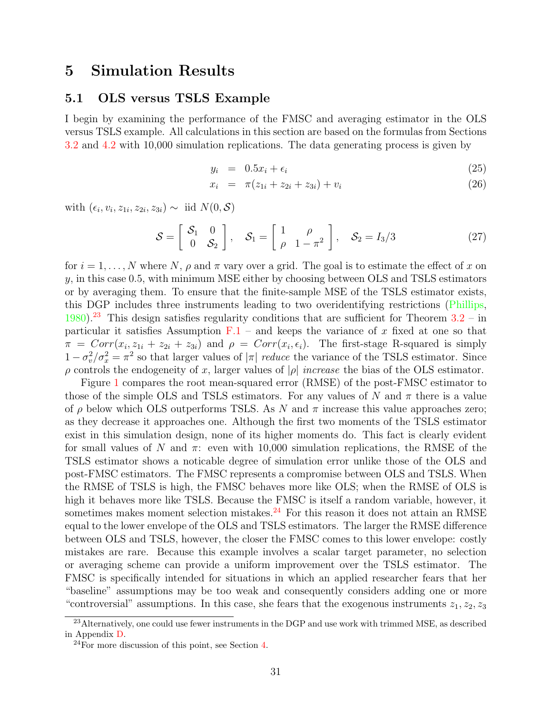## <span id="page-31-0"></span>5 Simulation Results

## <span id="page-31-3"></span>5.1 OLS versus TSLS Example

I begin by examining the performance of the FMSC and averaging estimator in the OLS versus TSLS example. All calculations in this section are based on the formulas from Sections [3.2](#page-11-0) and [4.2](#page-18-1) with 10,000 simulation replications. The data generating process is given by

<span id="page-31-4"></span>
$$
y_i = 0.5x_i + \epsilon_i \tag{25}
$$

$$
x_i = \pi (z_{1i} + z_{2i} + z_{3i}) + v_i \tag{26}
$$

with  $(\epsilon_i, v_i, z_{1i}, z_{2i}, z_{3i}) \sim \text{iid } N(0, \mathcal{S})$ 

<span id="page-31-5"></span>
$$
\mathcal{S} = \left[ \begin{array}{cc} \mathcal{S}_1 & 0 \\ 0 & \mathcal{S}_2 \end{array} \right], \quad \mathcal{S}_1 = \left[ \begin{array}{cc} 1 & \rho \\ \rho & 1 - \pi^2 \end{array} \right], \quad \mathcal{S}_2 = I_3/3 \tag{27}
$$

for  $i = 1, \ldots, N$  where N,  $\rho$  and  $\pi$  vary over a grid. The goal is to estimate the effect of x on  $y$ , in this case 0.5, with minimum MSE either by choosing between OLS and TSLS estimators or by averaging them. To ensure that the finite-sample MSE of the TSLS estimator exists, this DGP includes three instruments leading to two overidentifying restrictions [\(Phillips,](#page-61-5) [1980\)](#page-61-5).<sup>[23](#page-31-1)</sup> This design satisfies regularity conditions that are sufficient for Theorem  $3.2 - in$  $3.2 - in$ particular it satisfies Assumption  $F.1$  – and keeps the variance of x fixed at one so that  $\pi = Corr(x_i, z_{1i} + z_{2i} + z_{3i})$  and  $\rho = Corr(x_i, \epsilon_i)$ . The first-stage R-squared is simply  $1 - \sigma_v^2/\sigma_x^2 = \pi^2$  so that larger values of  $|\pi|$  *reduce* the variance of the TSLS estimator. Since  $\rho$  controls the endogeneity of x, larger values of  $|\rho|$  *increase* the bias of the OLS estimator.

Figure [1](#page-33-0) compares the root mean-squared error (RMSE) of the post-FMSC estimator to those of the simple OLS and TSLS estimators. For any values of N and  $\pi$  there is a value of  $\rho$  below which OLS outperforms TSLS. As N and  $\pi$  increase this value approaches zero; as they decrease it approaches one. Although the first two moments of the TSLS estimator exist in this simulation design, none of its higher moments do. This fact is clearly evident for small values of N and  $\pi$ : even with 10,000 simulation replications, the RMSE of the TSLS estimator shows a noticable degree of simulation error unlike those of the OLS and post-FMSC estimators. The FMSC represents a compromise between OLS and TSLS. When the RMSE of TSLS is high, the FMSC behaves more like OLS; when the RMSE of OLS is high it behaves more like TSLS. Because the FMSC is itself a random variable, however, it sometimes makes moment selection mistakes. $24$  For this reason it does not attain an RMSE equal to the lower envelope of the OLS and TSLS estimators. The larger the RMSE difference between OLS and TSLS, however, the closer the FMSC comes to this lower envelope: costly mistakes are rare. Because this example involves a scalar target parameter, no selection or averaging scheme can provide a uniform improvement over the TSLS estimator. The FMSC is specifically intended for situations in which an applied researcher fears that her "baseline" assumptions may be too weak and consequently considers adding one or more "controversial" assumptions. In this case, she fears that the exogenous instruments  $z_1, z_2, z_3$ 

<span id="page-31-1"></span><sup>&</sup>lt;sup>23</sup>Alternatively, one could use fewer instruments in the DGP and use work with trimmed MSE, as described in Appendix [D.](#page-53-0)

<span id="page-31-2"></span> $24$ For more discussion of this point, see Section [4.](#page-15-0)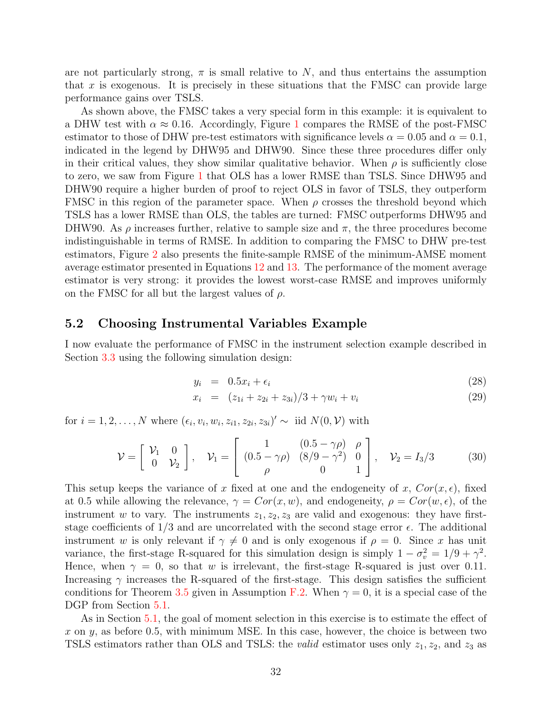are not particularly strong,  $\pi$  is small relative to N, and thus entertains the assumption that x is exogenous. It is precisely in these situations that the FMSC can provide large performance gains over TSLS.

As shown above, the FMSC takes a very special form in this example: it is equivalent to a DHW test with  $\alpha \approx 0.16$  $\alpha \approx 0.16$  $\alpha \approx 0.16$ . Accordingly, Figure 1 compares the RMSE of the post-FMSC estimator to those of DHW pre-test estimators with significance levels  $\alpha = 0.05$  and  $\alpha = 0.1$ , indicated in the legend by DHW95 and DHW90. Since these three procedures differ only in their critical values, they show similar qualitative behavior. When  $\rho$  is sufficiently close to zero, we saw from Figure [1](#page-33-0) that OLS has a lower RMSE than TSLS. Since DHW95 and DHW90 require a higher burden of proof to reject OLS in favor of TSLS, they outperform FMSC in this region of the parameter space. When  $\rho$  crosses the threshold beyond which TSLS has a lower RMSE than OLS, the tables are turned: FMSC outperforms DHW95 and DHW90. As  $\rho$  increases further, relative to sample size and  $\pi$ , the three procedures become indistinguishable in terms of RMSE. In addition to comparing the FMSC to DHW pre-test estimators, Figure [2](#page-34-0) also presents the finite-sample RMSE of the minimum-AMSE moment average estimator presented in Equations [12](#page-19-3) and [13.](#page-19-4) The performance of the moment average estimator is very strong: it provides the lowest worst-case RMSE and improves uniformly on the FMSC for all but the largest values of  $\rho$ .

## <span id="page-32-0"></span>5.2 Choosing Instrumental Variables Example

I now evaluate the performance of FMSC in the instrument selection example described in Section [3.3](#page-13-0) using the following simulation design:

<span id="page-32-1"></span>
$$
y_i = 0.5x_i + \epsilon_i \tag{28}
$$

$$
x_i = (z_{1i} + z_{2i} + z_{3i})/3 + \gamma w_i + v_i \tag{29}
$$

for  $i = 1, 2, ..., N$  where  $(\epsilon_i, v_i, w_i, z_{i1}, z_{2i}, z_{3i})' \sim$  iid  $N(0, V)$  with

<span id="page-32-2"></span>
$$
\mathcal{V} = \begin{bmatrix} \mathcal{V}_1 & 0 \\ 0 & \mathcal{V}_2 \end{bmatrix}, \quad \mathcal{V}_1 = \begin{bmatrix} 1 & (0.5 - \gamma \rho) & \rho \\ (0.5 - \gamma \rho) & (8/9 - \gamma^2) & 0 \\ \rho & 0 & 1 \end{bmatrix}, \quad \mathcal{V}_2 = I_3/3 \tag{30}
$$

This setup keeps the variance of x fixed at one and the endogeneity of x,  $Cor(x, \epsilon)$ , fixed at 0.5 while allowing the relevance,  $\gamma = Cor(x, w)$ , and endogeneity,  $\rho = Cor(w, \epsilon)$ , of the instrument w to vary. The instruments  $z_1, z_2, z_3$  are valid and exogenous: they have firststage coefficients of  $1/3$  and are uncorrelated with the second stage error  $\epsilon$ . The additional instrument w is only relevant if  $\gamma \neq 0$  and is only exogenous if  $\rho = 0$ . Since x has unit variance, the first-stage R-squared for this simulation design is simply  $1 - \sigma_v^2 = 1/9 + \gamma^2$ . Hence, when  $\gamma = 0$ , so that w is irrelevant, the first-stage R-squared is just over 0.11. Increasing  $\gamma$  increases the R-squared of the first-stage. This design satisfies the sufficient conditions for Theorem [3.5](#page-13-1) given in Assumption [F.2.](#page-55-0) When  $\gamma = 0$ , it is a special case of the DGP from Section  $5.1$ .

As in Section [5.1,](#page-31-3) the goal of moment selection in this exercise is to estimate the effect of x on y, as before 0.5, with minimum MSE. In this case, however, the choice is between two TSLS estimators rather than OLS and TSLS: the *valid* estimator uses only  $z_1, z_2$ , and  $z_3$  as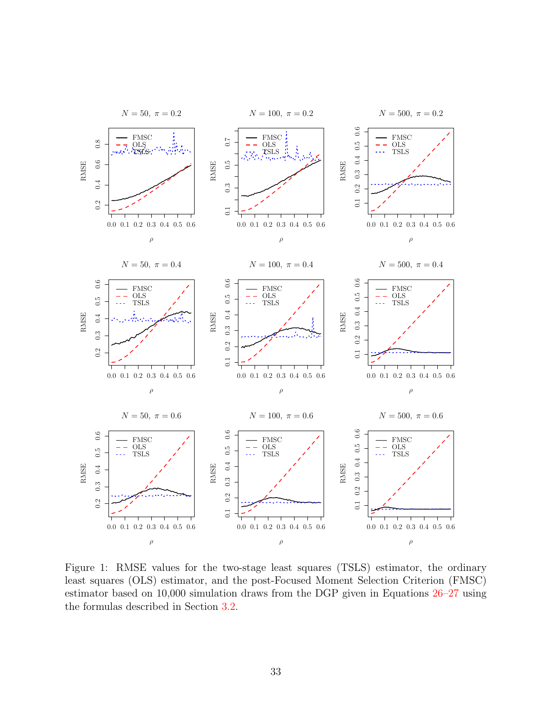<span id="page-33-0"></span>

Figure 1: RMSE values for the two-stage least squares (TSLS) estimator, the ordinary least squares (OLS) estimator, and the post-Focused Moment Selection Criterion (FMSC) estimator based on 10,000 simulation draws from the DGP given in Equations [26–](#page-31-4)[27](#page-31-5) using the formulas described in Section [3.2.](#page-11-0)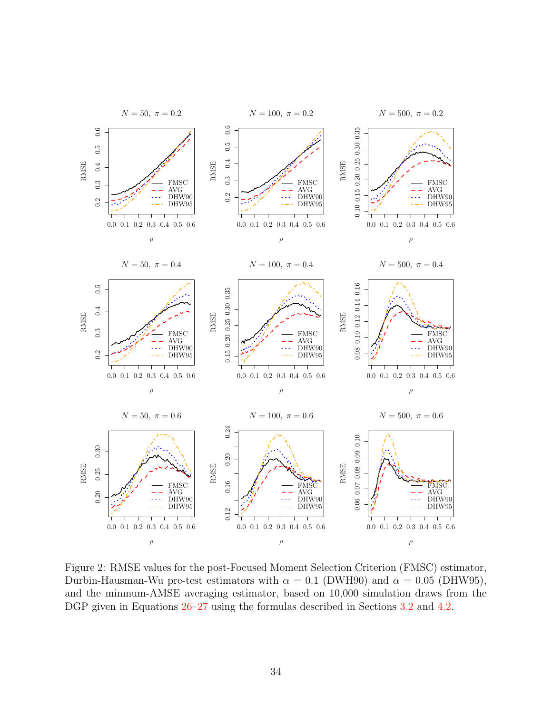<span id="page-34-0"></span>

Figure 2: RMSE values for the post-Focused Moment Selection Criterion (FMSC) estimator, Durbin-Hausman-Wu pre-test estimators with  $\alpha = 0.1$  (DWH90) and  $\alpha = 0.05$  (DHW95), and the minmum-AMSE averaging estimator, based on 10,000 simulation draws from the DGP given in Equations  $26-27$  $26-27$  using the formulas described in Sections [3.2](#page-11-0) and [4.2.](#page-18-1)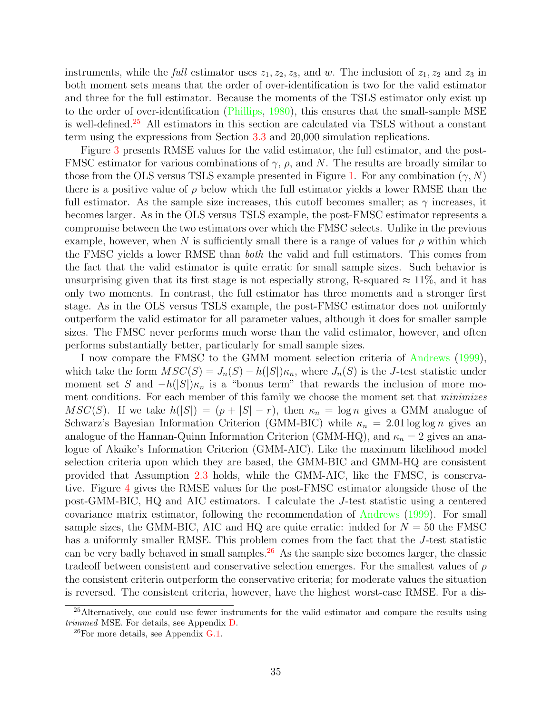instruments, while the full estimator uses  $z_1, z_2, z_3$ , and w. The inclusion of  $z_1, z_2$  and  $z_3$  in both moment sets means that the order of over-identification is two for the valid estimator and three for the full estimator. Because the moments of the TSLS estimator only exist up to the order of over-identification [\(Phillips,](#page-61-5) [1980\)](#page-61-5), this ensures that the small-sample MSE is well-defined.[25](#page-35-0) All estimators in this section are calculated via TSLS without a constant term using the expressions from Section [3.3](#page-13-0) and 20,000 simulation replications.

Figure [3](#page-36-0) presents RMSE values for the valid estimator, the full estimator, and the post-FMSC estimator for various combinations of  $\gamma$ ,  $\rho$ , and N. The results are broadly similar to those from the OLS versus TSLS example presented in Figure [1.](#page-33-0) For any combination  $(\gamma, N)$ there is a positive value of  $\rho$  below which the full estimator yields a lower RMSE than the full estimator. As the sample size increases, this cutoff becomes smaller; as  $\gamma$  increases, it becomes larger. As in the OLS versus TSLS example, the post-FMSC estimator represents a compromise between the two estimators over which the FMSC selects. Unlike in the previous example, however, when N is sufficiently small there is a range of values for  $\rho$  within which the FMSC yields a lower RMSE than both the valid and full estimators. This comes from the fact that the valid estimator is quite erratic for small sample sizes. Such behavior is unsurprising given that its first stage is not especially strong, R-squared  $\approx 11\%$ , and it has only two moments. In contrast, the full estimator has three moments and a stronger first stage. As in the OLS versus TSLS example, the post-FMSC estimator does not uniformly outperform the valid estimator for all parameter values, although it does for smaller sample sizes. The FMSC never performs much worse than the valid estimator, however, and often performs substantially better, particularly for small sample sizes.

I now compare the FMSC to the GMM moment selection criteria of [Andrews](#page-57-0) [\(1999\)](#page-57-0), which take the form  $MSC(S) = J_n(S) - h(|S|)\kappa_n$ , where  $J_n(S)$  is the J-test statistic under moment set S and  $-h(|S|)\kappa_n$  is a "bonus term" that rewards the inclusion of more moment conditions. For each member of this family we choose the moment set that *minimizes* MSC(S). If we take  $h(|S|) = (p + |S| - r)$ , then  $\kappa_n = \log n$  gives a GMM analogue of Schwarz's Bayesian Information Criterion (GMM-BIC) while  $\kappa_n = 2.01 \log \log n$  gives an analogue of the Hannan-Quinn Information Criterion (GMM-HQ), and  $\kappa_n = 2$  gives an analogue of Akaike's Information Criterion (GMM-AIC). Like the maximum likelihood model selection criteria upon which they are based, the GMM-BIC and GMM-HQ are consistent provided that Assumption [2.3](#page-7-4) holds, while the GMM-AIC, like the FMSC, is conservative. Figure [4](#page-38-0) gives the RMSE values for the post-FMSC estimator alongside those of the post-GMM-BIC, HQ and AIC estimators. I calculate the J-test statistic using a centered covariance matrix estimator, following the recommendation of [Andrews](#page-57-0) [\(1999\)](#page-57-0). For small sample sizes, the GMM-BIC, AIC and HQ are quite erratic: indded for  $N = 50$  the FMSC has a uniformly smaller RMSE. This problem comes from the fact that the J-test statistic can be very badly behaved in small samples.<sup>[26](#page-35-1)</sup> As the sample size becomes larger, the classic tradeoff between consistent and conservative selection emerges. For the smallest values of  $\rho$ the consistent criteria outperform the conservative criteria; for moderate values the situation is reversed. The consistent criteria, however, have the highest worst-case RMSE. For a dis-

<span id="page-35-0"></span><sup>25</sup>Alternatively, one could use fewer instruments for the valid estimator and compare the results using trimmed MSE. For details, see Appendix [D.](#page-53-0)

<span id="page-35-1"></span> $^{26}$ For more details, see Appendix [G.1.](#page-55-1)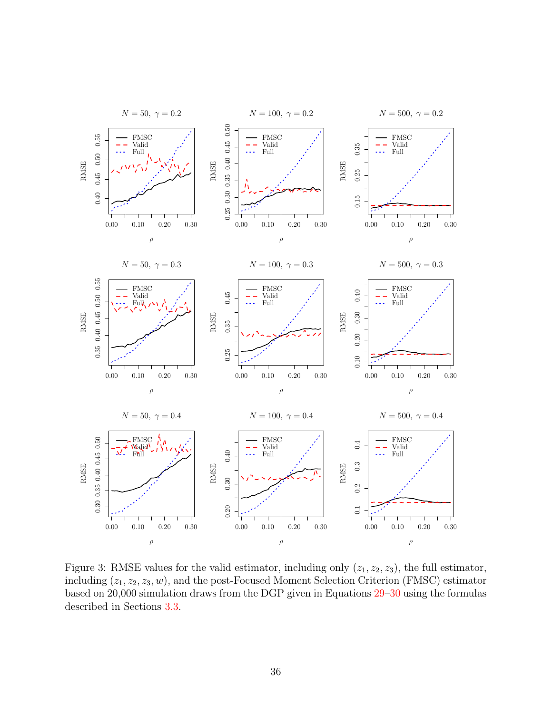<span id="page-36-0"></span>

Figure 3: RMSE values for the valid estimator, including only  $(z_1, z_2, z_3)$ , the full estimator, including  $(z_1, z_2, z_3, w)$ , and the post-Focused Moment Selection Criterion (FMSC) estimator based on 20,000 simulation draws from the DGP given in Equations [29–](#page-32-1)[30](#page-32-2) using the formulas described in Sections [3.3.](#page-13-0)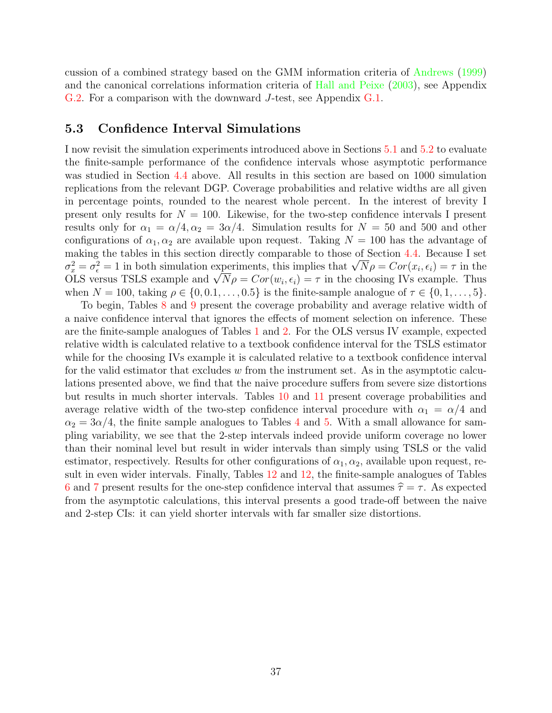cussion of a combined strategy based on the GMM information criteria of [Andrews](#page-57-0) [\(1999\)](#page-57-0) and the canonical correlations information criteria of [Hall and Peixe](#page-59-1) [\(2003\)](#page-59-1), see Appendix [G.2.](#page-57-3) For a comparison with the downward J-test, see Appendix [G.1.](#page-55-1)

## <span id="page-37-0"></span>5.3 Confidence Interval Simulations

I now revisit the simulation experiments introduced above in Sections [5.1](#page-31-3) and [5.2](#page-32-0) to evaluate the finite-sample performance of the confidence intervals whose asymptotic performance was studied in Section [4.4](#page-21-1) above. All results in this section are based on 1000 simulation replications from the relevant DGP. Coverage probabilities and relative widths are all given in percentage points, rounded to the nearest whole percent. In the interest of brevity I present only results for  $N = 100$ . Likewise, for the two-step confidence intervals I present results only for  $\alpha_1 = \alpha/4, \alpha_2 = 3\alpha/4$ . Simulation results for  $N = 50$  and 500 and other configurations of  $\alpha_1, \alpha_2$  are available upon request. Taking  $N = 100$  has the advantage of making the tables in this section directly comparable to those of Section [4.4.](#page-21-1) Because I set making the tables in this section directly comparable to those of Section 4.4. Because I set  $\sigma_x^2 = \sigma_{\epsilon}^2 = 1$  in both simulation experiments, this implies that  $\sqrt{N} \rho = Cor(x_i, \epsilon_i) = \tau$  in the OLS versus TSLS example and when  $N = 100$ , taking  $\rho \in \{0, 0.1, \ldots, 0.5\}$  is the finite-sample analogue of  $\tau \in \{0, 1, \ldots, 5\}$ .

To begin, Tables [8](#page-39-0) and [9](#page-40-0) present the coverage probability and average relative width of a naive confidence interval that ignores the effects of moment selection on inference. These are the finite-sample analogues of Tables [1](#page-24-0) and [2.](#page-25-0) For the OLS versus IV example, expected relative width is calculated relative to a textbook confidence interval for the TSLS estimator while for the choosing IVs example it is calculated relative to a textbook confidence interval for the valid estimator that excludes  $w$  from the instrument set. As in the asymptotic calculations presented above, we find that the naive procedure suffers from severe size distortions but results in much shorter intervals. Tables [10](#page-41-0) and [11](#page-42-0) present coverage probabilities and average relative width of the two-step confidence interval procedure with  $\alpha_1 = \alpha/4$  and  $\alpha_2 = 3\alpha/4$  $\alpha_2 = 3\alpha/4$ , the finite sample analogues to Tables 4 and [5.](#page-28-0) With a small allowance for sampling variability, we see that the 2-step intervals indeed provide uniform coverage no lower than their nominal level but result in wider intervals than simply using TSLS or the valid estimator, respectively. Results for other configurations of  $\alpha_1, \alpha_2$ , available upon request, result in even wider intervals. Finally, Tables [12](#page-43-0) and [12,](#page-43-0) the finite-sample analogues of Tables [6](#page-29-0) and [7](#page-30-0) present results for the one-step confidence interval that assumes  $\hat{\tau} = \tau$ . As expected from the asymptotic calculations, this interval presents a good trade-off between the naive and 2-step CIs: it can yield shorter intervals with far smaller size distortions.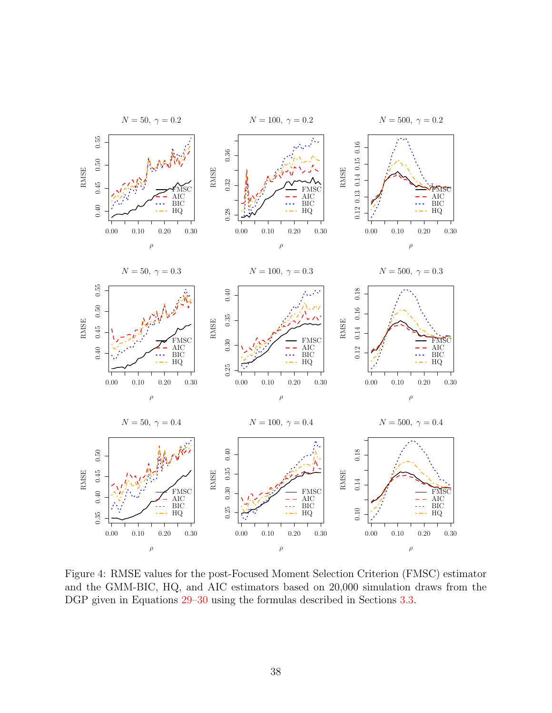<span id="page-38-0"></span>

Figure 4: RMSE values for the post-Focused Moment Selection Criterion (FMSC) estimator and the GMM-BIC, HQ, and AIC estimators based on 20,000 simulation draws from the DGP given in Equations [29–](#page-32-1)[30](#page-32-2) using the formulas described in Sections [3.3.](#page-13-0)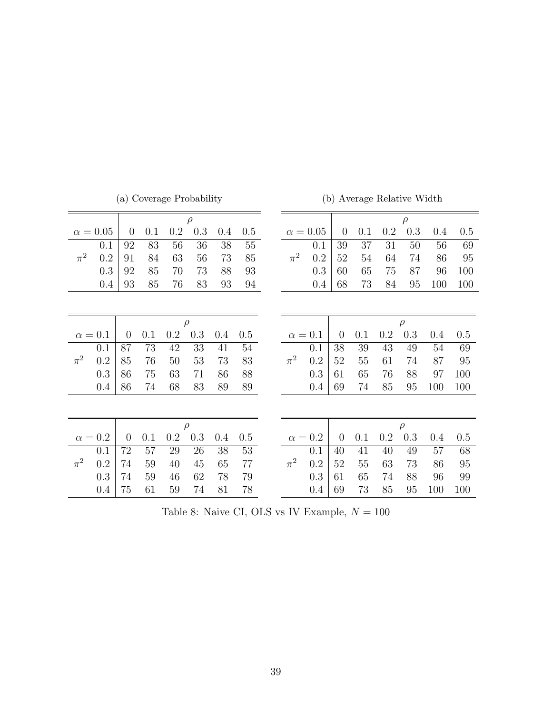<span id="page-39-0"></span>

|         |                 |                |     |     | (a) Coverage Probability |     |         |         |                 |                | (b) Average Relative Width |         |        |         |     |
|---------|-----------------|----------------|-----|-----|--------------------------|-----|---------|---------|-----------------|----------------|----------------------------|---------|--------|---------|-----|
|         |                 |                |     |     | $\rho$                   |     |         |         |                 |                |                            |         | $\rho$ |         |     |
|         | $\alpha = 0.05$ | $\overline{0}$ | 0.1 | 0.2 | 0.3                      | 0.4 | 0.5     |         | $\alpha = 0.05$ | $\overline{0}$ | 0.1                        | 0.2     | 0.3    | $0.4\,$ | 0.5 |
|         | 0.1             | 92             | 83  | 56  | 36                       | 38  | $55\,$  |         | 0.1             | 39             | 37                         | 31      | 50     | 56      | 69  |
| $\pi^2$ | 0.2             | 91             | 84  | 63  | 56                       | 73  | 85      | $\pi^2$ | 0.2             | 52             | 54                         | 64      | 74     | 86      | 95  |
|         | 0.3             | 92             | 85  | 70  | 73                       | 88  | 93      |         | 0.3             | 60             | 65                         | 75      | 87     | 96      | 100 |
|         | 0.4             | 93             | 85  | 76  | 83                       | 93  | 94      |         | 0.4             | 68             | 73                         | 84      | 95     | 100     | 100 |
|         |                 |                |     |     |                          |     |         |         |                 |                |                            |         |        |         |     |
|         |                 |                |     |     |                          |     |         |         |                 |                |                            |         |        |         |     |
|         |                 |                |     |     | $\rho$                   |     |         |         |                 |                |                            |         | $\rho$ |         |     |
|         | $\alpha=0.1$    | $\overline{0}$ | 0.1 | 0.2 | 0.3                      | 0.4 | 0.5     |         | $\alpha=0.1$    | $\overline{0}$ | 0.1                        | 0.2     | 0.3    | 0.4     | 0.5 |
|         | 0.1             | 87             | 73  | 42  | 33                       | 41  | $54\,$  |         | 0.1             | 38             | $39\,$                     | 43      | 49     | 54      | 69  |
| $\pi^2$ | 0.2             | 85             | 76  | 50  | 53                       | 73  | 83      | $\pi^2$ | 0.2             | 52             | 55                         | 61      | 74     | 87      | 95  |
|         | 0.3             | 86             | 75  | 63  | 71                       | 86  | 88      |         | 0.3             | 61             | 65                         | 76      | 88     | 97      | 100 |
|         | 0.4             | 86             | 74  | 68  | 83                       | 89  | 89      |         | 0.4             | 69             | 74                         | 85      | 95     | 100     | 100 |
|         |                 |                |     |     |                          |     |         |         |                 |                |                            |         |        |         |     |
|         |                 |                |     |     |                          |     |         |         |                 |                |                            |         |        |         |     |
|         |                 |                |     |     | $\rho$                   |     |         |         |                 |                |                            |         | $\rho$ |         |     |
|         | $\alpha = 0.2$  | $\overline{0}$ | 0.1 | 0.2 | $0.3\,$                  | 0.4 | $0.5\,$ |         | $\alpha=0.2$    | $\overline{0}$ | 0.1                        | $0.2\,$ | 0.3    | 0.4     | 0.5 |
|         | 0.1             | 72             | 57  | 29  | 26                       | 38  | 53      |         | 0.1             | 40             | 41                         | 40      | 49     | 57      | 68  |
| $\pi^2$ | 0.2             | 74             | 59  | 40  | 45                       | 65  | 77      | $\pi^2$ | 0.2             | 52             | 55                         | 63      | 73     | 86      | 95  |
|         | $0.3\,$         | 74             | 59  | 46  | 62                       | 78  | 79      |         | $0.3\,$         | 61             | 65                         | 74      | 88     | 96      | 99  |
|         | 0.4             | 75             | 61  | 59  | 74                       | 81  | 78      |         | 0.4             | 69             | 73                         | 85      | 95     | 100     | 100 |

(b) Average Relative Width

Table 8: Naive CI, OLS vs IV Example,  ${\cal N}=100$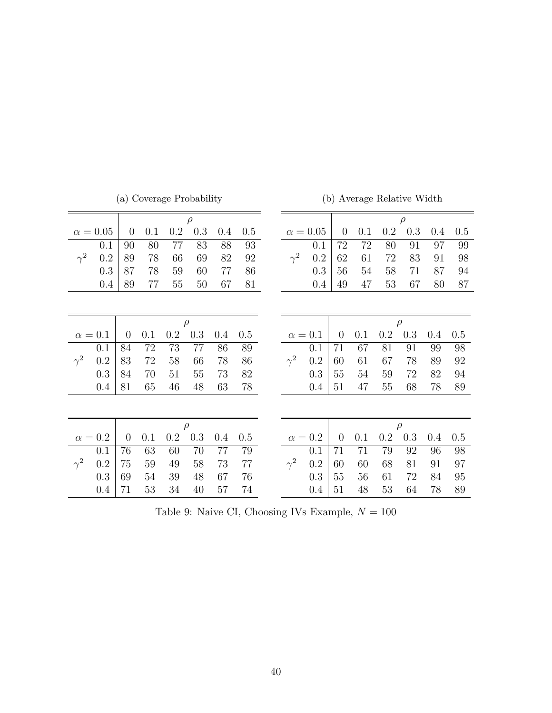<span id="page-40-0"></span>

|            |               |                | (a) Coverage Probability |     |        |     |                   |            |                 |                | (b) Average Relative Width |         |         |     |     |
|------------|---------------|----------------|--------------------------|-----|--------|-----|-------------------|------------|-----------------|----------------|----------------------------|---------|---------|-----|-----|
|            |               |                |                          |     | $\rho$ |     |                   |            |                 |                |                            |         | $\rho$  |     |     |
|            | $\alpha=0.05$ | $\overline{0}$ | 0.1                      | 0.2 | 0.3    | 0.4 | 0.5               |            | $\alpha = 0.05$ | $\overline{0}$ | 0.1                        | $0.2\,$ | 0.3     | 0.4 | 0.5 |
|            | 0.1           | 90             | 80                       | 77  | 83     | 88  | $\boldsymbol{93}$ |            | 0.1             | 72             | 72                         | 80      | 91      | 97  | 99  |
| $\gamma^2$ | 0.2           | 89             | 78                       | 66  | 69     | 82  | 92                | $\gamma^2$ | 0.2             | 62             | 61                         | 72      | 83      | 91  | 98  |
|            | 0.3           | 87             | 78                       | 59  | 60     | 77  | 86                |            | 0.3             | 56             | 54                         | 58      | 71      | 87  | 94  |
|            | 0.4           | 89             | 77                       | 55  | 50     | 67  | 81                |            | 0.4             | 49             | 47                         | 53      | 67      | 80  | 87  |
|            |               |                |                          |     |        |     |                   |            |                 |                |                            |         |         |     |     |
|            |               |                |                          |     |        |     |                   |            |                 |                |                            |         |         |     |     |
|            |               |                |                          |     | $\rho$ |     |                   |            |                 |                |                            |         | $\rho$  |     |     |
|            | $\alpha=0.1$  | $\theta$       | 0.1                      | 0.2 | 0.3    | 0.4 | 0.5               |            | $\alpha = 0.1$  | $\overline{0}$ | 0.1                        | 0.2     | 0.3     | 0.4 | 0.5 |
|            | 0.1           | 84             | 72                       | 73  | 77     | 86  | 89                |            | 0.1             | 71             | 67                         | 81      | 91      | 99  | 98  |
| $\gamma^2$ | 0.2           | 83             | 72                       | 58  | 66     | 78  | 86                | $\gamma^2$ | 0.2             | 60             | 61                         | 67      | 78      | 89  | 92  |
|            | 0.3           | 84             | 70                       | 51  | 55     | 73  | 82                |            | 0.3             | 55             | 54                         | 59      | 72      | 82  | 94  |
|            | 0.4           | 81             | 65                       | 46  | 48     | 63  | 78                |            | 0.4             | 51             | 47                         | $55\,$  | 68      | 78  | 89  |
|            |               |                |                          |     |        |     |                   |            |                 |                |                            |         |         |     |     |
|            |               |                |                          |     |        |     |                   |            |                 |                |                            |         |         |     |     |
|            |               |                |                          |     | $\rho$ |     |                   |            |                 |                |                            |         | $\rho$  |     |     |
|            | $\alpha=0.2$  | $\overline{0}$ | 0.1                      | 0.2 | 0.3    | 0.4 | 0.5               |            | $\alpha = 0.2$  | $\overline{0}$ | 0.1                        | 0.2     | $0.3\,$ | 0.4 | 0.5 |
|            | 0.1           | 76             | 63                       | 60  | 70     | 77  | 79                |            | 0.1             | 71             | 71                         | 79      | 92      | 96  | 98  |
| $\gamma^2$ | 0.2           | 75             | 59                       | 49  | 58     | 73  | 77                | $\gamma^2$ | 0.2             | 60             | 60                         | 68      | 81      | 91  | 97  |
|            | 0.3           | 69             | 54                       | 39  | 48     | 67  | 76                |            | 0.3             | 55             | 56                         | 61      | 72      | 84  | 95  |
|            | 0.4           | 71             | 53                       | 34  | 40     | 57  | 74                |            | 0.4             | 51             | 48                         | 53      | 64      | 78  | 89  |

Table 9: Naive CI, Choosing IVs Example,  ${\cal N}=100$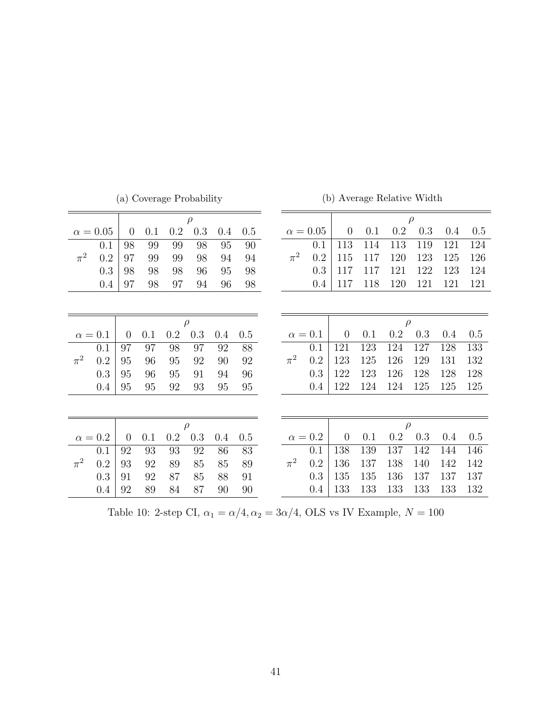<span id="page-41-0"></span>

|         |                 |                |     | (a) Coverage Probability |        |     |     |         |                | (b) Average Relative Width |     |        |        |     |     |
|---------|-----------------|----------------|-----|--------------------------|--------|-----|-----|---------|----------------|----------------------------|-----|--------|--------|-----|-----|
|         |                 |                |     |                          | $\rho$ |     |     |         |                |                            |     |        | $\rho$ |     |     |
|         | $\alpha = 0.05$ | $\theta$       | 0.1 | 0.2                      | 0.3    | 0.4 | 0.5 |         | $\alpha=0.05$  | $\overline{0}$             | 0.1 | 0.2    | 0.3    | 0.4 | 0.5 |
|         | 0.1             | 98             | 99  | 99                       | 98     | 95  | 90  |         | 0.1            | 113                        | 114 | 113    | 119    | 121 | 124 |
| $\pi^2$ | 0.2             | 97             | 99  | 99                       | 98     | 94  | 94  | $\pi^2$ | 0.2            | 115                        | 117 | 120    | 123    | 125 | 126 |
|         | 0.3             | 98             | 98  | 98                       | 96     | 95  | 98  |         | 0.3            | 117                        | 117 | 121    | 122    | 123 | 124 |
|         | 0.4             | 97             | 98  | 97                       | 94     | 96  | 98  |         | 0.4            | 117                        | 118 | 120    | 121    | 121 | 121 |
|         |                 |                |     |                          |        |     |     |         |                |                            |     |        |        |     |     |
|         |                 |                |     |                          |        |     |     |         |                |                            |     |        |        |     |     |
|         |                 |                |     |                          | $\rho$ |     |     |         |                |                            |     | $\rho$ |        |     |     |
|         | $\alpha=0.1$    | $\theta$       | 0.1 | 0.2                      | 0.3    | 0.4 | 0.5 |         | $\alpha = 0.1$ | $\overline{0}$             | 0.1 | 0.2    | 0.3    | 0.4 | 0.5 |
|         | 0.1             | 97             | 97  | 98                       | 97     | 92  | 88  |         | 0.1            | 121                        | 123 | 124    | 127    | 128 | 133 |
| $\pi^2$ | 0.2             | 95             | 96  | 95                       | 92     | 90  | 92  | $\pi^2$ | 0.2            | 123                        | 125 | 126    | 129    | 131 | 132 |
|         | 0.3             | 95             | 96  | 95                       | 91     | 94  | 96  |         | 0.3            | 122                        | 123 | 126    | 128    | 128 | 128 |
|         | 0.4             | 95             | 95  | 92                       | 93     | 95  | 95  |         | 0.4            | 122                        | 124 | 124    | 125    | 125 | 125 |
|         |                 |                |     |                          |        |     |     |         |                |                            |     |        |        |     |     |
|         |                 |                |     |                          |        |     |     |         |                |                            |     |        |        |     |     |
|         |                 |                |     |                          | $\rho$ |     |     |         |                |                            |     | $\rho$ |        |     |     |
|         | $\alpha=0.2$    | $\overline{0}$ | 0.1 | 0.2                      | 0.3    | 0.4 | 0.5 |         | $\alpha = 0.2$ | $\overline{0}$             | 0.1 | 0.2    | 0.3    | 0.4 | 0.5 |
|         | 0.1             | 92             | 93  | 93                       | 92     | 86  | 83  |         | 0.1            | 138                        | 139 | 137    | 142    | 144 | 146 |
| $\pi^2$ | 0.2             | 93             | 92  | 89                       | 85     | 85  | 89  | $\pi^2$ | 0.2            | 136                        | 137 | 138    | 140    | 142 | 142 |
|         | 0.3             | 91             | 92  | 87                       | 85     | 88  | 91  |         | 0.3            | 135                        | 135 | 136    | 137    | 137 | 137 |
|         | 0.4             | 92             | 89  | 84                       | 87     | 90  | 90  |         | 0.4            | 133                        | 133 | 133    | 133    | 133 | 132 |

 $\left(\cdot\right)$  Course  $\mathbf{D}_{\text{ref}}$  belief

 $(b)$  Average Relative Width

Table 10: 2-step CI,  $\alpha_1=\alpha/4, \alpha_2=3\alpha/4,$  OLS vs IV Example,  $N=100$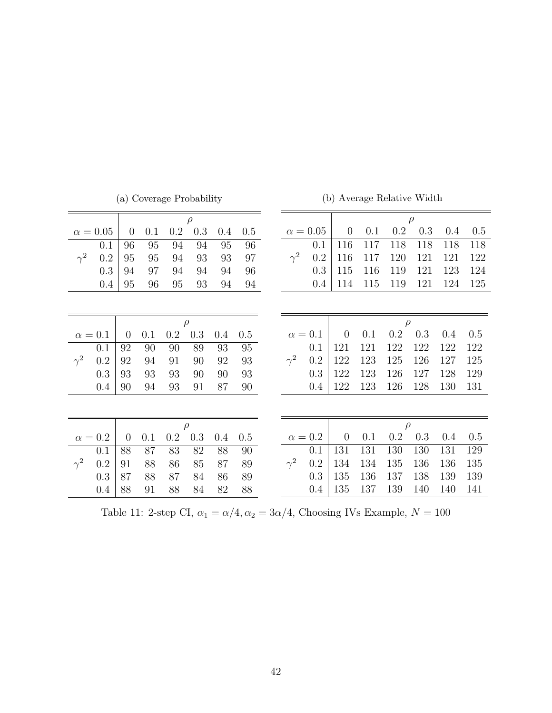<span id="page-42-0"></span>

|            |                 |                |     |         | (a) Coverage Probability |     |        |                 |     | (b) Average Relative Width |     |        |        |     |     |
|------------|-----------------|----------------|-----|---------|--------------------------|-----|--------|-----------------|-----|----------------------------|-----|--------|--------|-----|-----|
|            |                 |                |     |         | $\rho$                   |     |        |                 |     |                            |     |        | $\rho$ |     |     |
|            | $\alpha = 0.05$ | $\overline{0}$ | 0.1 | $0.2\,$ | $0.3\,$                  | 0.4 | 0.5    | $\alpha = 0.05$ |     | $\theta$                   | 0.1 | 0.2    | 0.3    | 0.4 | 0.5 |
|            | 0.1             | 96             | 95  | 94      | 94                       | 95  | 96     |                 | 0.1 | 116                        | 117 | 118    | 118    | 118 | 118 |
| $\gamma^2$ | 0.2             | 95             | 95  | 94      | 93                       | 93  | 97     | $\gamma^2$      | 0.2 | 116                        | 117 | 120    | 121    | 121 | 122 |
|            | 0.3             | 94             | 97  | 94      | 94                       | 94  | 96     |                 | 0.3 | 115                        | 116 | 119    | 121    | 123 | 124 |
|            | 0.4             | 95             | 96  | 95      | 93                       | 94  | 94     |                 | 0.4 | 114                        | 115 | 119    | 121    | 124 | 125 |
|            |                 |                |     |         |                          |     |        |                 |     |                            |     |        |        |     |     |
|            |                 |                |     |         | $\rho$                   |     |        |                 |     |                            |     | $\rho$ |        |     |     |
|            | $\alpha = 0.1$  | $\overline{0}$ | 0.1 | 0.2     | 0.3                      | 0.4 | 0.5    | $\alpha = 0.1$  |     | $\overline{0}$             | 0.1 | 0.2    | 0.3    | 0.4 | 0.5 |
|            | 0.1             | 92             | 90  | 90      | 89                       | 93  | $95\,$ |                 | 0.1 | 121                        | 121 | 122    | 122    | 122 | 122 |
| $\gamma^2$ | 0.2             | 92             | 94  | 91      | 90                       | 92  | 93     | $\gamma^2$      | 0.2 | 122                        | 123 | 125    | 126    | 127 | 125 |
|            | 0.3             | 93             | 93  | 93      | 90                       | 90  | 93     |                 | 0.3 | 122                        | 123 | 126    | 127    | 128 | 129 |
|            | 0.4             | 90             | 94  | 93      | 91                       | 87  | 90     |                 | 0.4 | 122                        | 123 | 126    | 128    | 130 | 131 |
|            |                 |                |     |         |                          |     |        |                 |     |                            |     |        |        |     |     |
|            |                 |                |     |         | $\rho$                   |     |        |                 |     |                            |     | $\rho$ |        |     |     |
|            | $\alpha=0.2$    | $\overline{0}$ | 0.1 | 0.2     | 0.3                      | 0.4 | 0.5    | $\alpha = 0.2$  |     | $\overline{0}$             | 0.1 | 0.2    | 0.3    | 0.4 | 0.5 |
|            | 0.1             | 88             | 87  | 83      | 82                       | 88  | 90     |                 | 0.1 | 131                        | 131 | 130    | 130    | 131 | 129 |
| $\gamma^2$ | 0.2             | 91             | 88  | 86      | 85                       | 87  | 89     | $\gamma^2$      | 0.2 | 134                        | 134 | 135    | 136    | 136 | 135 |
|            | 0.3             | 87             | 88  | 87      | 84                       | 86  | 89     |                 | 0.3 | 135                        | 136 | 137    | 138    | 139 | 139 |
|            | 0.4             | 88             | 91  | 88      | 84                       | 82  | 88     |                 | 0.4 | 135                        | 137 | 139    | 140    | 140 | 141 |

Table 11: 2-step CI,  $\alpha_1 = \alpha/4, \alpha_2 = 3\alpha/4,$  Choosing IVs Example,  $N=100$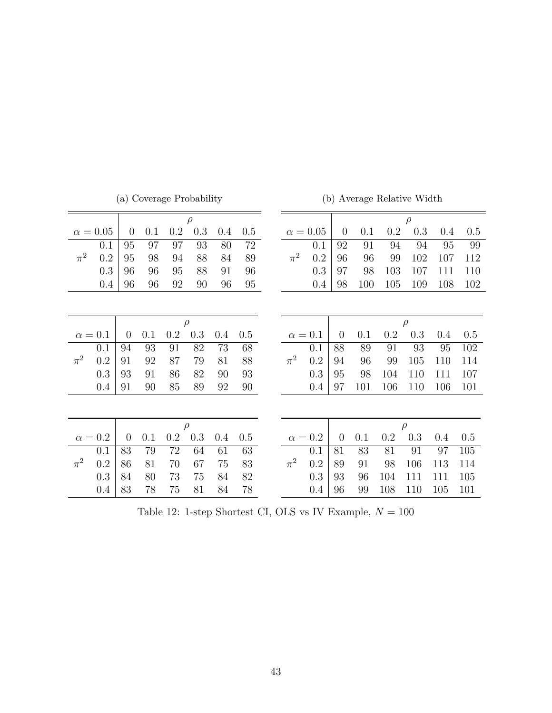<span id="page-43-0"></span>

|         |               |                | (a) Coverage Probability |     |        |         |     |         |                 |                |     |     | (b) Average Relative Width |     |     |
|---------|---------------|----------------|--------------------------|-----|--------|---------|-----|---------|-----------------|----------------|-----|-----|----------------------------|-----|-----|
|         |               |                |                          |     | $\rho$ |         |     |         |                 |                |     |     | $\rho$                     |     |     |
|         | $\alpha=0.05$ | $\overline{0}$ | 0.1                      | 0.2 | 0.3    | $0.4\,$ | 0.5 |         | $\alpha = 0.05$ | $\overline{0}$ | 0.1 | 0.2 | 0.3                        | 0.4 | 0.5 |
|         | 0.1           | 95             | 97                       | 97  | 93     | 80      | 72  |         | 0.1             | 92             | 91  | 94  | 94                         | 95  | 99  |
| $\pi^2$ | 0.2           | 95             | 98                       | 94  | 88     | 84      | 89  | $\pi^2$ | 0.2             | 96             | 96  | 99  | 102                        | 107 | 112 |
|         | 0.3           | 96             | 96                       | 95  | 88     | 91      | 96  |         | 0.3             | 97             | 98  | 103 | 107                        | 111 | 110 |
|         | 0.4           | 96             | 96                       | 92  | 90     | 96      | 95  |         | 0.4             | 98             | 100 | 105 | 109                        | 108 | 102 |
|         |               |                |                          |     |        |         |     |         |                 |                |     |     |                            |     |     |
|         |               |                |                          |     | $\rho$ |         |     |         |                 |                |     |     | $\rho$                     |     |     |
|         | $\alpha=0.1$  | $\overline{0}$ | 0.1                      | 0.2 | 0.3    | 0.4     | 0.5 |         | $\alpha=0.1$    | $\overline{0}$ | 0.1 | 0.2 | 0.3                        | 0.4 | 0.5 |
|         | 0.1           | 94             | 93                       | 91  | 82     | 73      | 68  |         | 0.1             | 88             | 89  | 91  | 93                         | 95  | 102 |
| $\pi^2$ | 0.2           | 91             | 92                       | 87  | 79     | 81      | 88  | $\pi^2$ | 0.2             | 94             | 96  | 99  | 105                        | 110 | 114 |
|         | 0.3           | 93             | 91                       | 86  | 82     | 90      | 93  |         | 0.3             | 95             | 98  | 104 | 110                        | 111 | 107 |
|         | 0.4           | 91             | 90                       | 85  | 89     | 92      | 90  |         | 0.4             | 97             | 101 | 106 | 110                        | 106 | 101 |
|         |               |                |                          |     |        |         |     |         |                 |                |     |     |                            |     |     |
|         |               |                |                          |     | $\rho$ |         |     |         |                 |                |     |     | $\rho$                     |     |     |
|         | $\alpha=0.2$  | $\overline{0}$ | 0.1                      | 0.2 | 0.3    | 0.4     | 0.5 |         | $\alpha = 0.2$  | $\theta$       | 0.1 | 0.2 | 0.3                        | 0.4 | 0.5 |
|         | 0.1           | 83             | 79                       | 72  | 64     | 61      | 63  |         | 0.1             | 81             | 83  | 81  | 91                         | 97  | 105 |
| $\pi^2$ | 0.2           | 86             | 81                       | 70  | 67     | 75      | 83  | $\pi^2$ | 0.2             | 89             | 91  | 98  | 106                        | 113 | 114 |
|         | 0.3           | 84             | 80                       | 73  | 75     | 84      | 82  |         | 0.3             | 93             | 96  | 104 | 111                        | 111 | 105 |
|         | 0.4           | 83             | 78                       | 75  | 81     | 84      | 78  |         | 0.4             | 96             | 99  | 108 | 110                        | 105 | 101 |

(b) Average Relative Width

Table 12: 1-step Shortest CI, OLS vs IV Example,  ${\cal N}=100$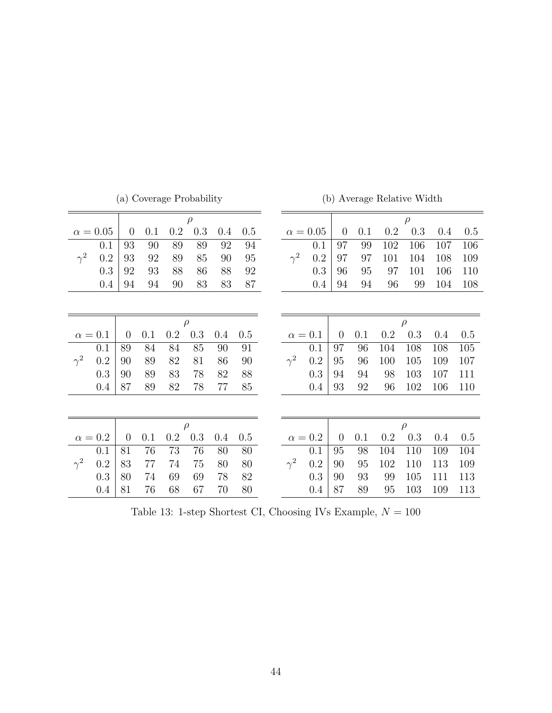| (a) Coverage Probability |                |                |     |     | (b) Average Relative Width |     |     |            |                 |                |     |     |        |     |     |
|--------------------------|----------------|----------------|-----|-----|----------------------------|-----|-----|------------|-----------------|----------------|-----|-----|--------|-----|-----|
|                          |                |                |     |     | $\rho$                     |     |     |            |                 |                |     |     | $\rho$ |     |     |
|                          | $\alpha=0.05$  | $\overline{0}$ | 0.1 | 0.2 | 0.3                        | 0.4 | 0.5 |            | $\alpha = 0.05$ | $\overline{0}$ | 0.1 | 0.2 | 0.3    | 0.4 | 0.5 |
|                          | 0.1            | 93             | 90  | 89  | 89                         | 92  | 94  |            | 0.1             | 97             | 99  | 102 | 106    | 107 | 106 |
| $\gamma^2$               | 0.2            | 93             | 92  | 89  | 85                         | 90  | 95  | $\gamma^2$ | 0.2             | 97             | 97  | 101 | 104    | 108 | 109 |
|                          | 0.3            | 92             | 93  | 88  | 86                         | 88  | 92  |            | 0.3             | 96             | 95  | 97  | 101    | 106 | 110 |
|                          | 0.4            | 94             | 94  | 90  | 83                         | 83  | 87  |            | 0.4             | 94             | 94  | 96  | 99     | 104 | 108 |
|                          |                |                |     |     |                            |     |     |            |                 |                |     |     |        |     |     |
|                          |                |                |     |     |                            |     |     |            |                 |                |     |     |        |     |     |
|                          |                |                |     |     | $\rho$                     |     |     |            |                 |                |     |     | $\rho$ |     |     |
|                          | $\alpha = 0.1$ | $\overline{0}$ | 0.1 | 0.2 | $0.3\,$                    | 0.4 | 0.5 |            | $\alpha = 0.1$  | $\overline{0}$ | 0.1 | 0.2 | 0.3    | 0.4 | 0.5 |
|                          | 0.1            | 89             | 84  | 84  | 85                         | 90  | 91  |            | 0.1             | 97             | 96  | 104 | 108    | 108 | 105 |
| $\gamma^2$               | 0.2            | 90             | 89  | 82  | 81                         | 86  | 90  | $\gamma^2$ | 0.2             | 95             | 96  | 100 | 105    | 109 | 107 |
|                          | 0.3            | 90             | 89  | 83  | 78                         | 82  | 88  |            | 0.3             | 94             | 94  | 98  | 103    | 107 | 111 |
|                          | 0.4            | 87             | 89  | 82  | 78                         | 77  | 85  |            | 0.4             | 93             | 92  | 96  | 102    | 106 | 110 |
|                          |                |                |     |     |                            |     |     |            |                 |                |     |     |        |     |     |
|                          |                |                |     |     |                            |     |     |            |                 |                |     |     |        |     |     |
|                          |                |                |     |     | $\rho$                     |     |     |            |                 |                |     |     | $\rho$ |     |     |
|                          | $\alpha=0.2$   | $\overline{0}$ | 0.1 | 0.2 | 0.3                        | 0.4 | 0.5 |            | $\alpha = 0.2$  | $\overline{0}$ | 0.1 | 0.2 | 0.3    | 0.4 | 0.5 |
|                          | 0.1            | 81             | 76  | 73  | 76                         | 80  | 80  |            | 0.1             | 95             | 98  | 104 | 110    | 109 | 104 |
| $\gamma^2$               | 0.2            | 83             | 77  | 74  | 75                         | 80  | 80  | $\gamma^2$ | 0.2             | 90             | 95  | 102 | 110    | 113 | 109 |
|                          | 0.3            | 80             | 74  | 69  | 69                         | 78  | 82  |            | 0.3             | 90             | 93  | 99  | 105    | 111 | 113 |
|                          | 0.4            | 81             | 76  | 68  | 67                         | 70  | 80  |            | 0.4             | 87             | 89  | 95  | 103    | 109 | 113 |

(b) Average Relative Width

Table 13: 1-step Shortest CI, Choosing IVs Example,  ${\cal N}=100$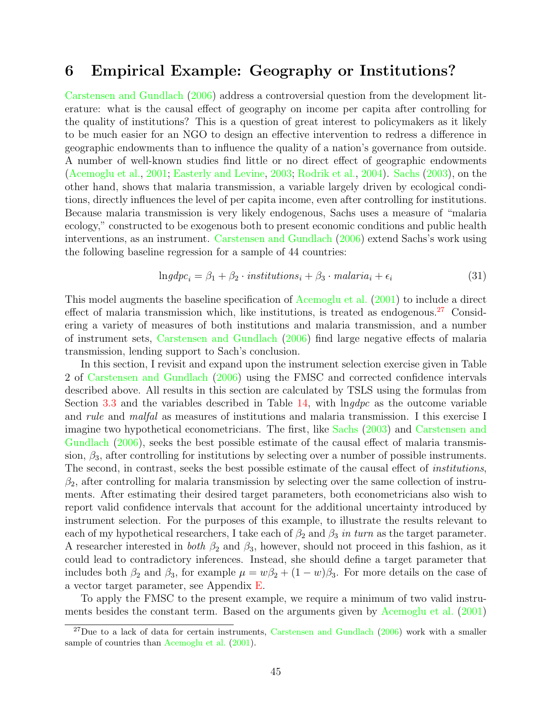# <span id="page-45-0"></span>6 Empirical Example: Geography or Institutions?

[Carstensen and Gundlach](#page-58-13) [\(2006\)](#page-58-13) address a controversial question from the development literature: what is the causal effect of geography on income per capita after controlling for the quality of institutions? This is a question of great interest to policymakers as it likely to be much easier for an NGO to design an effective intervention to redress a difference in geographic endowments than to influence the quality of a nation's governance from outside. A number of well-known studies find little or no direct effect of geographic endowments [\(Acemoglu et al.,](#page-57-4) [2001;](#page-57-4) [Easterly and Levine,](#page-59-11) [2003;](#page-59-11) [Rodrik et al.,](#page-61-6) [2004\)](#page-61-6). [Sachs](#page-61-7) [\(2003\)](#page-61-7), on the other hand, shows that malaria transmission, a variable largely driven by ecological conditions, directly influences the level of per capita income, even after controlling for institutions. Because malaria transmission is very likely endogenous, Sachs uses a measure of "malaria ecology," constructed to be exogenous both to present economic conditions and public health interventions, as an instrument. [Carstensen and Gundlach](#page-58-13) [\(2006\)](#page-58-13) extend Sachs's work using the following baseline regression for a sample of 44 countries:

$$
Ingdpc_i = \beta_1 + \beta_2 \cdot institutions_i + \beta_3 \cdot malaria_i + \epsilon_i \tag{31}
$$

This model augments the baseline specification of [Acemoglu et al.](#page-57-4) [\(2001\)](#page-57-4) to include a direct effect of malaria transmission which, like institutions, is treated as endogenous.<sup>[27](#page-45-1)</sup> Considering a variety of measures of both institutions and malaria transmission, and a number of instrument sets, [Carstensen and Gundlach](#page-58-13) [\(2006\)](#page-58-13) find large negative effects of malaria transmission, lending support to Sach's conclusion.

In this section, I revisit and expand upon the instrument selection exercise given in Table 2 of [Carstensen and Gundlach](#page-58-13) [\(2006\)](#page-58-13) using the FMSC and corrected confidence intervals described above. All results in this section are calculated by TSLS using the formulas from Section [3.3](#page-13-0) and the variables described in Table  $14$ , with  $\ln g dp c$  as the outcome variable and rule and malfal as measures of institutions and malaria transmission. I this exercise I imagine two hypothetical econometricians. The first, like [Sachs](#page-61-7) [\(2003\)](#page-61-7) and [Carstensen and](#page-58-13) [Gundlach](#page-58-13) [\(2006\)](#page-58-13), seeks the best possible estimate of the causal effect of malaria transmission,  $\beta_3$ , after controlling for institutions by selecting over a number of possible instruments. The second, in contrast, seeks the best possible estimate of the causal effect of institutions,  $\beta_2$ , after controlling for malaria transmission by selecting over the same collection of instruments. After estimating their desired target parameters, both econometricians also wish to report valid confidence intervals that account for the additional uncertainty introduced by instrument selection. For the purposes of this example, to illustrate the results relevant to each of my hypothetical researchers, I take each of  $\beta_2$  and  $\beta_3$  in turn as the target parameter. A researcher interested in *both*  $\beta_2$  and  $\beta_3$ , however, should not proceed in this fashion, as it could lead to contradictory inferences. Instead, she should define a target parameter that includes both  $\beta_2$  and  $\beta_3$ , for example  $\mu = w\beta_2 + (1 - w)\beta_3$ . For more details on the case of a vector target parameter, see Appendix [E.](#page-54-0)

To apply the FMSC to the present example, we require a minimum of two valid instruments besides the constant term. Based on the arguments given by [Acemoglu et al.](#page-57-4) [\(2001\)](#page-57-4)

<span id="page-45-1"></span> $^{27}$ Due to a lack of data for certain instruments, [Carstensen and Gundlach](#page-58-13) [\(2006\)](#page-58-13) work with a smaller sample of countries than [Acemoglu et al.](#page-57-4)  $(2001)$ .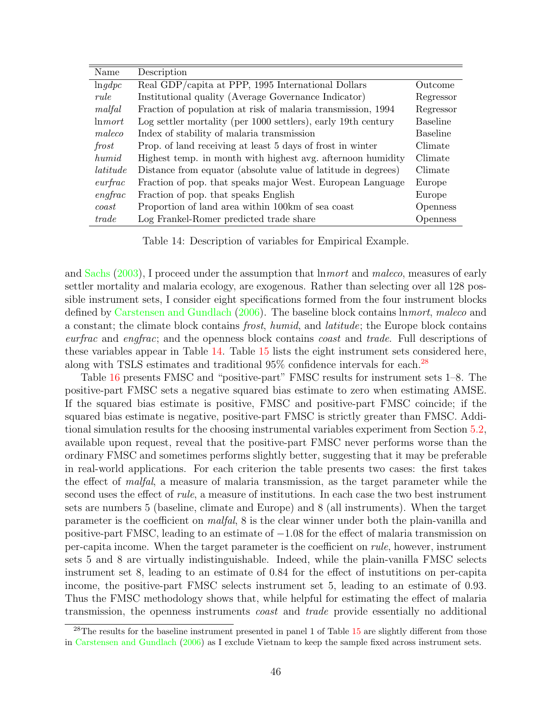<span id="page-46-0"></span>

| Name              | Description                                                   |                 |
|-------------------|---------------------------------------------------------------|-----------------|
| ln qdpc           | Real GDP/capita at PPP, 1995 International Dollars            | Outcome         |
| rule              | Institutional quality (Average Governance Indicator)          | Regressor       |
| malfal            | Fraction of population at risk of malaria transmission, 1994  | Regressor       |
| ln mort           | Log settler mortality (per 1000 settlers), early 19th century | <b>Baseline</b> |
| maleco            | Index of stability of malaria transmission                    | <b>Baseline</b> |
| frost             | Prop. of land receiving at least 5 days of frost in winter    | Climate         |
| humid             | Highest temp. in month with highest avg. afternoon humidity   | Climate         |
| latitude          | Distance from equator (absolute value of latitude in degrees) | Climate         |
| $\emph{currfrac}$ | Fraction of pop. that speaks major West. European Language    | Europe          |
| $\emph{engfrac}$  | Fraction of pop. that speaks English                          | Europe          |
| $\cos t$          | Proportion of land area within 100km of sea coast             | Openness        |
| trade             | Log Frankel-Romer predicted trade share                       | <i>Openness</i> |

Table 14: Description of variables for Empirical Example.

and [Sachs](#page-61-7) [\(2003\)](#page-61-7), I proceed under the assumption that lnmort and maleco, measures of early settler mortality and malaria ecology, are exogenous. Rather than selecting over all 128 possible instrument sets, I consider eight specifications formed from the four instrument blocks defined by [Carstensen and Gundlach](#page-58-13) [\(2006\)](#page-58-13). The baseline block contains lnmort, maleco and a constant; the climate block contains frost, humid, and latitude; the Europe block contains eurfrac and engfrac; and the openness block contains coast and trade. Full descriptions of these variables appear in Table [14.](#page-46-0) Table [15](#page-47-0) lists the eight instrument sets considered here, along with TSLS estimates and traditional 95% confidence intervals for each.<sup>[28](#page-46-1)</sup>

Table [16](#page-48-0) presents FMSC and "positive-part" FMSC results for instrument sets 1–8. The positive-part FMSC sets a negative squared bias estimate to zero when estimating AMSE. If the squared bias estimate is positive, FMSC and positive-part FMSC coincide; if the squared bias estimate is negative, positive-part FMSC is strictly greater than FMSC. Additional simulation results for the choosing instrumental variables experiment from Section [5.2,](#page-32-0) available upon request, reveal that the positive-part FMSC never performs worse than the ordinary FMSC and sometimes performs slightly better, suggesting that it may be preferable in real-world applications. For each criterion the table presents two cases: the first takes the effect of malfal, a measure of malaria transmission, as the target parameter while the second uses the effect of *rule*, a measure of institutions. In each case the two best instrument sets are numbers 5 (baseline, climate and Europe) and 8 (all instruments). When the target parameter is the coefficient on malfal, 8 is the clear winner under both the plain-vanilla and positive-part FMSC, leading to an estimate of −1.08 for the effect of malaria transmission on per-capita income. When the target parameter is the coefficient on rule, however, instrument sets 5 and 8 are virtually indistinguishable. Indeed, while the plain-vanilla FMSC selects instrument set 8, leading to an estimate of 0.84 for the effect of instutitions on per-capita income, the positive-part FMSC selects instrument set 5, leading to an estimate of 0.93. Thus the FMSC methodology shows that, while helpful for estimating the effect of malaria transmission, the openness instruments coast and trade provide essentially no additional

<span id="page-46-1"></span><sup>&</sup>lt;sup>28</sup>The results for the baseline instrument presented in panel 1 of Table [15](#page-47-0) are slightly different from those in [Carstensen and Gundlach](#page-58-13) [\(2006\)](#page-58-13) as I exclude Vietnam to keep the sample fixed across instrument sets.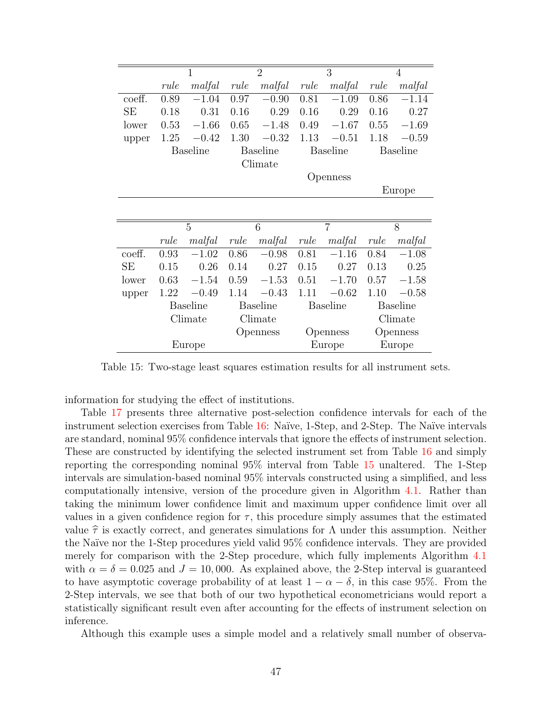<span id="page-47-0"></span>

|           | $\mathbf{1}$    |                 | $\overline{2}$  |                 | $\overline{3}$  |                 | $\overline{4}$  |                 |
|-----------|-----------------|-----------------|-----------------|-----------------|-----------------|-----------------|-----------------|-----------------|
|           | rule            | malfal          | rule            | malfal          | rule            | malfal          | rule            | malfal          |
| coeff.    | 0.89            | $-1.04$         | 0.97            | $-0.90$         | 0.81            | $-1.09$         | 0.86            | $-1.14$         |
| <b>SE</b> | 0.18            | 0.31            | 0.16            | 0.29            | 0.16            | 0.29            | 0.16            | 0.27            |
| lower     | 0.53            | $-1.66$         | 0.65            | $-1.48$         | 0.49            | $-1.67$         | 0.55            | $-1.69$         |
| upper     | 1.25            | $-0.42$         | 1.30            | $-0.32$         | 1.13            | $-0.51$         | 1.18            | $-0.59$         |
|           |                 | <b>Baseline</b> |                 | <b>Baseline</b> |                 | <b>Baseline</b> |                 | <b>Baseline</b> |
|           |                 |                 |                 | Climate         |                 |                 |                 |                 |
|           |                 |                 |                 |                 |                 | Openness        |                 |                 |
|           |                 |                 |                 |                 |                 |                 |                 | Europe          |
|           |                 |                 |                 |                 |                 |                 |                 |                 |
|           |                 | 5               |                 | 6               |                 | $\overline{7}$  |                 | 8               |
|           | rule            | malfal          | rule            | malfal          | rule            | malfal          | rule            | malfal          |
| coeff.    | 0.93            | $-1.02$         | 0.86            | $-0.98$         | 0.81            | $-1.16$         | 0.84            | $-1.08$         |
| <b>SE</b> | 0.15            | 0.26            | 0.14            | 0.27            | 0.15            | 0.27            | 0.13            | 0.25            |
| lower     | 0.63            | $-1.54$         | 0.59            | $-1.53$         | 0.51            | $-1.70$         | 0.57            | $-1.58$         |
| upper     | 1.22            | $-0.49$         | 1.14            | $-0.43$         | 1.11            | $-0.62$         | 1.10            | $-0.58$         |
|           | <b>Baseline</b> |                 | <b>Baseline</b> |                 | <b>Baseline</b> |                 | <b>Baseline</b> |                 |
|           | Climate         |                 | Climate         |                 |                 |                 | Climate         |                 |
|           |                 |                 | Openness        |                 | Openness        |                 | Openness        |                 |
| Europe    |                 |                 |                 |                 |                 | Europe          |                 | Europe          |

Table 15: Two-stage least squares estimation results for all instrument sets.

information for studying the effect of institutions.

Table [17](#page-48-1) presents three alternative post-selection confidence intervals for each of the instrument selection exercises from Table [16:](#page-48-0) Naïve, 1-Step, and 2-Step. The Naïve intervals are standard, nominal 95% confidence intervals that ignore the effects of instrument selection. These are constructed by identifying the selected instrument set from Table [16](#page-48-0) and simply reporting the corresponding nominal 95% interval from Table [15](#page-47-0) unaltered. The 1-Step intervals are simulation-based nominal 95% intervals constructed using a simplified, and less computationally intensive, version of the procedure given in Algorithm [4.1.](#page-20-0) Rather than taking the minimum lower confidence limit and maximum upper confidence limit over all values in a given confidence region for  $\tau$ , this procedure simply assumes that the estimated value  $\hat{\tau}$  is exactly correct, and generates simulations for  $\Lambda$  under this assumption. Neither the Na¨ıve nor the 1-Step procedures yield valid 95% confidence intervals. They are provided merely for comparison with the 2-Step procedure, which fully implements Algorithm [4.1](#page-20-0) with  $\alpha = \delta = 0.025$  and  $J = 10,000$ . As explained above, the 2-Step interval is guaranteed to have asymptotic coverage probability of at least  $1 - \alpha - \delta$ , in this case 95%. From the 2-Step intervals, we see that both of our two hypothetical econometricians would report a statistically significant result even after accounting for the effects of instrument selection on inference.

Although this example uses a simple model and a relatively small number of observa-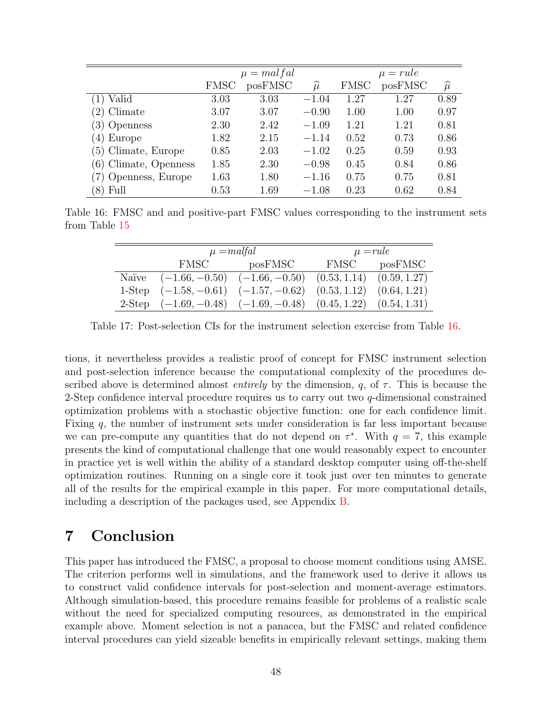<span id="page-48-0"></span>

|                       |      | $\mu$ = mal fal |                 |             | $\mu = rule$ |                 |
|-----------------------|------|-----------------|-----------------|-------------|--------------|-----------------|
|                       | FMSC | posFMSC         | $\widehat{\mu}$ | <b>FMSC</b> | posFMSC      | $\widehat{\mu}$ |
| Valid                 | 3.03 | 3.03            | $-1.04$         | 1.27        | 1.27         | 0.89            |
| (2) Climate           | 3.07 | 3.07            | $-0.90$         | 1.00        | 1.00         | 0.97            |
| 3) Openness           | 2.30 | 2.42            | $-1.09$         | 1.21        | 1.21         | 0.81            |
| $(4)$ Europe          | 1.82 | 2.15            | $-1.14$         | 0.52        | 0.73         | 0.86            |
| (5) Climate, Europe   | 0.85 | 2.03            | $-1.02$         | 0.25        | 0.59         | 0.93            |
| (6) Climate, Openness | 1.85 | 2.30            | $-0.98$         | 0.45        | 0.84         | 0.86            |
| Openness, Europe      | 1.63 | 1.80            | $-1.16$         | 0.75        | 0.75         | 0.81            |
| Full                  | 0.53 | 1.69            | $-1.08$         | 0.23        | 0.62         | 0.84            |

<span id="page-48-1"></span>Table 16: FMSC and and positive-part FMSC values corresponding to the instrument sets from Table [15](#page-47-0)

|        |                  | $\mu$ = malfal                                                  | $\mu = rule$                  |         |  |  |
|--------|------------------|-----------------------------------------------------------------|-------------------------------|---------|--|--|
|        | <b>FMSC</b>      | posFMSC                                                         | FMSC                          | posFMSC |  |  |
| Naïve  | $(-1.66, -0.50)$ | $(-1.66, -0.50)$                                                | $(0.53, 1.14)$ $(0.59, 1.27)$ |         |  |  |
| 1-Step |                  | $(-1.58, -0.61)$ $(-1.57, -0.62)$                               | $(0.53, 1.12)$ $(0.64, 1.21)$ |         |  |  |
| 2-Step |                  | $(-1.69, -0.48)$ $(-1.69, -0.48)$ $(0.45, 1.22)$ $(0.54, 1.31)$ |                               |         |  |  |

Table 17: Post-selection CIs for the instrument selection exercise from Table [16.](#page-48-0)

tions, it nevertheless provides a realistic proof of concept for FMSC instrument selection and post-selection inference because the computational complexity of the procedures described above is determined almost *entirely* by the dimension, q, of  $\tau$ . This is because the 2-Step confidence interval procedure requires us to carry out two  $q$ -dimensional constrained optimization problems with a stochastic objective function: one for each confidence limit. Fixing q, the number of instrument sets under consideration is far less important because we can pre-compute any quantities that do not depend on  $\tau^*$ . With  $q = 7$ , this example presents the kind of computational challenge that one would reasonably expect to encounter in practice yet is well within the ability of a standard desktop computer using off-the-shelf optimization routines. Running on a single core it took just over ten minutes to generate all of the results for the empirical example in this paper. For more computational details, including a description of the packages used, see Appendix [B.](#page-52-0)

# 7 Conclusion

This paper has introduced the FMSC, a proposal to choose moment conditions using AMSE. The criterion performs well in simulations, and the framework used to derive it allows us to construct valid confidence intervals for post-selection and moment-average estimators. Although simulation-based, this procedure remains feasible for problems of a realistic scale without the need for specialized computing resources, as demonstrated in the empirical example above. Moment selection is not a panacea, but the FMSC and related confidence interval procedures can yield sizeable benefits in empirically relevant settings, making them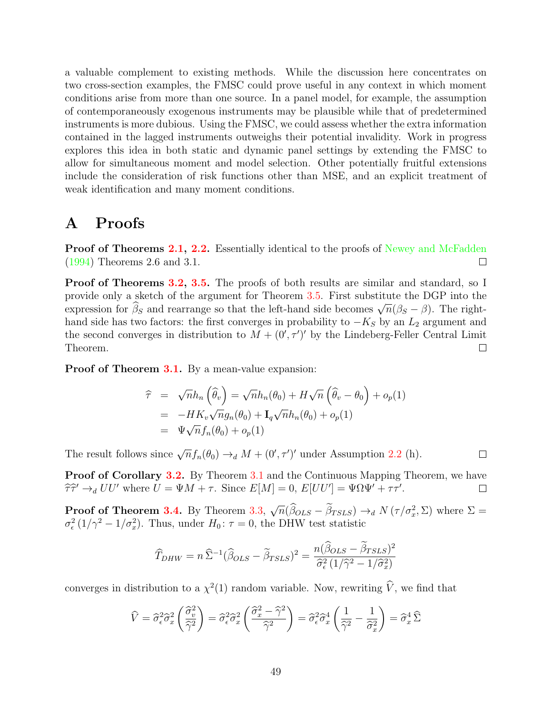a valuable complement to existing methods. While the discussion here concentrates on two cross-section examples, the FMSC could prove useful in any context in which moment conditions arise from more than one source. In a panel model, for example, the assumption of contemporaneously exogenous instruments may be plausible while that of predetermined instruments is more dubious. Using the FMSC, we could assess whether the extra information contained in the lagged instruments outweighs their potential invalidity. Work in progress explores this idea in both static and dynamic panel settings by extending the FMSC to allow for simultaneous moment and model selection. Other potentially fruitful extensions include the consideration of risk functions other than MSE, and an explicit treatment of weak identification and many moment conditions.

# A Proofs

**Proof of Theorems [2.1,](#page-7-1) [2.2.](#page-7-2)** Essentially identical to the proofs of [Newey and McFadden](#page-61-8) [\(1994\)](#page-61-8) Theorems 2.6 and 3.1.  $\Box$ 

**Proof of Theorems [3.2,](#page-11-3) [3.5.](#page-13-1)** The proofs of both results are similar and standard, so I provide only a sketch of the argument for Theorem [3.5.](#page-13-1) First substitute the DGP into the provide only a sketch of the argument for Theorem 5.5. First substitute the DGF filto the expression for  $\hat{\beta}_S$  and rearrange so that the left-hand side becomes  $\sqrt{n}(\beta_S - \beta)$ . The righthand side has two factors: the first converges in probability to  $-K<sub>S</sub>$  by an  $L<sub>2</sub>$  argument and the second converges in distribution to  $M + (0', \tau')'$  by the Lindeberg-Feller Central Limit Theorem.  $\Box$ 

Proof of Theorem [3.1.](#page-10-3) By a mean-value expansion:

$$
\begin{aligned}\n\widehat{\tau} &= \sqrt{n}h_n\left(\widehat{\theta}_v\right) = \sqrt{n}h_n(\theta_0) + H\sqrt{n}\left(\widehat{\theta}_v - \theta_0\right) + o_p(1) \\
&= -HK_v\sqrt{n}g_n(\theta_0) + \mathbf{I}_q\sqrt{n}h_n(\theta_0) + o_p(1) \\
&= \Psi\sqrt{n}f_n(\theta_0) + o_p(1)\n\end{aligned}
$$

The result follows since  $\sqrt{n} f_n(\theta_0) \rightarrow_d M + (0', \tau')'$  under Assumption [2.2](#page-6-1) (h).

Proof of Corollary [3.2.](#page-10-2) By Theorem [3.1](#page-10-3) and the Continuous Mapping Theorem, we have  $\hat{\tau}\hat{\tau}' \rightarrow_d UU'$  where  $U = \Psi M + \tau$ . Since  $E[M] = 0$ ,  $E[UU'] = \Psi\Omega\Psi' + \tau\tau'.$  $\Box$ 

 $\Box$ 

Proof of Theorem [3.4.](#page-12-2) By Theorem [3.3,](#page-12-1)  $\sqrt{n}(\widehat{\beta}_{OLS} - \widetilde{\beta}_{TSLS}) \rightarrow_d N(\tau/\sigma_x^2, \Sigma)$  where  $\Sigma =$  $\sigma_{\epsilon}^2 (1/\gamma^2 - 1/\sigma_x^2)$ . Thus, under  $H_0: \tau = 0$ , the DHW test statistic

$$
\widehat{T}_{DHW} = n\widehat{\Sigma}^{-1}(\widehat{\beta}_{OLS} - \widetilde{\beta}_{TSLS})^2 = \frac{n(\widehat{\beta}_{OLS} - \widetilde{\beta}_{TSLS})^2}{\widehat{\sigma}_{\epsilon}^2(1/\widehat{\gamma}^2 - 1/\widehat{\sigma}_{x}^2)}
$$

converges in distribution to a  $\chi^2(1)$  random variable. Now, rewriting  $\hat{V}$ , we find that

$$
\widehat{V} = \widehat{\sigma}_{\epsilon}^{2} \widehat{\sigma}_{x}^{2} \left( \frac{\widehat{\sigma}_{v}^{2}}{\widehat{\gamma}^{2}} \right) = \widehat{\sigma}_{\epsilon}^{2} \widehat{\sigma}_{x}^{2} \left( \frac{\widehat{\sigma}_{x}^{2} - \widehat{\gamma}^{2}}{\widehat{\gamma}^{2}} \right) = \widehat{\sigma}_{\epsilon}^{2} \widehat{\sigma}_{x}^{4} \left( \frac{1}{\widehat{\gamma}^{2}} - \frac{1}{\widehat{\sigma}_{x}^{2}} \right) = \widehat{\sigma}_{x}^{4} \widehat{\Sigma}
$$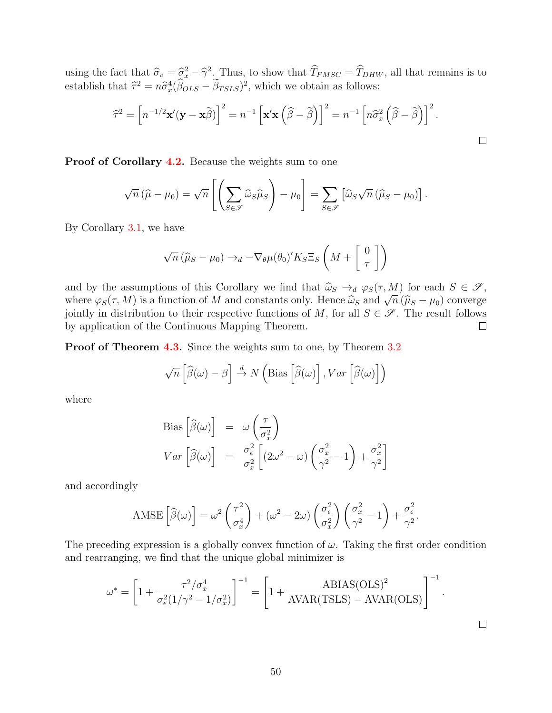using the fact that  $\hat{\sigma}_v = \hat{\sigma}_x^2 - \hat{\gamma}^2$ . Thus, to show that  $\hat{T}_{FMSC} = \hat{T}_{DHW}$ , all that remains is to establish that  $\hat{\tau}^2 = n \hat{\sigma}_x^4 (\hat{\beta}_{OLS} - \hat{\beta}_{TSLS})^2$ , which we obtain as follows:

$$
\widehat{\tau}^2 = \left[ n^{-1/2} \mathbf{x}'(\mathbf{y} - \mathbf{x}\widetilde{\beta}) \right]^2 = n^{-1} \left[ \mathbf{x}'\mathbf{x} \left( \widehat{\beta} - \widetilde{\beta} \right) \right]^2 = n^{-1} \left[ n\widehat{\sigma}_x^2 \left( \widehat{\beta} - \widetilde{\beta} \right) \right]^2.
$$

 $\Box$ 

 $\Box$ 

Proof of Corollary [4.2.](#page-16-1) Because the weights sum to one

$$
\sqrt{n}(\widehat{\mu}-\mu_0)=\sqrt{n}\left[\left(\sum_{S\in\mathscr{S}}\widehat{\omega}_S\widehat{\mu}_S\right)-\mu_0\right]=\sum_{S\in\mathscr{S}}\left[\widehat{\omega}_S\sqrt{n}\left(\widehat{\mu}_S-\mu_0\right)\right].
$$

By Corollary [3.1,](#page-9-1) we have

$$
\sqrt{n} \left( \widehat{\mu}_S - \mu_0 \right) \to_d -\nabla_{\theta} \mu(\theta_0)' K_S \Xi_S \left( M + \begin{bmatrix} 0 \\ \tau \end{bmatrix} \right)
$$

and by the assumptions of this Corollary we find that  $\hat{\omega}_S \to_d \varphi_S(\tau, M)$  for each  $S \in \mathscr{S}$ , where  $\varphi_S(\tau, M)$  is a function of M and constants only. Hence  $\hat{\omega}_S \to_d \varphi_{S(\tau, M)}$  for each  $S \in \mathcal{S}$ ,<br>where  $\varphi_S(\tau, M)$  is a function of M and constants only. Hence  $\hat{\omega}_S$  and  $\sqrt{n} (\hat{\mu}_S - \mu_0)$  converge<br>iointly in jointly in distribution to their respective functions of M, for all  $S \in \mathscr{S}$ . The result follows by application of the Continuous Mapping Theorem.  $\Box$ 

Proof of Theorem [4.3.](#page-18-0) Since the weights sum to one, by Theorem [3.2](#page-11-3)

$$
\sqrt{n}\left[\widehat{\beta}(\omega)-\beta\right] \stackrel{d}{\to} N\left(\text{Bias}\left[\widehat{\beta}(\omega)\right], Var\left[\widehat{\beta}(\omega)\right]\right)
$$

where

Bias 
$$
\left[\widehat{\beta}(\omega)\right] = \omega \left(\frac{\tau}{\sigma_x^2}\right)
$$
  
\nVar  $\left[\widehat{\beta}(\omega)\right] = \frac{\sigma_{\epsilon}^2}{\sigma_x^2} \left[ (2\omega^2 - \omega) \left(\frac{\sigma_x^2}{\gamma^2} - 1\right) + \frac{\sigma_x^2}{\gamma^2} \right]$ 

and accordingly

$$
\text{AMSE}\left[\widehat{\beta}(\omega)\right] = \omega^2 \left(\frac{\tau^2}{\sigma_x^4}\right) + (\omega^2 - 2\omega) \left(\frac{\sigma_\epsilon^2}{\sigma_x^2}\right) \left(\frac{\sigma_x^2}{\gamma^2} - 1\right) + \frac{\sigma_\epsilon^2}{\gamma^2}.
$$

The preceding expression is a globally convex function of  $\omega$ . Taking the first order condition and rearranging, we find that the unique global minimizer is

$$
\omega^* = \left[1 + \frac{\tau^2/\sigma_x^4}{\sigma_{\epsilon}^2 (1/\gamma^2 - 1/\sigma_x^2)}\right]^{-1} = \left[1 + \frac{\text{ABIAS(OLS)}^2}{\text{AVAR(TSLS)} - \text{AVAR(OLS)}}\right]^{-1}.
$$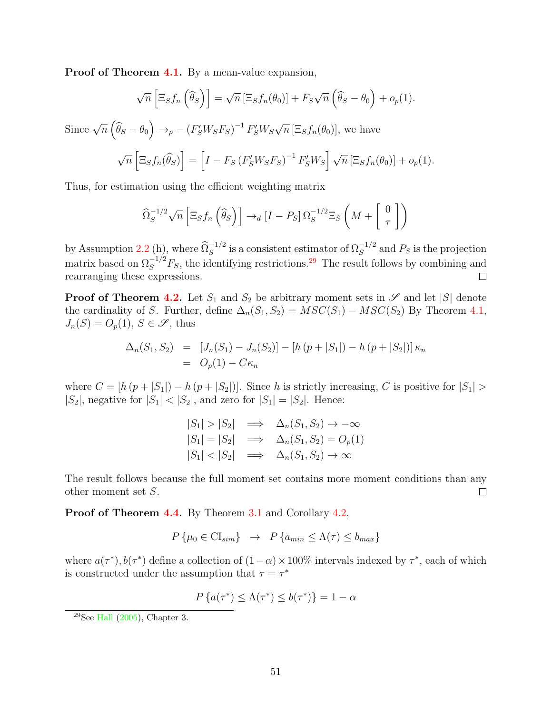Proof of Theorem [4.1.](#page-17-2) By a mean-value expansion,

$$
\sqrt{n}\left[\Xi_S f_n\left(\widehat{\theta}_S\right)\right] = \sqrt{n}\left[\Xi_S f_n(\theta_0)\right] + F_S \sqrt{n}\left(\widehat{\theta}_S - \theta_0\right) + o_p(1).
$$

Since  $\sqrt{n} \left( \widehat{\theta}_S - \theta_0 \right) \rightarrow_p - \left( F_S' W_S F_S \right)^{-1} F_S' W_S$ 

$$
\sqrt{n}\left[\Xi_S f_n(\widehat{\theta}_S)\right] = \left[I - F_S\left(F'_S W_S F_S\right)^{-1} F'_S W_S\right] \sqrt{n}\left[\Xi_S f_n(\theta_0)\right] + o_p(1).
$$

 $\overline{n}$  [ $\Xi_S f_n(\theta_0)$ ], we have

Thus, for estimation using the efficient weighting matrix

$$
\widehat{\Omega}_S^{-1/2}\sqrt{n}\left[\Xi_S f_n\left(\widehat{\theta}_S\right)\right]\to_d \left[I-P_S\right]\Omega_S^{-1/2}\Xi_S\left(M+\left[\begin{array}{c}0\\\tau\end{array}\right]\right)
$$

by Assumption [2.2](#page-6-1) (h), where  $\widehat{\Omega}_S^{-1/2}$  is a consistent estimator of  $\Omega_S^{-1/2}$  and  $P_S$  is the projection matrix based on  $\Omega_S^{-1/2}F_S$ , the identifying restrictions.<sup>[29](#page-51-0)</sup> The result follows by combining and rearranging these expressions.  $\Box$ 

**Proof of Theorem [4.2.](#page-17-0)** Let  $S_1$  and  $S_2$  be arbitrary moment sets in  $\mathscr S$  and let  $|S|$  denote the cardinality of S. Further, define  $\Delta_n(S_1, S_2) = MSC(S_1) - MSC(S_2)$  By Theorem [4.1,](#page-17-2)  $J_n(S) = O_p(1), S \in \mathscr{S}$ , thus

$$
\Delta_n(S_1, S_2) = [J_n(S_1) - J_n(S_2)] - [h (p + |S_1|) - h (p + |S_2|)] \kappa_n
$$
  
=  $O_p(1) - C \kappa_n$ 

where  $C = [h (p + |S_1|) - h (p + |S_2|)]$ . Since h is strictly increasing, C is positive for  $|S_1|$  $|S_2|$ , negative for  $|S_1| < |S_2|$ , and zero for  $|S_1| = |S_2|$ . Hence:

$$
|S_1| > |S_2| \implies \Delta_n(S_1, S_2) \to -\infty
$$
  
\n
$$
|S_1| = |S_2| \implies \Delta_n(S_1, S_2) = O_p(1)
$$
  
\n
$$
|S_1| < |S_2| \implies \Delta_n(S_1, S_2) \to \infty
$$

The result follows because the full moment set contains more moment conditions than any other moment set S.  $\Box$ 

Proof of Theorem [4.4.](#page-20-1) By Theorem [3.1](#page-10-3) and Corollary [4.2,](#page-16-1)

$$
P\{\mu_0 \in \text{CI}_{sim}\}\rightarrow P\{a_{min} \leq \Lambda(\tau) \leq b_{max}\}\
$$

where  $a(\tau^*), b(\tau^*)$  define a collection of  $(1-\alpha) \times 100\%$  intervals indexed by  $\tau^*$ , each of which is constructed under the assumption that  $\tau = \tau^*$ 

$$
P\left\{a(\tau^*) \le \Lambda(\tau^*) \le b(\tau^*)\right\} = 1 - \alpha
$$

<span id="page-51-0"></span> $29$ See [Hall](#page-59-9)  $(2005)$ , Chapter 3.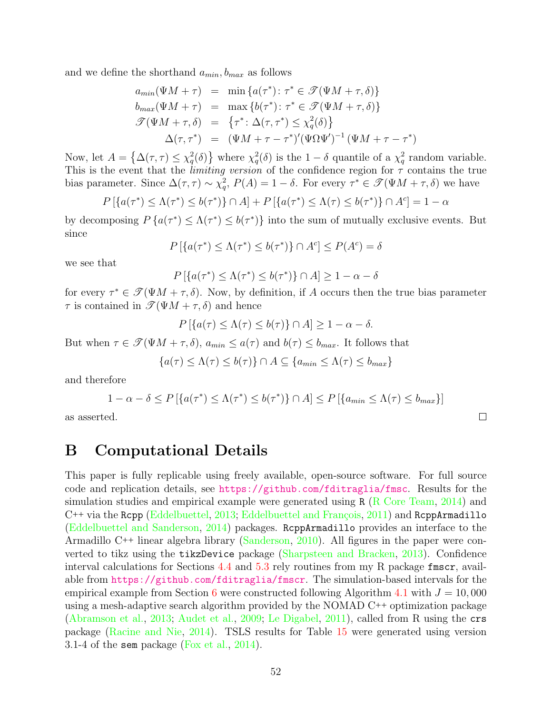and we define the shorthand  $a_{min}$ ,  $b_{max}$  as follows

$$
a_{min}(\Psi M + \tau) = \min \{a(\tau^*): \tau^* \in \mathcal{T}(\Psi M + \tau, \delta)\}
$$
  
\n
$$
b_{max}(\Psi M + \tau) = \max \{b(\tau^*): \tau^* \in \mathcal{T}(\Psi M + \tau, \delta)\}
$$
  
\n
$$
\mathcal{T}(\Psi M + \tau, \delta) = \{\tau^* : \Delta(\tau, \tau^*) \leq \chi_q^2(\delta)\}
$$
  
\n
$$
\Delta(\tau, \tau^*) = (\Psi M + \tau - \tau^*)'(\Psi \Omega \Psi')^{-1}(\Psi M + \tau - \tau^*)
$$

Now, let  $A = \{\Delta(\tau, \tau) \leq \chi_q^2(\delta)\}\$  where  $\chi_q^2(\delta)$  is the  $1-\delta$  quantile of a  $\chi_q^2$  random variable. This is the event that the *limiting version* of the confidence region for  $\tau$  contains the true bias parameter. Since  $\Delta(\tau,\tau) \sim \chi_q^2$ ,  $P(A) = 1 - \delta$ . For every  $\tau^* \in \mathscr{T}(\Psi M + \tau, \delta)$  we have

$$
P[{a(\tau^*) \leq \Lambda(\tau^*) \leq b(\tau^*) } \cap A] + P[{a(\tau^*) \leq \Lambda(\tau) \leq b(\tau^*) } \cap A^c] = 1 - \alpha
$$

by decomposing  $P\{a(\tau^*)\leq \Lambda(\tau^*)\leq b(\tau^*)\}$  into the sum of mutually exclusive events. But since

$$
P\left[\left\{a(\tau^*)\leq \Lambda(\tau^*)\leq b(\tau^*)\right\}\cap A^c\right]\leq P(A^c)=\delta
$$

we see that

$$
P\left[\left\{a(\tau^*) \le \Lambda(\tau^*) \le b(\tau^*)\right\} \cap A\right] \ge 1 - \alpha - \delta
$$

for every  $\tau^* \in \mathcal{T}(\Psi M + \tau, \delta)$ . Now, by definition, if A occurs then the true bias parameter  $\tau$  is contained in  $\mathscr{T}(\Psi M + \tau, \delta)$  and hence

$$
P\left[\left\{a(\tau)\leq\Lambda(\tau)\leq b(\tau)\right\}\cap A\right]\geq 1-\alpha-\delta.
$$

But when  $\tau \in \mathscr{T}(\Psi M + \tau, \delta)$ ,  $a_{min} \leq a(\tau)$  and  $b(\tau) \leq b_{max}$ . It follows that

$$
\{a(\tau) \le \Lambda(\tau) \le b(\tau)\} \cap A \subseteq \{a_{min} \le \Lambda(\tau) \le b_{max}\}\
$$

and therefore

$$
1 - \alpha - \delta \le P\left[\left\{a(\tau^*) \le \Lambda(\tau^*) \le b(\tau^*)\right\} \cap A\right] \le P\left[\left\{a_{min} \le \Lambda(\tau) \le b_{max}\right\}\right]
$$

as asserted.

# <span id="page-52-0"></span>B Computational Details

This paper is fully replicable using freely available, open-source software. For full source code and replication details, see <https://github.com/fditraglia/fmsc>. Results for the simulation studies and empirical example were generated using  $R(R)$  Core Team, [2014\)](#page-61-9) and C++ via the Rcpp [\(Eddelbuettel,](#page-59-12) [2013;](#page-59-12) Eddelbuettel and François, [2011\)](#page-59-13) and RcppArmadillo [\(Eddelbuettel and Sanderson,](#page-59-14) [2014\)](#page-59-14) packages. RcppArmadillo provides an interface to the Armadillo C++ linear algebra library [\(Sanderson,](#page-61-10) [2010\)](#page-61-10). All figures in the paper were converted to tikz using the tikzDevice package [\(Sharpsteen and Bracken,](#page-61-11) [2013\)](#page-61-11). Confidence interval calculations for Sections [4.4](#page-21-1) and [5.3](#page-37-0) rely routines from my R package fmscr, available from <https://github.com/fditraglia/fmscr>. The simulation-based intervals for the empirical example from Section [6](#page-45-0) were constructed following Algorithm [4.1](#page-20-0) with  $J = 10,000$ using a mesh-adaptive search algorithm provided by the NOMAD C++ optimization package [\(Abramson et al.,](#page-57-5) [2013;](#page-57-5) [Audet et al.,](#page-58-14) [2009;](#page-58-14) [Le Digabel,](#page-60-12) [2011\)](#page-60-12), called from R using the crs package [\(Racine and Nie,](#page-61-12) [2014\)](#page-61-12). TSLS results for Table [15](#page-47-0) were generated using version 3.1-4 of the sem package [\(Fox et al.,](#page-59-15) [2014\)](#page-59-15).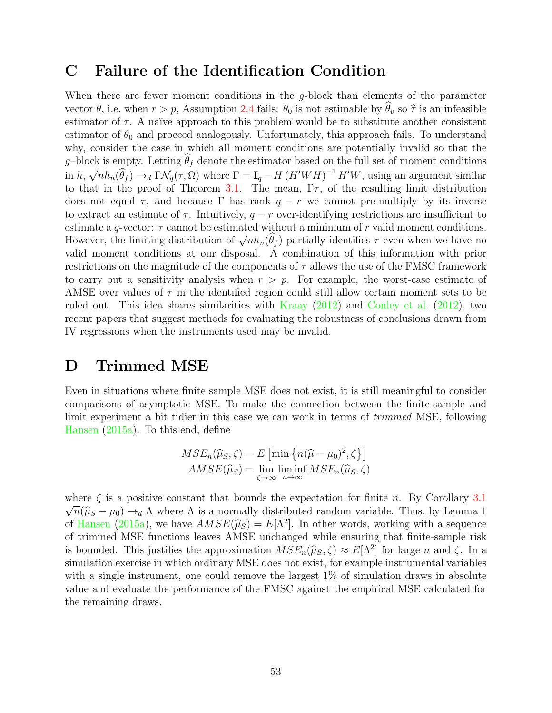# <span id="page-53-1"></span>C Failure of the Identification Condition

When there are fewer moment conditions in the g-block than elements of the parameter vector  $\theta$ , i.e. when  $r > p$ , Assumption [2.4](#page-8-2) fails:  $\theta_0$  is not estimable by  $\hat{\theta}_v$  so  $\hat{\tau}$  is an infeasible estimator of  $\tau$ . A naïve approach to this problem would be to substitute another consistent estimator of  $\theta_0$  and proceed analogously. Unfortunately, this approach fails. To understand why, consider the case in which all moment conditions are potentially invalid so that the g–block is empty. Letting  $\theta_f$  denote the estimator based on the full set of moment conditions  $\text{in } h,$  $\sqrt{n}h_n(\hat{\theta}_f) \rightarrow_d \Gamma \mathcal{N}_q(\tau, \Omega)$  where  $\Gamma = \mathbf{I}_q - H (H'WH)^{-1} H'W$ , using an argument similar to that in the proof of Theorem [3.1.](#page-10-3) The mean,  $\Gamma \tau$ , of the resulting limit distribution does not equal  $\tau$ , and because  $\Gamma$  has rank  $q - r$  we cannot pre-multiply by its inverse to extract an estimate of  $\tau$ . Intuitively,  $q - r$  over-identifying restrictions are insufficient to estimate a q-vector:  $\tau$  cannot be estimated without a minimum of r valid moment conditions. However, the limiting distribution of  $\sqrt{n}h_n(\hat{\theta}_f)$  partially identifies  $\tau$  even when we have no valid moment conditions at our disposal. A combination of this information with prior restrictions on the magnitude of the components of  $\tau$  allows the use of the FMSC framework to carry out a sensitivity analysis when  $r > p$ . For example, the worst-case estimate of AMSE over values of  $\tau$  in the identified region could still allow certain moment sets to be ruled out. This idea shares similarities with [Kraay](#page-60-13) [\(2012\)](#page-60-13) and [Conley et al.](#page-59-16) [\(2012\)](#page-59-16), two recent papers that suggest methods for evaluating the robustness of conclusions drawn from IV regressions when the instruments used may be invalid.

# <span id="page-53-0"></span>D Trimmed MSE

Even in situations where finite sample MSE does not exist, it is still meaningful to consider comparisons of asymptotic MSE. To make the connection between the finite-sample and limit experiment a bit tidier in this case we can work in terms of trimmed MSE, following [Hansen](#page-59-0) [\(2015a\)](#page-59-0). To this end, define

$$
MSE_n(\widehat{\mu}_S, \zeta) = E \left[ \min \left\{ n(\widehat{\mu} - \mu_0)^2, \zeta \right\} \right]
$$
  

$$
AMSE(\widehat{\mu}_S) = \lim_{\zeta \to \infty} \liminf_{n \to \infty} MSE_n(\widehat{\mu}_S, \zeta)
$$

where  $\zeta$  is a positive constant that bounds the expectation for finite n. By Corollary [3.1](#page-9-1)  $\sqrt{n}(\hat{\mu}_S - \mu_0) \rightarrow_d \Lambda$  where  $\Lambda$  is a normally distributed random variable. Thus, by Lemma 1 of [Hansen](#page-59-0) [\(2015a\)](#page-59-0), we have  $AMSE(\hat{\mu}_S) = E[\Lambda^2]$ . In other words, working with a sequence<br>of trimped MSE functions lower AMSE unchanged while ensuring that finite sample right of trimmed MSE functions leaves AMSE unchanged while ensuring that finite-sample risk is bounded. This justifies the approximation  $MSE_n(\hat{\mu}_S, \zeta) \approx E[\Lambda^2]$  for large n and  $\zeta$ . In a simulation exercise in which ordinary MSE does not evid. for example instrumental variables simulation exercise in which ordinary MSE does not exist, for example instrumental variables with a single instrument, one could remove the largest 1% of simulation draws in absolute value and evaluate the performance of the FMSC against the empirical MSE calculated for the remaining draws.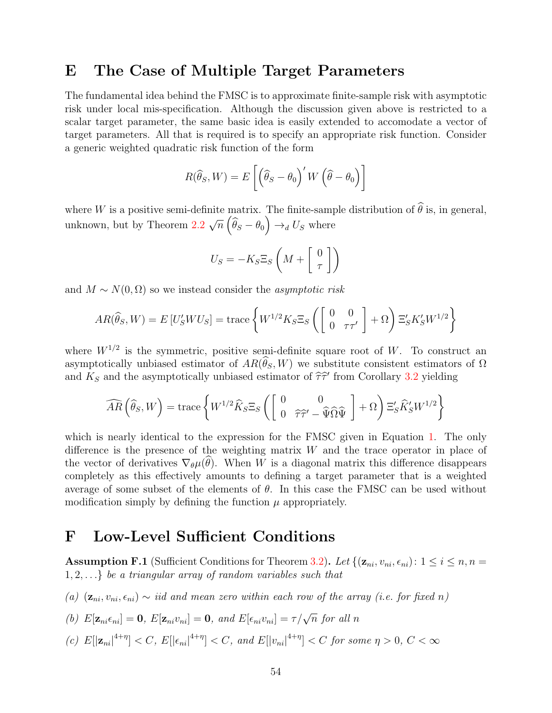# <span id="page-54-0"></span>E The Case of Multiple Target Parameters

The fundamental idea behind the FMSC is to approximate finite-sample risk with asymptotic risk under local mis-specification. Although the discussion given above is restricted to a scalar target parameter, the same basic idea is easily extended to accomodate a vector of target parameters. All that is required is to specify an appropriate risk function. Consider a generic weighted quadratic risk function of the form

$$
R(\widehat{\theta}_S, W) = E\left[\left(\widehat{\theta}_S - \theta_0\right)' W \left(\widehat{\theta} - \theta_0\right)\right]
$$

where W is a positive semi-definite matrix. The finite-sample distribution of  $\widehat{\theta}$  is, in general, unknown, but by Theorem [2.2](#page-7-2)  $\sqrt{n} \left( \widehat{\theta}_S - \theta_0 \right) \rightarrow_d U_S$  where

$$
U_S = -K_S \Xi_S \left( M + \left[ \begin{array}{c} 0 \\ \tau \end{array} \right] \right)
$$

and  $M \sim N(0, \Omega)$  so we instead consider the *asymptotic risk* 

$$
AR(\widehat{\theta}_S, W) = E[U'_S W U_S] = \text{trace}\left\{ W^{1/2} K_S \Xi_S \left( \begin{bmatrix} 0 & 0 \\ 0 & \tau \tau' \end{bmatrix} + \Omega \right) \Xi'_S K'_S W^{1/2} \right\}
$$

where  $W^{1/2}$  is the symmetric, positive semi-definite square root of W. To construct an asymptotically unbiased estimator of  $AR(\theta_S, W)$  we substitute consistent estimators of  $\Omega$ and  $K_S$  and the asymptotically unbiased estimator of  $\hat{\tau}\hat{\tau}'$  from Corollary [3.2](#page-10-2) yielding

$$
\widehat{AR}\left(\widehat{\theta}_{S},W\right) = \text{trace}\left\{W^{1/2}\widehat{K}_{S}\Xi_{S}\left(\begin{bmatrix}0 & 0\\ 0 & \widehat{\tau}\widehat{\tau}' - \widehat{\Psi}\widehat{\Omega}\widehat{\Psi}\end{bmatrix} + \Omega\right)\Xi'_{S}\widehat{K}'_{S}W^{1/2}\right\}
$$

which is nearly identical to the expression for the FMSC given in Equation [1.](#page-10-0) The only difference is the presence of the weighting matrix  $W$  and the trace operator in place of the vector of derivatives  $\nabla_{\theta} \mu(\theta)$ . When W is a diagonal matrix this difference disappears completely as this effectively amounts to defining a target parameter that is a weighted average of some subset of the elements of  $\theta$ . In this case the FMSC can be used without modification simply by defining the function  $\mu$  appropriately.

# <span id="page-54-1"></span>F Low-Level Sufficient Conditions

<span id="page-54-2"></span>**Assumption F.1** (Sufficient Conditions for Theorem [3.2\)](#page-11-3). Let  $\{(\mathbf{z}_{ni}, v_{ni}, \epsilon_{ni}): 1 \leq i \leq n, n =$  $1, 2, \ldots$  be a triangular array of random variables such that

(a)  $(z_{ni}, v_{ni}, \epsilon_{ni}) \sim$  iid and mean zero within each row of the array (i.e. for fixed n)

(b) 
$$
E[\mathbf{z}_{ni}\epsilon_{ni}] = \mathbf{0}
$$
,  $E[\mathbf{z}_{ni}v_{ni}] = \mathbf{0}$ , and  $E[\epsilon_{ni}v_{ni}] = \tau/\sqrt{n}$  for all n

(c)  $E[|\mathbf{z}_{ni}|^{4+\eta}] < C$ ,  $E[|\epsilon_{ni}|^{4+\eta}] < C$ , and  $E[|v_{ni}|^{4+\eta}] < C$  for some  $\eta > 0$ ,  $C < \infty$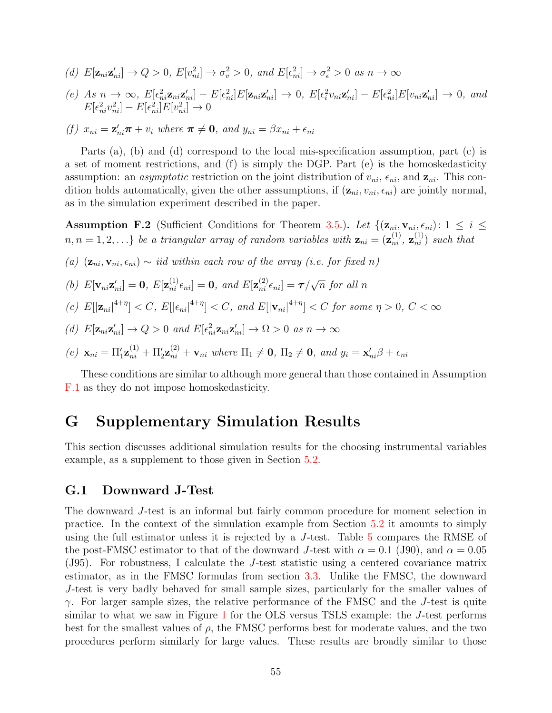- (d)  $E[\mathbf{z}_{ni} \mathbf{z}'_{ni}] \to Q > 0$ ,  $E[v_{ni}^2] \to \sigma_v^2 > 0$ , and  $E[\epsilon_{ni}^2] \to \sigma_{\epsilon}^2 > 0$  as  $n \to \infty$
- (e) As  $n \to \infty$ ,  $E[\epsilon_{ni}^2 \mathbf{z}_{ni} \mathbf{z}_{ni}'] E[\epsilon_{ni}^2] E[\mathbf{z}_{ni} \mathbf{z}_{ni}'] \to 0$ ,  $E[\epsilon_i^2 v_{ni} \mathbf{z}_{ni}'] E[\epsilon_{ni}^2] E[v_{ni} \mathbf{z}_{ni}'] \to 0$ , and  $E[\epsilon_{ni}^2 v_{ni}^2] - E[\epsilon_{ni}^2]E[v_{ni}^2] \rightarrow 0$

(f) 
$$
x_{ni} = \mathbf{z}_{ni}'\boldsymbol{\pi} + v_i
$$
 where  $\boldsymbol{\pi} \neq \mathbf{0}$ , and  $y_{ni} = \beta x_{ni} + \epsilon_{ni}$ 

Parts (a), (b) and (d) correspond to the local mis-specification assumption, part (c) is a set of moment restrictions, and (f) is simply the DGP. Part (e) is the homoskedasticity assumption: an *asymptotic* restriction on the joint distribution of  $v_{ni}$ ,  $\epsilon_{ni}$ , and  $\mathbf{z}_{ni}$ . This condition holds automatically, given the other assumptions, if  $(\mathbf{z}_{ni}, v_{ni}, \epsilon_{ni})$  are jointly normal, as in the simulation experiment described in the paper.

<span id="page-55-0"></span>Assumption F.2 (Sufficient Conditions for Theorem [3.5.](#page-13-1)). Let  $\{(\mathbf{z}_{ni}, \mathbf{v}_{ni}, \epsilon_{ni}): 1 \leq i \leq n\}$  $n, n = 1, 2, \ldots\}$  be a triangular array of random variables with  $\mathbf{z}_{ni} = (\mathbf{z}_{ni}^{(1)}, \mathbf{z}_{ni}^{(1)})$  such that

(a)  $(\mathbf{z}_{ni}, \mathbf{v}_{ni}, \epsilon_{ni}) \sim \text{iid within each row of the array (i.e. for fixed } n)$ 

(b) 
$$
E[\mathbf{v}_{ni} \mathbf{z}_{ni}'] = \mathbf{0}
$$
,  $E[\mathbf{z}_{ni}^{(1)} \epsilon_{ni}] = \mathbf{0}$ , and  $E[\mathbf{z}_{ni}^{(2)} \epsilon_{ni}] = \tau/\sqrt{n}$  for all n

(c) 
$$
E[|\mathbf{z}_{ni}|^{4+\eta}] < C
$$
,  $E[|\epsilon_{ni}|^{4+\eta}] < C$ , and  $E[|\mathbf{v}_{ni}|^{4+\eta}] < C$  for some  $\eta > 0$ ,  $C < \infty$ 

(d)  $E[\mathbf{z}_{ni}\mathbf{z}'_{ni}] \to Q > 0$  and  $E[\epsilon_{ni}^2 \mathbf{z}_{ni}\mathbf{z}'_{ni}] \to \Omega > 0$  as  $n \to \infty$ 

(e) 
$$
\mathbf{x}_{ni} = \Pi'_1 \mathbf{z}_{ni}^{(1)} + \Pi'_2 \mathbf{z}_{ni}^{(2)} + \mathbf{v}_{ni}
$$
 where  $\Pi_1 \neq \mathbf{0}$ ,  $\Pi_2 \neq \mathbf{0}$ , and  $y_i = \mathbf{x}_{ni}' \beta + \epsilon_{ni}$ 

These conditions are similar to although more general than those contained in Assumption [F.1](#page-54-2) as they do not impose homoskedasticity.

# G Supplementary Simulation Results

This section discusses additional simulation results for the choosing instrumental variables example, as a supplement to those given in Section [5.2.](#page-32-0)

### <span id="page-55-1"></span>G.1 Downward J-Test

The downward J-test is an informal but fairly common procedure for moment selection in practice. In the context of the simulation example from Section [5.2](#page-32-0) it amounts to simply using the full estimator unless it is rejected by a J-test. Table [5](#page-56-0) compares the RMSE of the post-FMSC estimator to that of the downward J-test with  $\alpha = 0.1$  (J90), and  $\alpha = 0.05$ (J95). For robustness, I calculate the J-test statistic using a centered covariance matrix estimator, as in the FMSC formulas from section [3.3.](#page-13-0) Unlike the FMSC, the downward J-test is very badly behaved for small sample sizes, particularly for the smaller values of  $\gamma$ . For larger sample sizes, the relative performance of the FMSC and the J-test is quite similar to what we saw in Figure [1](#page-33-0) for the OLS versus TSLS example: the J-test performs best for the smallest values of  $\rho$ , the FMSC performs best for moderate values, and the two procedures perform similarly for large values. These results are broadly similar to those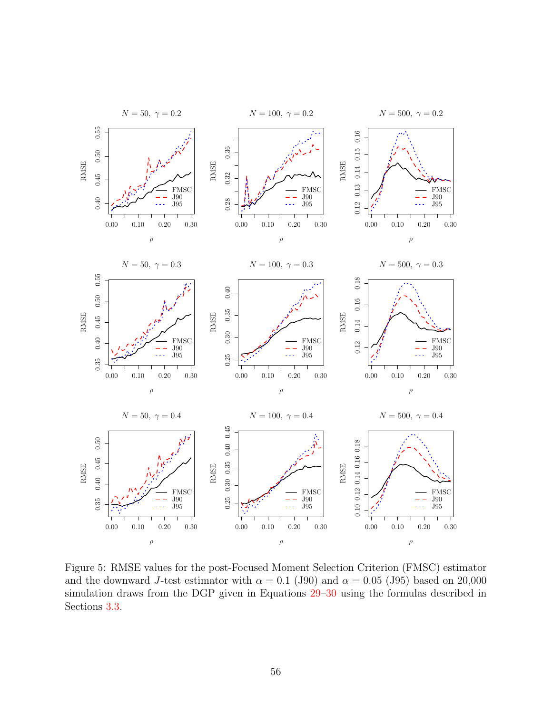<span id="page-56-0"></span>

Figure 5: RMSE values for the post-Focused Moment Selection Criterion (FMSC) estimator and the downward J-test estimator with  $\alpha = 0.1$  (J90) and  $\alpha = 0.05$  (J95) based on 20,000 simulation draws from the DGP given in Equations [29–](#page-32-1)[30](#page-32-2) using the formulas described in Sections [3.3.](#page-13-0)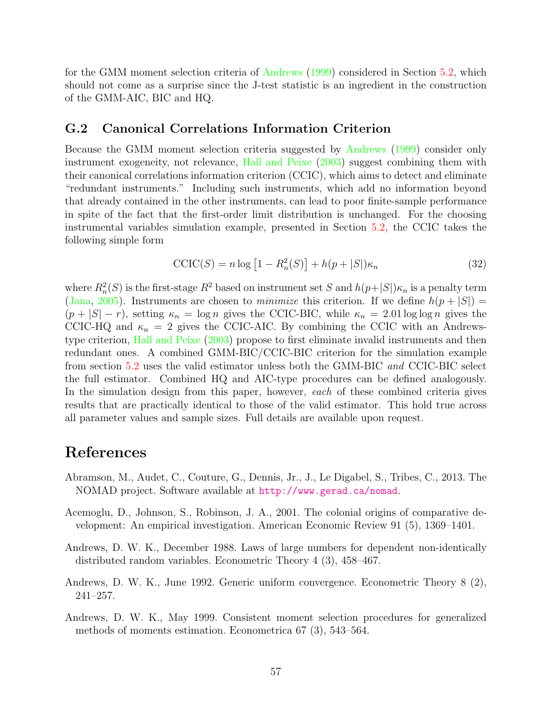for the GMM moment selection criteria of [Andrews](#page-57-0) [\(1999\)](#page-57-0) considered in Section [5.2,](#page-32-0) which should not come as a surprise since the J-test statistic is an ingredient in the construction of the GMM-AIC, BIC and HQ.

## <span id="page-57-3"></span>G.2 Canonical Correlations Information Criterion

Because the GMM moment selection criteria suggested by [Andrews](#page-57-0) [\(1999\)](#page-57-0) consider only instrument exogeneity, not relevance, [Hall and Peixe](#page-59-1) [\(2003\)](#page-59-1) suggest combining them with their canonical correlations information criterion (CCIC), which aims to detect and eliminate "redundant instruments." Including such instruments, which add no information beyond that already contained in the other instruments, can lead to poor finite-sample performance in spite of the fact that the first-order limit distribution is unchanged. For the choosing instrumental variables simulation example, presented in Section [5.2,](#page-32-0) the CCIC takes the following simple form

$$
\text{CCIC}(S) = n \log \left[ 1 - R_n^2(S) \right] + h(p + |S|) \kappa_n \tag{32}
$$

where  $R_n^2(S)$  is the first-stage  $R^2$  based on instrument set S and  $h(p+|S|)\kappa_n$  is a penalty term [\(Jana,](#page-60-14) [2005\)](#page-60-14). Instruments are chosen to *minimize* this criterion. If we define  $h(p+|S|)$  =  $(p+|S|-r)$ , setting  $\kappa_n = \log n$  gives the CCIC-BIC, while  $\kappa_n = 2.01 \log \log n$  gives the CCIC-HQ and  $\kappa_n = 2$  gives the CCIC-AIC. By combining the CCIC with an Andrewstype criterion, [Hall and Peixe](#page-59-1) [\(2003\)](#page-59-1) propose to first eliminate invalid instruments and then redundant ones. A combined GMM-BIC/CCIC-BIC criterion for the simulation example from section [5.2](#page-32-0) uses the valid estimator unless both the GMM-BIC and CCIC-BIC select the full estimator. Combined HQ and AIC-type procedures can be defined analogously. In the simulation design from this paper, however, each of these combined criteria gives results that are practically identical to those of the valid estimator. This hold true across all parameter values and sample sizes. Full details are available upon request.

## References

- <span id="page-57-5"></span>Abramson, M., Audet, C., Couture, G., Dennis, Jr., J., Le Digabel, S., Tribes, C., 2013. The NOMAD project. Software available at <http://www.gerad.ca/nomad>.
- <span id="page-57-4"></span>Acemoglu, D., Johnson, S., Robinson, J. A., 2001. The colonial origins of comparative development: An empirical investigation. American Economic Review 91 (5), 1369–1401.
- <span id="page-57-1"></span>Andrews, D. W. K., December 1988. Laws of large numbers for dependent non-identically distributed random variables. Econometric Theory 4 (3), 458–467.
- <span id="page-57-2"></span>Andrews, D. W. K., June 1992. Generic uniform convergence. Econometric Theory 8 (2), 241–257.
- <span id="page-57-0"></span>Andrews, D. W. K., May 1999. Consistent moment selection procedures for generalized methods of moments estimation. Econometrica 67 (3), 543–564.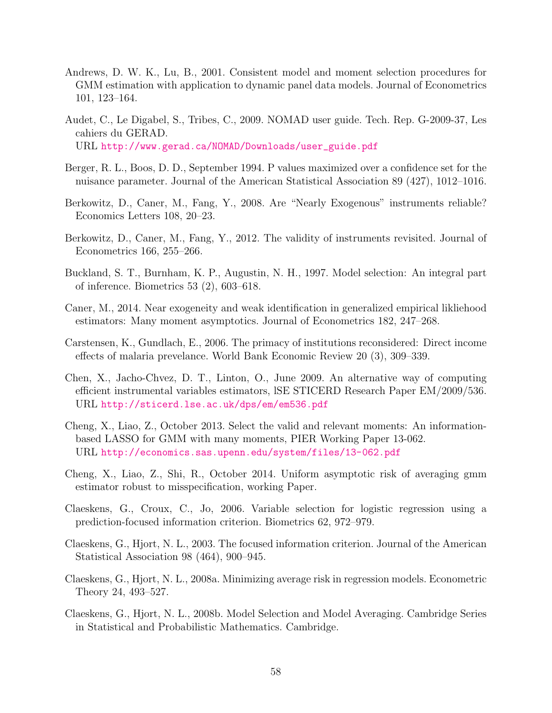- <span id="page-58-1"></span>Andrews, D. W. K., Lu, B., 2001. Consistent model and moment selection procedures for GMM estimation with application to dynamic panel data models. Journal of Econometrics 101, 123–164.
- <span id="page-58-14"></span>Audet, C., Le Digabel, S., Tribes, C., 2009. NOMAD user guide. Tech. Rep. G-2009-37, Les cahiers du GERAD.

URL [http://www.gerad.ca/NOMAD/Downloads/user\\_guide.pdf](http://www.gerad.ca/NOMAD/Downloads/user_guide.pdf)

- <span id="page-58-7"></span>Berger, R. L., Boos, D. D., September 1994. P values maximized over a confidence set for the nuisance parameter. Journal of the American Statistical Association 89 (427), 1012–1016.
- <span id="page-58-3"></span>Berkowitz, D., Caner, M., Fang, Y., 2008. Are "Nearly Exogenous" instruments reliable? Economics Letters 108, 20–23.
- <span id="page-58-4"></span>Berkowitz, D., Caner, M., Fang, Y., 2012. The validity of instruments revisited. Journal of Econometrics 166, 255–266.
- <span id="page-58-12"></span>Buckland, S. T., Burnham, K. P., Augustin, N. H., 1997. Model selection: An integral part of inference. Biometrics 53 (2), 603–618.
- <span id="page-58-5"></span>Caner, M., 2014. Near exogeneity and weak identification in generalized empirical likliehood estimators: Many moment asymptotics. Journal of Econometrics 182, 247–268.
- <span id="page-58-13"></span>Carstensen, K., Gundlach, E., 2006. The primacy of institutions reconsidered: Direct income effects of malaria prevelance. World Bank Economic Review 20 (3), 309–339.
- <span id="page-58-8"></span>Chen, X., Jacho-Chvez, D. T., Linton, O., June 2009. An alternative way of computing efficient instrumental variables estimators, lSE STICERD Research Paper EM/2009/536. URL <http://sticerd.lse.ac.uk/dps/em/em536.pdf>
- <span id="page-58-2"></span>Cheng, X., Liao, Z., October 2013. Select the valid and relevant moments: An informationbased LASSO for GMM with many moments, PIER Working Paper 13-062. URL <http://economics.sas.upenn.edu/system/files/13-062.pdf>
- <span id="page-58-9"></span>Cheng, X., Liao, Z., Shi, R., October 2014. Uniform asymptotic risk of averaging gmm estimator robust to misspecification, working Paper.
- <span id="page-58-10"></span>Claeskens, G., Croux, C., Jo, 2006. Variable selection for logistic regression using a prediction-focused information criterion. Biometrics 62, 972–979.
- <span id="page-58-0"></span>Claeskens, G., Hjort, N. L., 2003. The focused information criterion. Journal of the American Statistical Association 98 (464), 900–945.
- <span id="page-58-11"></span>Claeskens, G., Hjort, N. L., 2008a. Minimizing average risk in regression models. Econometric Theory 24, 493–527.
- <span id="page-58-6"></span>Claeskens, G., Hjort, N. L., 2008b. Model Selection and Model Averaging. Cambridge Series in Statistical and Probabilistic Mathematics. Cambridge.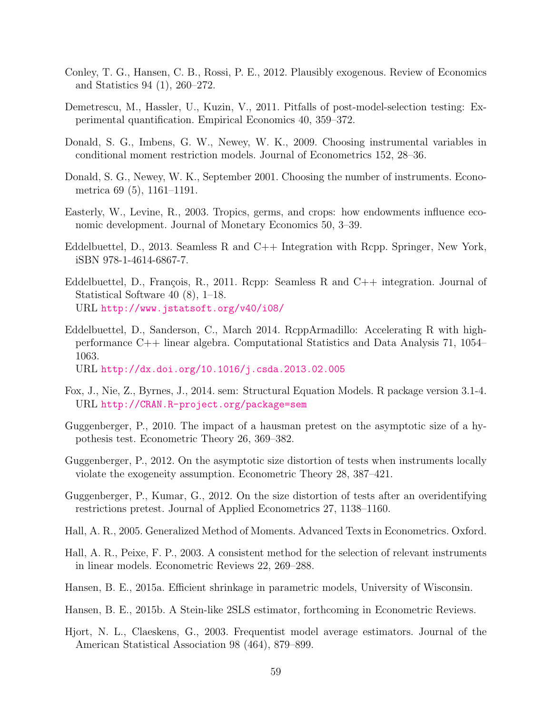- <span id="page-59-16"></span>Conley, T. G., Hansen, C. B., Rossi, P. E., 2012. Plausibly exogenous. Review of Economics and Statistics 94 (1), 260–272.
- <span id="page-59-10"></span>Demetrescu, M., Hassler, U., Kuzin, V., 2011. Pitfalls of post-model-selection testing: Experimental quantification. Empirical Economics 40, 359–372.
- <span id="page-59-3"></span>Donald, S. G., Imbens, G. W., Newey, W. K., 2009. Choosing instrumental variables in conditional moment restriction models. Journal of Econometrics 152, 28–36.
- <span id="page-59-2"></span>Donald, S. G., Newey, W. K., September 2001. Choosing the number of instruments. Econometrica 69 (5), 1161–1191.
- <span id="page-59-11"></span>Easterly, W., Levine, R., 2003. Tropics, germs, and crops: how endowments influence economic development. Journal of Monetary Economics 50, 3–39.
- <span id="page-59-12"></span>Eddelbuettel, D., 2013. Seamless R and C++ Integration with Rcpp. Springer, New York, iSBN 978-1-4614-6867-7.
- <span id="page-59-13"></span>Eddelbuettel, D., François, R., 2011. Repp: Seamless R and  $C_{++}$  integration. Journal of Statistical Software 40 (8), 1–18. URL <http://www.jstatsoft.org/v40/i08/>
- <span id="page-59-14"></span>Eddelbuettel, D., Sanderson, C., March 2014. RcppArmadillo: Accelerating R with highperformance C++ linear algebra. Computational Statistics and Data Analysis 71, 1054– 1063. URL <http://dx.doi.org/10.1016/j.csda.2013.02.005>
- <span id="page-59-15"></span>Fox, J., Nie, Z., Byrnes, J., 2014. sem: Structural Equation Models. R package version 3.1-4. URL <http://CRAN.R-project.org/package=sem>
- <span id="page-59-5"></span>Guggenberger, P., 2010. The impact of a hausman pretest on the asymptotic size of a hypothesis test. Econometric Theory 26, 369–382.
- <span id="page-59-6"></span>Guggenberger, P., 2012. On the asymptotic size distortion of tests when instruments locally violate the exogeneity assumption. Econometric Theory 28, 387–421.
- <span id="page-59-7"></span>Guggenberger, P., Kumar, G., 2012. On the size distortion of tests after an overidentifying restrictions pretest. Journal of Applied Econometrics 27, 1138–1160.
- <span id="page-59-9"></span>Hall, A. R., 2005. Generalized Method of Moments. Advanced Texts in Econometrics. Oxford.
- <span id="page-59-1"></span>Hall, A. R., Peixe, F. P., 2003. A consistent method for the selection of relevant instruments in linear models. Econometric Reviews 22, 269–288.
- <span id="page-59-0"></span>Hansen, B. E., 2015a. Efficient shrinkage in parametric models, University of Wisconsin.
- <span id="page-59-8"></span>Hansen, B. E., 2015b. A Stein-like 2SLS estimator, forthcoming in Econometric Reviews.
- <span id="page-59-4"></span>Hjort, N. L., Claeskens, G., 2003. Frequentist model average estimators. Journal of the American Statistical Association 98 (464), 879–899.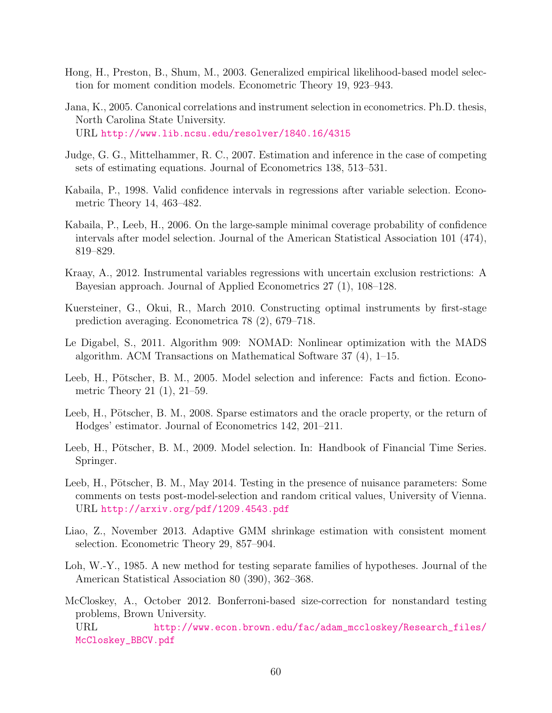- <span id="page-60-0"></span>Hong, H., Preston, B., Shum, M., 2003. Generalized empirical likelihood-based model selection for moment condition models. Econometric Theory 19, 923–943.
- <span id="page-60-14"></span>Jana, K., 2005. Canonical correlations and instrument selection in econometrics. Ph.D. thesis, North Carolina State University. URL <http://www.lib.ncsu.edu/resolver/1840.16/4315>
- <span id="page-60-11"></span>Judge, G. G., Mittelhammer, R. C., 2007. Estimation and inference in the case of competing sets of estimating equations. Journal of Econometrics 138, 513–531.
- <span id="page-60-6"></span>Kabaila, P., 1998. Valid confidence intervals in regressions after variable selection. Econometric Theory 14, 463–482.
- <span id="page-60-7"></span>Kabaila, P., Leeb, H., 2006. On the large-sample minimal coverage probability of confidence intervals after model selection. Journal of the American Statistical Association 101 (474), 819–829.
- <span id="page-60-13"></span>Kraay, A., 2012. Instrumental variables regressions with uncertain exclusion restrictions: A Bayesian approach. Journal of Applied Econometrics 27 (1), 108–128.
- <span id="page-60-2"></span>Kuersteiner, G., Okui, R., March 2010. Constructing optimal instruments by first-stage prediction averaging. Econometrica 78 (2), 679–718.
- <span id="page-60-12"></span>Le Digabel, S., 2011. Algorithm 909: NOMAD: Nonlinear optimization with the MADS algorithm. ACM Transactions on Mathematical Software 37 (4), 1–15.
- <span id="page-60-4"></span>Leeb, H., Pötscher, B. M., 2005. Model selection and inference: Facts and fiction. Econometric Theory 21 (1), 21–59.
- <span id="page-60-3"></span>Leeb, H., Pötscher, B. M., 2008. Sparse estimators and the oracle property, or the return of Hodges' estimator. Journal of Econometrics 142, 201–211.
- <span id="page-60-5"></span>Leeb, H., Pötscher, B. M., 2009. Model selection. In: Handbook of Financial Time Series. Springer.
- <span id="page-60-8"></span>Leeb, H., Pötscher, B. M., May 2014. Testing in the presence of nuisance parameters: Some comments on tests post-model-selection and random critical values, University of Vienna. URL <http://arxiv.org/pdf/1209.4543.pdf>
- <span id="page-60-1"></span>Liao, Z., November 2013. Adaptive GMM shrinkage estimation with consistent moment selection. Econometric Theory 29, 857–904.
- <span id="page-60-9"></span>Loh, W.-Y., 1985. A new method for testing separate families of hypotheses. Journal of the American Statistical Association 80 (390), 362–368.
- <span id="page-60-10"></span>McCloskey, A., October 2012. Bonferroni-based size-correction for nonstandard testing problems, Brown University.

URL [http://www.econ.brown.edu/fac/adam\\_mccloskey/Research\\_files/](http://www.econ.brown.edu/fac/adam_mccloskey/Research_files/McCloskey_BBCV.pdf) [McCloskey\\_BBCV.pdf](http://www.econ.brown.edu/fac/adam_mccloskey/Research_files/McCloskey_BBCV.pdf)